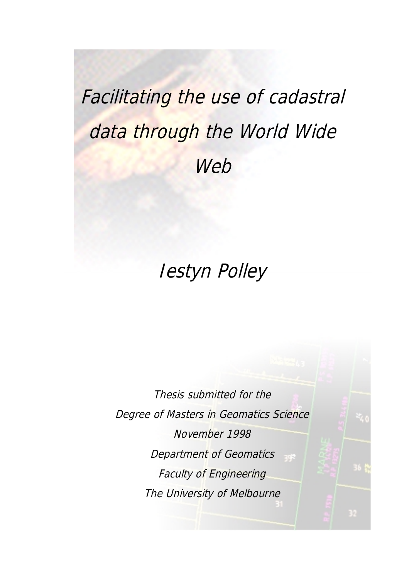# Facilitating the use of cadastral data through the World Wide **Web**

# Iestyn Polley

Thesis submitted for the Degree of Masters in Geomatics Science November 1998 Department of Geomatics Faculty of Engineering The University of Melbourne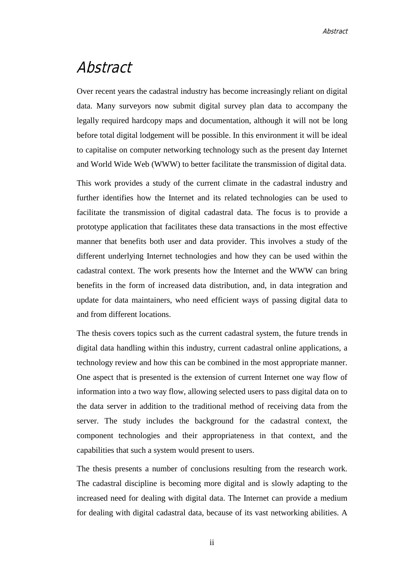# Abstract

Over recent years the cadastral industry has become increasingly reliant on digital data. Many surveyors now submit digital survey plan data to accompany the legally required hardcopy maps and documentation, although it will not be long before total digital lodgement will be possible. In this environment it will be ideal to capitalise on computer networking technology such as the present day Internet and World Wide Web (WWW) to better facilitate the transmission of digital data.

This work provides a study of the current climate in the cadastral industry and further identifies how the Internet and its related technologies can be used to facilitate the transmission of digital cadastral data. The focus is to provide a prototype application that facilitates these data transactions in the most effective manner that benefits both user and data provider. This involves a study of the different underlying Internet technologies and how they can be used within the cadastral context. The work presents how the Internet and the WWW can bring benefits in the form of increased data distribution, and, in data integration and update for data maintainers, who need efficient ways of passing digital data to and from different locations.

The thesis covers topics such as the current cadastral system, the future trends in digital data handling within this industry, current cadastral online applications, a technology review and how this can be combined in the most appropriate manner. One aspect that is presented is the extension of current Internet one way flow of information into a two way flow, allowing selected users to pass digital data on to the data server in addition to the traditional method of receiving data from the server. The study includes the background for the cadastral context, the component technologies and their appropriateness in that context, and the capabilities that such a system would present to users.

The thesis presents a number of conclusions resulting from the research work. The cadastral discipline is becoming more digital and is slowly adapting to the increased need for dealing with digital data. The Internet can provide a medium for dealing with digital cadastral data, because of its vast networking abilities. A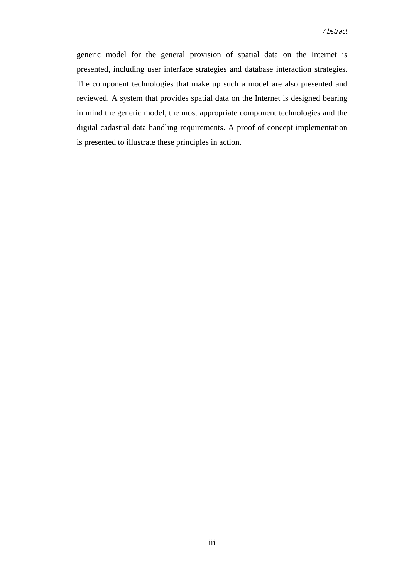generic model for the general provision of spatial data on the Internet is presented, including user interface strategies and database interaction strategies. The component technologies that make up such a model are also presented and reviewed. A system that provides spatial data on the Internet is designed bearing in mind the generic model, the most appropriate component technologies and the digital cadastral data handling requirements. A proof of concept implementation is presented to illustrate these principles in action.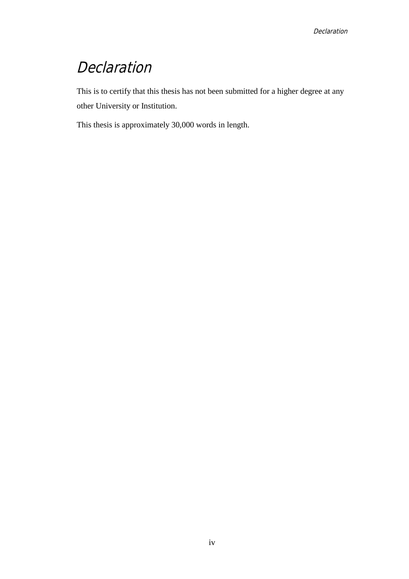# Declaration

This is to certify that this thesis has not been submitted for a higher degree at any other University or Institution.

This thesis is approximately 30,000 words in length.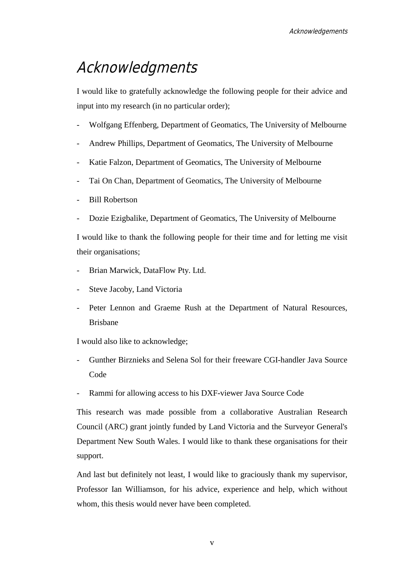# Acknowledgments

I would like to gratefully acknowledge the following people for their advice and input into my research (in no particular order);

- Wolfgang Effenberg, Department of Geomatics, The University of Melbourne
- Andrew Phillips, Department of Geomatics, The University of Melbourne
- Katie Falzon, Department of Geomatics, The University of Melbourne
- Tai On Chan, Department of Geomatics, The University of Melbourne
- Bill Robertson
- Dozie Ezigbalike, Department of Geomatics, The University of Melbourne

I would like to thank the following people for their time and for letting me visit their organisations;

- Brian Marwick, DataFlow Pty. Ltd.
- Steve Jacoby, Land Victoria
- Peter Lennon and Graeme Rush at the Department of Natural Resources, Brisbane

I would also like to acknowledge;

- Gunther Birznieks and Selena Sol for their freeware CGI-handler Java Source Code
- Rammi for allowing access to his DXF-viewer Java Source Code

This research was made possible from a collaborative Australian Research Council (ARC) grant jointly funded by Land Victoria and the Surveyor General's Department New South Wales. I would like to thank these organisations for their support.

And last but definitely not least, I would like to graciously thank my supervisor, Professor Ian Williamson, for his advice, experience and help, which without whom, this thesis would never have been completed.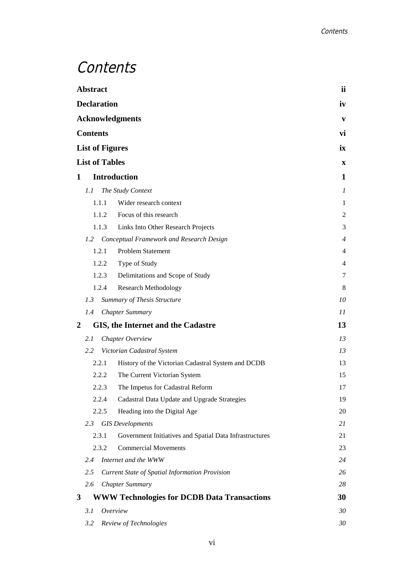# **Contents**

| <b>Abstract</b>                           |                                                 | ii                                                      |                |
|-------------------------------------------|-------------------------------------------------|---------------------------------------------------------|----------------|
| <b>Declaration</b>                        |                                                 |                                                         | iv             |
| <b>Acknowledgments</b><br><b>Contents</b> |                                                 |                                                         |                |
|                                           |                                                 |                                                         |                |
|                                           | <b>List of Figures</b><br><b>List of Tables</b> |                                                         |                |
|                                           | X                                               |                                                         |                |
| 1                                         |                                                 | <b>Introduction</b>                                     | 1              |
|                                           | 1.1                                             | The Study Context                                       | 1              |
|                                           | 1.1.1                                           | Wider research context                                  | 1              |
|                                           | 1.1.2                                           | Focus of this research                                  | $\overline{c}$ |
|                                           | 1.1.3                                           | Links Into Other Research Projects                      | 3              |
|                                           | 1.2                                             | Conceptual Framework and Research Design                | $\overline{4}$ |
|                                           | 1.2.1                                           | Problem Statement                                       | 4              |
|                                           | 1.2.2                                           | Type of Study                                           | 4              |
|                                           | 1.2.3                                           | Delimitations and Scope of Study                        | 7              |
|                                           | 1.2.4                                           | <b>Research Methodology</b>                             | 8              |
|                                           | 1.3                                             | <b>Summary of Thesis Structure</b>                      | 10             |
|                                           | 1.4                                             | <b>Chapter Summary</b>                                  | 11             |
| 2                                         |                                                 | GIS, the Internet and the Cadastre                      | 13             |
|                                           | 2.1                                             | Chapter Overview                                        | 13             |
|                                           | 2.2                                             | Victorian Cadastral System                              | 13             |
|                                           | 2.2.1                                           | History of the Victorian Cadastral System and DCDB      | 13             |
|                                           | 2.2.2                                           | The Current Victorian System                            | 15             |
|                                           | 2.2.3                                           | The Impetus for Cadastral Reform                        | 17             |
|                                           | 2.2.4                                           | Cadastral Data Update and Upgrade Strategies            | 19             |
|                                           | 2.2.5                                           | Heading into the Digital Age                            | 20             |
|                                           | 2.3                                             | <b>GIS</b> Developments                                 | 21             |
|                                           | 2.3.1                                           | Government Initiatives and Spatial Data Infrastructures | 21             |
|                                           | 2.3.2                                           | <b>Commercial Movements</b>                             | 23             |
|                                           | 2.4                                             | Internet and the WWW                                    | 24             |
|                                           | 2.5                                             | <b>Current State of Spatial Information Provision</b>   | 26             |
|                                           | 2.6                                             | <b>Chapter Summary</b>                                  | 28             |
| 3                                         |                                                 | <b>WWW Technologies for DCDB Data Transactions</b>      | 30             |
|                                           | 3.1                                             | Overview                                                | 30             |
|                                           | 3.2                                             | Review of Technologies                                  | 30             |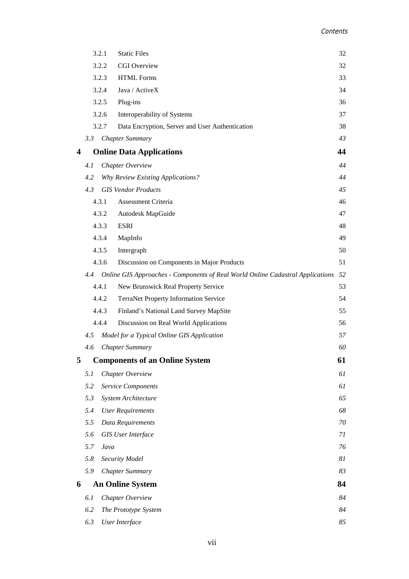|                         |     | <b>Static Files</b><br>3.2.1                                                   | 32 |
|-------------------------|-----|--------------------------------------------------------------------------------|----|
|                         |     | 3.2.2<br><b>CGI</b> Overview                                                   | 32 |
| 3.2.3                   |     | <b>HTML Forms</b>                                                              | 33 |
| 3.2.4                   |     | Java / ActiveX                                                                 | 34 |
|                         |     | 3.2.5<br>Plug-ins                                                              | 36 |
|                         |     | 3.2.6<br>Interoperability of Systems                                           | 37 |
|                         |     | 3.2.7<br>Data Encryption, Server and User Authentication                       | 38 |
|                         | 3.3 | <b>Chapter Summary</b>                                                         | 43 |
| $\overline{\mathbf{4}}$ |     | <b>Online Data Applications</b>                                                | 44 |
|                         | 4.1 | Chapter Overview                                                               | 44 |
|                         | 4.2 | <b>Why Review Existing Applications?</b>                                       | 44 |
|                         | 4.3 | <b>GIS Vendor Products</b>                                                     | 45 |
|                         |     | 4.3.1<br><b>Assessment Criteria</b>                                            | 46 |
|                         |     | 4.3.2<br>Autodesk MapGuide                                                     | 47 |
|                         |     | 4.3.3<br><b>ESRI</b>                                                           | 48 |
|                         |     | 4.3.4<br>MapInfo                                                               | 49 |
|                         |     | 4.3.5<br>Intergraph                                                            | 50 |
|                         |     | 4.3.6<br>Discussion on Components in Major Products                            | 51 |
|                         | 4.4 | Online GIS Approaches - Components of Real World Online Cadastral Applications | 52 |
|                         |     | 4.4.1<br>New Brunswick Real Property Service                                   | 53 |
|                         |     | 4.4.2<br>TerraNet Property Information Service                                 | 54 |
|                         |     | 4.4.3<br>Finland's National Land Survey MapSite                                | 55 |
|                         |     | 4.4.4<br>Discussion on Real World Applications                                 | 56 |
|                         | 4.5 | Model for a Typical Online GIS Application                                     | 57 |
|                         | 4.6 | <b>Chapter Summary</b>                                                         | 60 |
| 5                       |     | <b>Components of an Online System</b>                                          | 61 |
|                         | 5.1 | Chapter Overview                                                               | 61 |
|                         | 5.2 | <b>Service Components</b>                                                      | 61 |
|                         | 5.3 | System Architecture                                                            | 65 |
|                         | 5.4 | <b>User Requirements</b>                                                       | 68 |
|                         | 5.5 | Data Requirements                                                              | 70 |
|                         | 5.6 | <b>GIS</b> User Interface                                                      | 71 |
|                         | 5.7 | Java                                                                           | 76 |
|                         | 5.8 | Security Model                                                                 | 81 |
|                         | 5.9 | <b>Chapter Summary</b>                                                         | 83 |
| 6                       |     | <b>An Online System</b>                                                        | 84 |
|                         | 6.1 | Chapter Overview                                                               | 84 |
|                         | 6.2 | The Prototype System                                                           | 84 |
|                         | 6.3 | <b>User Interface</b>                                                          | 85 |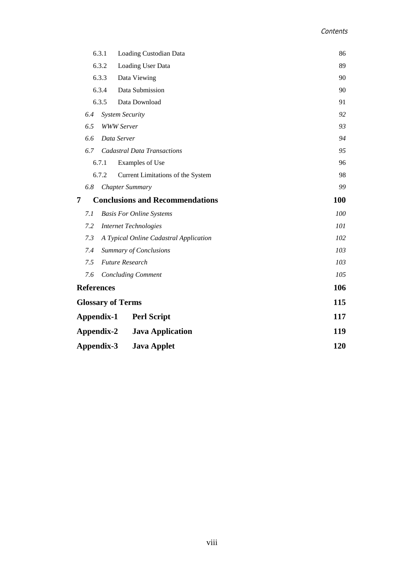|                                  | 6.3.1 | Loading Custodian Data                 | 86  |
|----------------------------------|-------|----------------------------------------|-----|
|                                  | 6.3.2 | Loading User Data                      | 89  |
|                                  | 6.3.3 | Data Viewing                           | 90  |
|                                  | 6.3.4 | Data Submission                        | 90  |
|                                  | 6.3.5 | Data Download                          | 91  |
| 6.4                              |       | <b>System Security</b>                 | 92  |
| 6.5                              |       | <b>WWW Server</b>                      | 93  |
| 6.6                              |       | Data Server                            | 94  |
| 6.7                              |       | <b>Cadastral Data Transactions</b>     | 95  |
|                                  | 6.7.1 | Examples of Use                        | 96  |
|                                  | 6.7.2 | Current Limitations of the System      | 98  |
| 6.8                              |       | <b>Chapter Summary</b>                 | 99  |
| 7                                |       | <b>Conclusions and Recommendations</b> | 100 |
| 7.1                              |       | <b>Basis For Online Systems</b>        | 100 |
| 7.2                              |       | <b>Internet Technologies</b>           | 101 |
| 7.3                              |       | A Typical Online Cadastral Application | 102 |
| 7.4                              |       | <b>Summary of Conclusions</b>          | 103 |
| 7.5                              |       | <b>Future Research</b>                 | 103 |
| 7.6                              |       | <b>Concluding Comment</b>              | 105 |
| <b>References</b>                |       |                                        | 106 |
| <b>Glossary of Terms</b>         |       |                                        | 115 |
| Appendix-1<br><b>Perl Script</b> |       |                                        | 117 |
| Appendix-2                       |       | <b>Java Application</b>                | 119 |
| Appendix-3                       |       | <b>Java Applet</b>                     | 120 |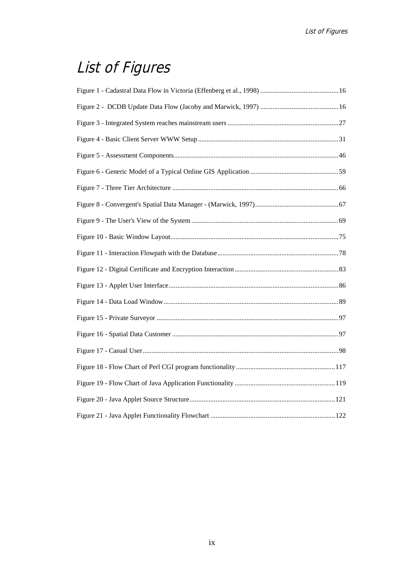# List of Figures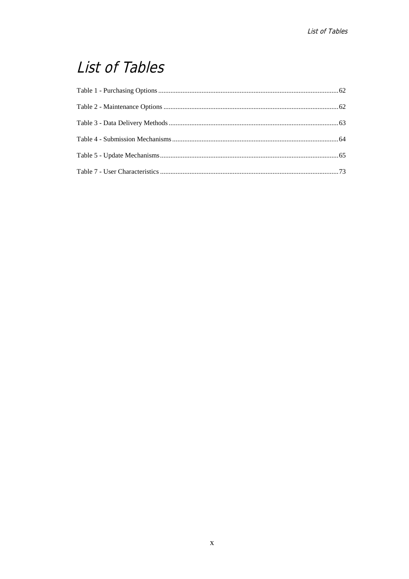# List of Tables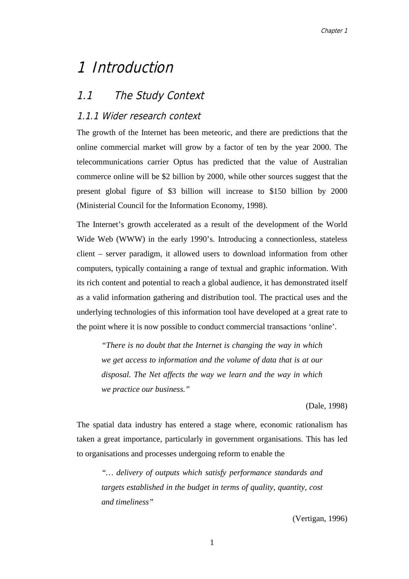# 1 Introduction

### 1.1 The Study Context

#### 1.1.1 Wider research context

The growth of the Internet has been meteoric, and there are predictions that the online commercial market will grow by a factor of ten by the year 2000. The telecommunications carrier Optus has predicted that the value of Australian commerce online will be \$2 billion by 2000, while other sources suggest that the present global figure of \$3 billion will increase to \$150 billion by 2000 (Ministerial Council for the Information Economy, 1998).

The Internet's growth accelerated as a result of the development of the World Wide Web (WWW) in the early 1990's. Introducing a connectionless, stateless client – server paradigm, it allowed users to download information from other computers, typically containing a range of textual and graphic information. With its rich content and potential to reach a global audience, it has demonstrated itself as a valid information gathering and distribution tool. The practical uses and the underlying technologies of this information tool have developed at a great rate to the point where it is now possible to conduct commercial transactions 'online'.

*"There is no doubt that the Internet is changing the way in which we get access to information and the volume of data that is at our disposal. The Net affects the way we learn and the way in which we practice our business."*

(Dale, 1998)

The spatial data industry has entered a stage where, economic rationalism has taken a great importance, particularly in government organisations. This has led to organisations and processes undergoing reform to enable the

*"… delivery of outputs which satisfy performance standards and targets established in the budget in terms of quality, quantity, cost and timeliness"*

(Vertigan, 1996)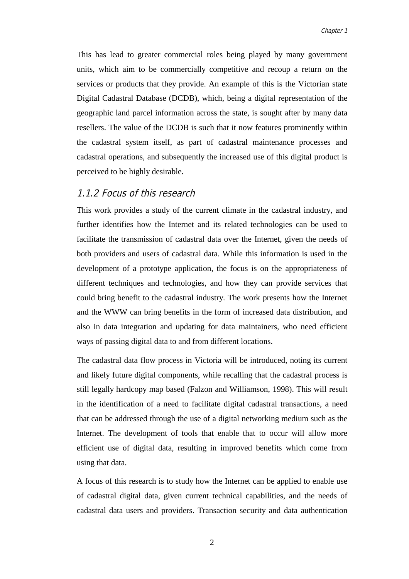This has lead to greater commercial roles being played by many government units, which aim to be commercially competitive and recoup a return on the services or products that they provide. An example of this is the Victorian state Digital Cadastral Database (DCDB), which, being a digital representation of the geographic land parcel information across the state, is sought after by many data resellers. The value of the DCDB is such that it now features prominently within the cadastral system itself, as part of cadastral maintenance processes and cadastral operations, and subsequently the increased use of this digital product is perceived to be highly desirable.

#### 1.1.2 Focus of this research

This work provides a study of the current climate in the cadastral industry, and further identifies how the Internet and its related technologies can be used to facilitate the transmission of cadastral data over the Internet, given the needs of both providers and users of cadastral data. While this information is used in the development of a prototype application, the focus is on the appropriateness of different techniques and technologies, and how they can provide services that could bring benefit to the cadastral industry. The work presents how the Internet and the WWW can bring benefits in the form of increased data distribution, and also in data integration and updating for data maintainers, who need efficient ways of passing digital data to and from different locations.

The cadastral data flow process in Victoria will be introduced, noting its current and likely future digital components, while recalling that the cadastral process is still legally hardcopy map based (Falzon and Williamson, 1998). This will result in the identification of a need to facilitate digital cadastral transactions, a need that can be addressed through the use of a digital networking medium such as the Internet. The development of tools that enable that to occur will allow more efficient use of digital data, resulting in improved benefits which come from using that data.

A focus of this research is to study how the Internet can be applied to enable use of cadastral digital data, given current technical capabilities, and the needs of cadastral data users and providers. Transaction security and data authentication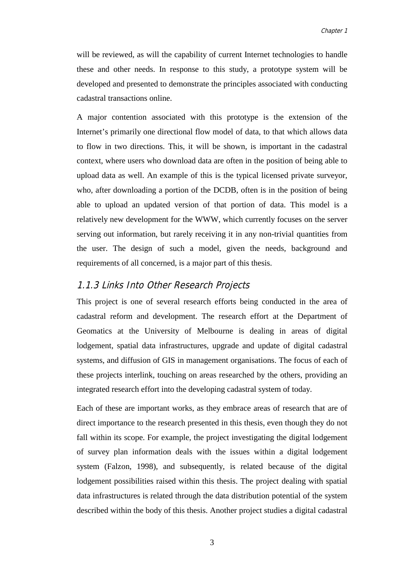will be reviewed, as will the capability of current Internet technologies to handle these and other needs. In response to this study, a prototype system will be developed and presented to demonstrate the principles associated with conducting cadastral transactions online.

A major contention associated with this prototype is the extension of the Internet's primarily one directional flow model of data, to that which allows data to flow in two directions. This, it will be shown, is important in the cadastral context, where users who download data are often in the position of being able to upload data as well. An example of this is the typical licensed private surveyor, who, after downloading a portion of the DCDB, often is in the position of being able to upload an updated version of that portion of data. This model is a relatively new development for the WWW, which currently focuses on the server serving out information, but rarely receiving it in any non-trivial quantities from the user. The design of such a model, given the needs, background and requirements of all concerned, is a major part of this thesis.

#### 1.1.3 Links Into Other Research Projects

This project is one of several research efforts being conducted in the area of cadastral reform and development. The research effort at the Department of Geomatics at the University of Melbourne is dealing in areas of digital lodgement, spatial data infrastructures, upgrade and update of digital cadastral systems, and diffusion of GIS in management organisations. The focus of each of these projects interlink, touching on areas researched by the others, providing an integrated research effort into the developing cadastral system of today.

Each of these are important works, as they embrace areas of research that are of direct importance to the research presented in this thesis, even though they do not fall within its scope. For example, the project investigating the digital lodgement of survey plan information deals with the issues within a digital lodgement system (Falzon, 1998), and subsequently, is related because of the digital lodgement possibilities raised within this thesis. The project dealing with spatial data infrastructures is related through the data distribution potential of the system described within the body of this thesis. Another project studies a digital cadastral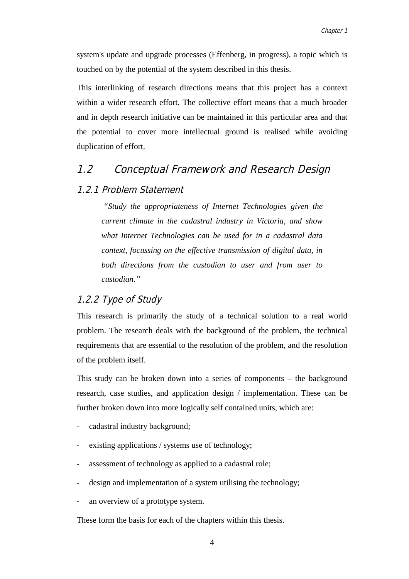system's update and upgrade processes (Effenberg, in progress), a topic which is touched on by the potential of the system described in this thesis.

This interlinking of research directions means that this project has a context within a wider research effort. The collective effort means that a much broader and in depth research initiative can be maintained in this particular area and that the potential to cover more intellectual ground is realised while avoiding duplication of effort.

### 1.2 Conceptual Framework and Research Design

#### 1.2.1 Problem Statement

 *"Study the appropriateness of Internet Technologies given the current climate in the cadastral industry in Victoria, and show what Internet Technologies can be used for in a cadastral data context, focussing on the effective transmission of digital data, in both directions from the custodian to user and from user to custodian."*

#### 1.2.2 Type of Study

This research is primarily the study of a technical solution to a real world problem. The research deals with the background of the problem, the technical requirements that are essential to the resolution of the problem, and the resolution of the problem itself.

This study can be broken down into a series of components – the background research, case studies, and application design / implementation. These can be further broken down into more logically self contained units, which are:

- cadastral industry background:
- existing applications / systems use of technology;
- assessment of technology as applied to a cadastral role;
- design and implementation of a system utilising the technology;
- an overview of a prototype system.

These form the basis for each of the chapters within this thesis.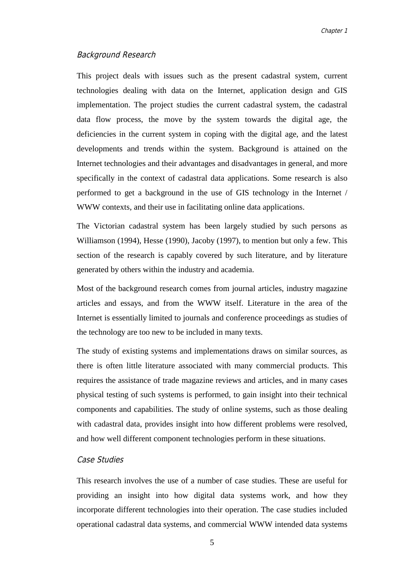#### Background Research

This project deals with issues such as the present cadastral system, current technologies dealing with data on the Internet, application design and GIS implementation. The project studies the current cadastral system, the cadastral data flow process, the move by the system towards the digital age, the deficiencies in the current system in coping with the digital age, and the latest developments and trends within the system. Background is attained on the Internet technologies and their advantages and disadvantages in general, and more specifically in the context of cadastral data applications. Some research is also performed to get a background in the use of GIS technology in the Internet / WWW contexts, and their use in facilitating online data applications.

The Victorian cadastral system has been largely studied by such persons as Williamson (1994), Hesse (1990), Jacoby (1997), to mention but only a few. This section of the research is capably covered by such literature, and by literature generated by others within the industry and academia.

Most of the background research comes from journal articles, industry magazine articles and essays, and from the WWW itself. Literature in the area of the Internet is essentially limited to journals and conference proceedings as studies of the technology are too new to be included in many texts.

The study of existing systems and implementations draws on similar sources, as there is often little literature associated with many commercial products. This requires the assistance of trade magazine reviews and articles, and in many cases physical testing of such systems is performed, to gain insight into their technical components and capabilities. The study of online systems, such as those dealing with cadastral data, provides insight into how different problems were resolved, and how well different component technologies perform in these situations.

#### Case Studies

This research involves the use of a number of case studies. These are useful for providing an insight into how digital data systems work, and how they incorporate different technologies into their operation. The case studies included operational cadastral data systems, and commercial WWW intended data systems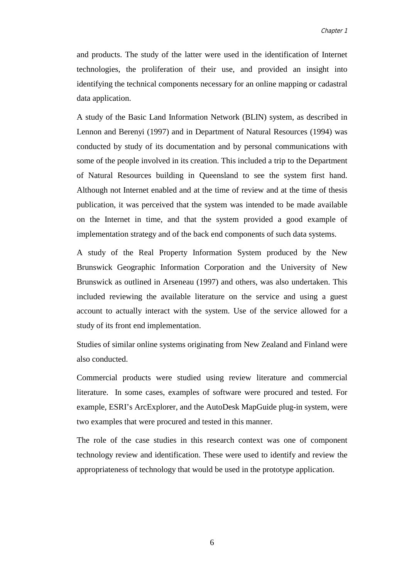and products. The study of the latter were used in the identification of Internet technologies, the proliferation of their use, and provided an insight into identifying the technical components necessary for an online mapping or cadastral data application.

A study of the Basic Land Information Network (BLIN) system, as described in Lennon and Berenyi (1997) and in Department of Natural Resources (1994) was conducted by study of its documentation and by personal communications with some of the people involved in its creation. This included a trip to the Department of Natural Resources building in Queensland to see the system first hand. Although not Internet enabled and at the time of review and at the time of thesis publication, it was perceived that the system was intended to be made available on the Internet in time, and that the system provided a good example of implementation strategy and of the back end components of such data systems.

A study of the Real Property Information System produced by the New Brunswick Geographic Information Corporation and the University of New Brunswick as outlined in Arseneau (1997) and others, was also undertaken. This included reviewing the available literature on the service and using a guest account to actually interact with the system. Use of the service allowed for a study of its front end implementation.

Studies of similar online systems originating from New Zealand and Finland were also conducted.

Commercial products were studied using review literature and commercial literature. In some cases, examples of software were procured and tested. For example, ESRI's ArcExplorer, and the AutoDesk MapGuide plug-in system, were two examples that were procured and tested in this manner.

The role of the case studies in this research context was one of component technology review and identification. These were used to identify and review the appropriateness of technology that would be used in the prototype application.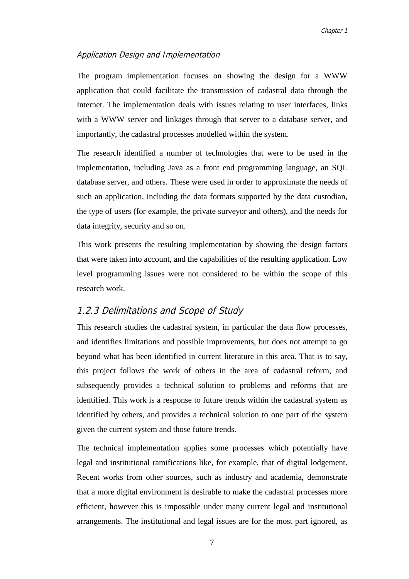#### Application Design and Implementation

The program implementation focuses on showing the design for a WWW application that could facilitate the transmission of cadastral data through the Internet. The implementation deals with issues relating to user interfaces, links with a WWW server and linkages through that server to a database server, and importantly, the cadastral processes modelled within the system.

The research identified a number of technologies that were to be used in the implementation, including Java as a front end programming language, an SQL database server, and others. These were used in order to approximate the needs of such an application, including the data formats supported by the data custodian, the type of users (for example, the private surveyor and others), and the needs for data integrity, security and so on.

This work presents the resulting implementation by showing the design factors that were taken into account, and the capabilities of the resulting application. Low level programming issues were not considered to be within the scope of this research work.

#### 1.2.3 Delimitations and Scope of Study

This research studies the cadastral system, in particular the data flow processes, and identifies limitations and possible improvements, but does not attempt to go beyond what has been identified in current literature in this area. That is to say, this project follows the work of others in the area of cadastral reform, and subsequently provides a technical solution to problems and reforms that are identified. This work is a response to future trends within the cadastral system as identified by others, and provides a technical solution to one part of the system given the current system and those future trends.

The technical implementation applies some processes which potentially have legal and institutional ramifications like, for example, that of digital lodgement. Recent works from other sources, such as industry and academia, demonstrate that a more digital environment is desirable to make the cadastral processes more efficient, however this is impossible under many current legal and institutional arrangements. The institutional and legal issues are for the most part ignored, as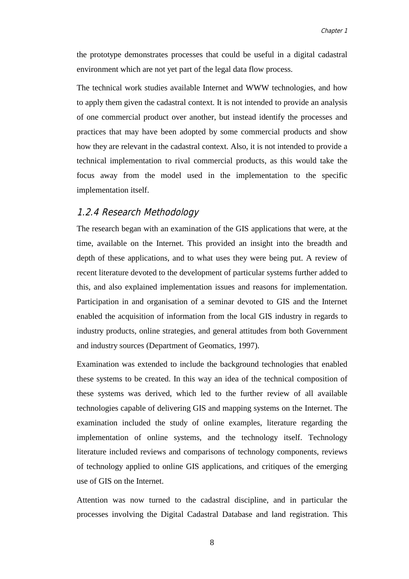the prototype demonstrates processes that could be useful in a digital cadastral environment which are not yet part of the legal data flow process.

The technical work studies available Internet and WWW technologies, and how to apply them given the cadastral context. It is not intended to provide an analysis of one commercial product over another, but instead identify the processes and practices that may have been adopted by some commercial products and show how they are relevant in the cadastral context. Also, it is not intended to provide a technical implementation to rival commercial products, as this would take the focus away from the model used in the implementation to the specific implementation itself.

#### 1.2.4 Research Methodology

The research began with an examination of the GIS applications that were, at the time, available on the Internet. This provided an insight into the breadth and depth of these applications, and to what uses they were being put. A review of recent literature devoted to the development of particular systems further added to this, and also explained implementation issues and reasons for implementation. Participation in and organisation of a seminar devoted to GIS and the Internet enabled the acquisition of information from the local GIS industry in regards to industry products, online strategies, and general attitudes from both Government and industry sources (Department of Geomatics, 1997).

Examination was extended to include the background technologies that enabled these systems to be created. In this way an idea of the technical composition of these systems was derived, which led to the further review of all available technologies capable of delivering GIS and mapping systems on the Internet. The examination included the study of online examples, literature regarding the implementation of online systems, and the technology itself. Technology literature included reviews and comparisons of technology components, reviews of technology applied to online GIS applications, and critiques of the emerging use of GIS on the Internet.

Attention was now turned to the cadastral discipline, and in particular the processes involving the Digital Cadastral Database and land registration. This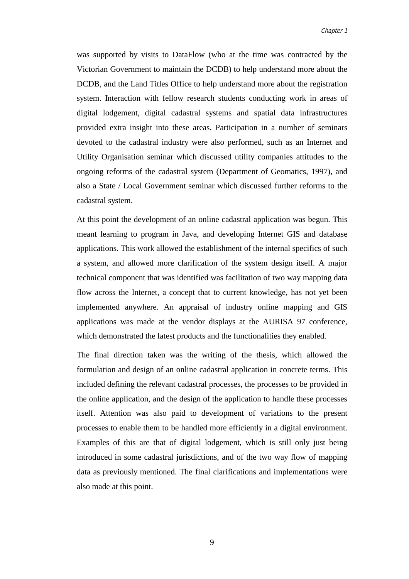was supported by visits to DataFlow (who at the time was contracted by the Victorian Government to maintain the DCDB) to help understand more about the DCDB, and the Land Titles Office to help understand more about the registration system. Interaction with fellow research students conducting work in areas of digital lodgement, digital cadastral systems and spatial data infrastructures provided extra insight into these areas. Participation in a number of seminars devoted to the cadastral industry were also performed, such as an Internet and Utility Organisation seminar which discussed utility companies attitudes to the ongoing reforms of the cadastral system (Department of Geomatics, 1997), and also a State / Local Government seminar which discussed further reforms to the cadastral system.

At this point the development of an online cadastral application was begun. This meant learning to program in Java, and developing Internet GIS and database applications. This work allowed the establishment of the internal specifics of such a system, and allowed more clarification of the system design itself. A major technical component that was identified was facilitation of two way mapping data flow across the Internet, a concept that to current knowledge, has not yet been implemented anywhere. An appraisal of industry online mapping and GIS applications was made at the vendor displays at the AURISA 97 conference, which demonstrated the latest products and the functionalities they enabled.

The final direction taken was the writing of the thesis, which allowed the formulation and design of an online cadastral application in concrete terms. This included defining the relevant cadastral processes, the processes to be provided in the online application, and the design of the application to handle these processes itself. Attention was also paid to development of variations to the present processes to enable them to be handled more efficiently in a digital environment. Examples of this are that of digital lodgement, which is still only just being introduced in some cadastral jurisdictions, and of the two way flow of mapping data as previously mentioned. The final clarifications and implementations were also made at this point.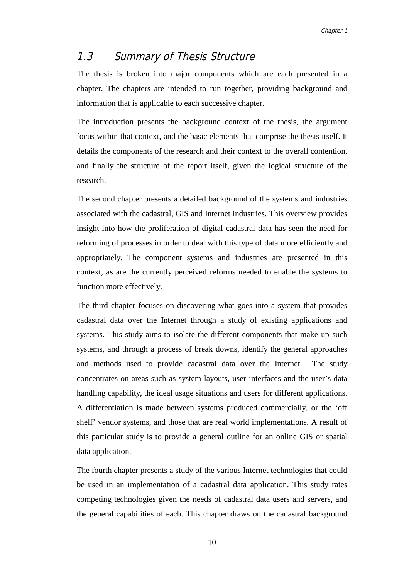### 1.3 Summary of Thesis Structure

The thesis is broken into major components which are each presented in a chapter. The chapters are intended to run together, providing background and information that is applicable to each successive chapter.

The introduction presents the background context of the thesis, the argument focus within that context, and the basic elements that comprise the thesis itself. It details the components of the research and their context to the overall contention, and finally the structure of the report itself, given the logical structure of the research.

The second chapter presents a detailed background of the systems and industries associated with the cadastral, GIS and Internet industries. This overview provides insight into how the proliferation of digital cadastral data has seen the need for reforming of processes in order to deal with this type of data more efficiently and appropriately. The component systems and industries are presented in this context, as are the currently perceived reforms needed to enable the systems to function more effectively.

The third chapter focuses on discovering what goes into a system that provides cadastral data over the Internet through a study of existing applications and systems. This study aims to isolate the different components that make up such systems, and through a process of break downs, identify the general approaches and methods used to provide cadastral data over the Internet. The study concentrates on areas such as system layouts, user interfaces and the user's data handling capability, the ideal usage situations and users for different applications. A differentiation is made between systems produced commercially, or the 'off shelf' vendor systems, and those that are real world implementations. A result of this particular study is to provide a general outline for an online GIS or spatial data application.

The fourth chapter presents a study of the various Internet technologies that could be used in an implementation of a cadastral data application. This study rates competing technologies given the needs of cadastral data users and servers, and the general capabilities of each. This chapter draws on the cadastral background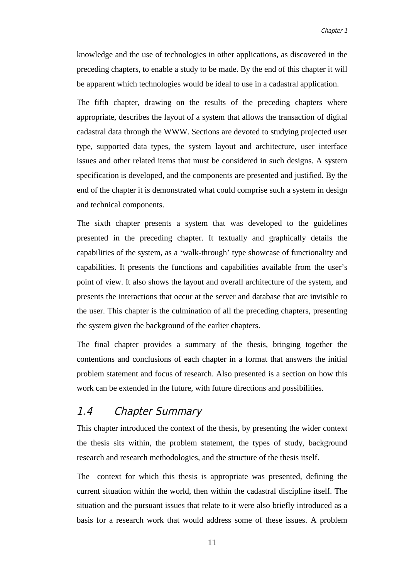knowledge and the use of technologies in other applications, as discovered in the preceding chapters, to enable a study to be made. By the end of this chapter it will be apparent which technologies would be ideal to use in a cadastral application.

The fifth chapter, drawing on the results of the preceding chapters where appropriate, describes the layout of a system that allows the transaction of digital cadastral data through the WWW. Sections are devoted to studying projected user type, supported data types, the system layout and architecture, user interface issues and other related items that must be considered in such designs. A system specification is developed, and the components are presented and justified. By the end of the chapter it is demonstrated what could comprise such a system in design and technical components.

The sixth chapter presents a system that was developed to the guidelines presented in the preceding chapter. It textually and graphically details the capabilities of the system, as a 'walk-through' type showcase of functionality and capabilities. It presents the functions and capabilities available from the user's point of view. It also shows the layout and overall architecture of the system, and presents the interactions that occur at the server and database that are invisible to the user. This chapter is the culmination of all the preceding chapters, presenting the system given the background of the earlier chapters.

The final chapter provides a summary of the thesis, bringing together the contentions and conclusions of each chapter in a format that answers the initial problem statement and focus of research. Also presented is a section on how this work can be extended in the future, with future directions and possibilities.

### 1.4 Chapter Summary

This chapter introduced the context of the thesis, by presenting the wider context the thesis sits within, the problem statement, the types of study, background research and research methodologies, and the structure of the thesis itself.

The context for which this thesis is appropriate was presented, defining the current situation within the world, then within the cadastral discipline itself. The situation and the pursuant issues that relate to it were also briefly introduced as a basis for a research work that would address some of these issues. A problem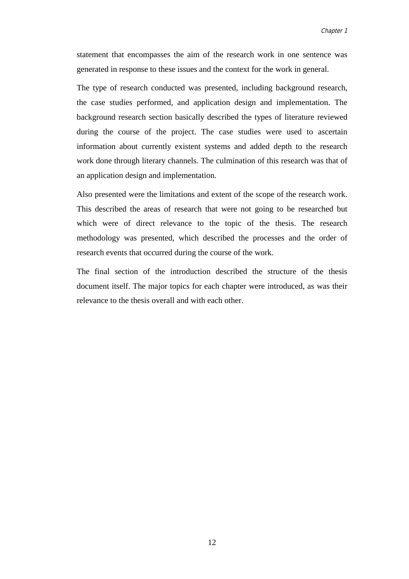statement that encompasses the aim of the research work in one sentence was generated in response to these issues and the context for the work in general.

The type of research conducted was presented, including background research, the case studies performed, and application design and implementation. The background research section basically described the types of literature reviewed during the course of the project. The case studies were used to ascertain information about currently existent systems and added depth to the research work done through literary channels. The culmination of this research was that of an application design and implementation.

Also presented were the limitations and extent of the scope of the research work. This described the areas of research that were not going to be researched but which were of direct relevance to the topic of the thesis. The research methodology was presented, which described the processes and the order of research events that occurred during the course of the work.

The final section of the introduction described the structure of the thesis document itself. The major topics for each chapter were introduced, as was their relevance to the thesis overall and with each other.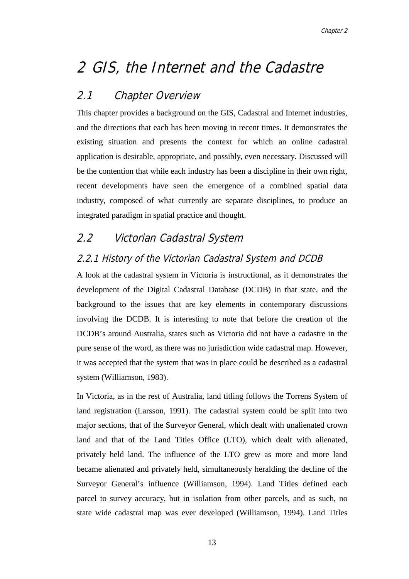# 2 GIS, the Internet and the Cadastre

### 2.1 Chapter Overview

This chapter provides a background on the GIS, Cadastral and Internet industries, and the directions that each has been moving in recent times. It demonstrates the existing situation and presents the context for which an online cadastral application is desirable, appropriate, and possibly, even necessary. Discussed will be the contention that while each industry has been a discipline in their own right, recent developments have seen the emergence of a combined spatial data industry, composed of what currently are separate disciplines, to produce an integrated paradigm in spatial practice and thought.

## 2.2 Victorian Cadastral System

### 2.2.1 History of the Victorian Cadastral System and DCDB

A look at the cadastral system in Victoria is instructional, as it demonstrates the development of the Digital Cadastral Database (DCDB) in that state, and the background to the issues that are key elements in contemporary discussions involving the DCDB. It is interesting to note that before the creation of the DCDB's around Australia, states such as Victoria did not have a cadastre in the pure sense of the word, as there was no jurisdiction wide cadastral map. However, it was accepted that the system that was in place could be described as a cadastral system (Williamson, 1983).

In Victoria, as in the rest of Australia, land titling follows the Torrens System of land registration (Larsson, 1991). The cadastral system could be split into two major sections, that of the Surveyor General, which dealt with unalienated crown land and that of the Land Titles Office (LTO), which dealt with alienated, privately held land. The influence of the LTO grew as more and more land became alienated and privately held, simultaneously heralding the decline of the Surveyor General's influence (Williamson, 1994). Land Titles defined each parcel to survey accuracy, but in isolation from other parcels, and as such, no state wide cadastral map was ever developed (Williamson, 1994). Land Titles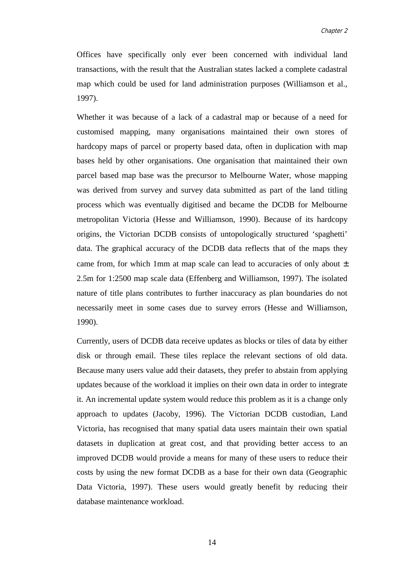Offices have specifically only ever been concerned with individual land transactions, with the result that the Australian states lacked a complete cadastral map which could be used for land administration purposes (Williamson et al., 1997).

Whether it was because of a lack of a cadastral map or because of a need for customised mapping, many organisations maintained their own stores of hardcopy maps of parcel or property based data, often in duplication with map bases held by other organisations. One organisation that maintained their own parcel based map base was the precursor to Melbourne Water, whose mapping was derived from survey and survey data submitted as part of the land titling process which was eventually digitised and became the DCDB for Melbourne metropolitan Victoria (Hesse and Williamson, 1990). Because of its hardcopy origins, the Victorian DCDB consists of untopologically structured 'spaghetti' data. The graphical accuracy of the DCDB data reflects that of the maps they came from, for which 1mm at map scale can lead to accuracies of only about  $\pm$ 2.5m for 1:2500 map scale data (Effenberg and Williamson, 1997). The isolated nature of title plans contributes to further inaccuracy as plan boundaries do not necessarily meet in some cases due to survey errors (Hesse and Williamson, 1990).

Currently, users of DCDB data receive updates as blocks or tiles of data by either disk or through email. These tiles replace the relevant sections of old data. Because many users value add their datasets, they prefer to abstain from applying updates because of the workload it implies on their own data in order to integrate it. An incremental update system would reduce this problem as it is a change only approach to updates (Jacoby, 1996). The Victorian DCDB custodian, Land Victoria, has recognised that many spatial data users maintain their own spatial datasets in duplication at great cost, and that providing better access to an improved DCDB would provide a means for many of these users to reduce their costs by using the new format DCDB as a base for their own data (Geographic Data Victoria, 1997). These users would greatly benefit by reducing their database maintenance workload.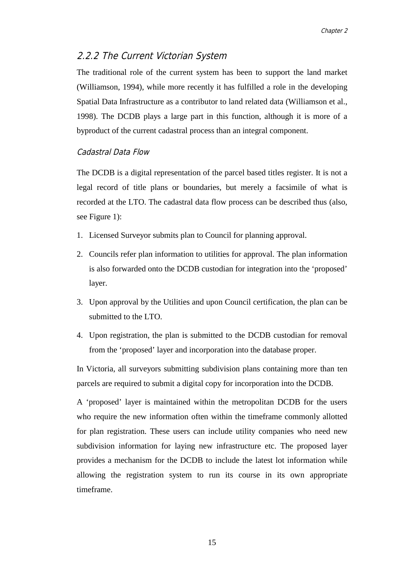### 2.2.2 The Current Victorian System

The traditional role of the current system has been to support the land market (Williamson, 1994), while more recently it has fulfilled a role in the developing Spatial Data Infrastructure as a contributor to land related data (Williamson et al., 1998). The DCDB plays a large part in this function, although it is more of a byproduct of the current cadastral process than an integral component.

#### Cadastral Data Flow

The DCDB is a digital representation of the parcel based titles register. It is not a legal record of title plans or boundaries, but merely a facsimile of what is recorded at the LTO. The cadastral data flow process can be described thus (also, see Figure 1):

- 1. Licensed Surveyor submits plan to Council for planning approval.
- 2. Councils refer plan information to utilities for approval. The plan information is also forwarded onto the DCDB custodian for integration into the 'proposed' layer.
- 3. Upon approval by the Utilities and upon Council certification, the plan can be submitted to the LTO.
- 4. Upon registration, the plan is submitted to the DCDB custodian for removal from the 'proposed' layer and incorporation into the database proper.

In Victoria, all surveyors submitting subdivision plans containing more than ten parcels are required to submit a digital copy for incorporation into the DCDB.

A 'proposed' layer is maintained within the metropolitan DCDB for the users who require the new information often within the timeframe commonly allotted for plan registration. These users can include utility companies who need new subdivision information for laying new infrastructure etc. The proposed layer provides a mechanism for the DCDB to include the latest lot information while allowing the registration system to run its course in its own appropriate timeframe.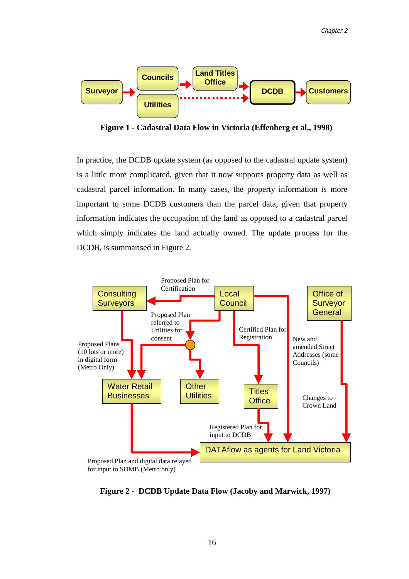

**Figure 1 - Cadastral Data Flow in Victoria (Effenberg et al., 1998)**

In practice, the DCDB update system (as opposed to the cadastral update system) is a little more complicated, given that it now supports property data as well as cadastral parcel information. In many cases, the property information is more important to some DCDB customers than the parcel data, given that property information indicates the occupation of the land as opposed to a cadastral parcel which simply indicates the land actually owned. The update process for the DCDB, is summarised in Figure 2.



**Figure 2 - DCDB Update Data Flow (Jacoby and Marwick, 1997)**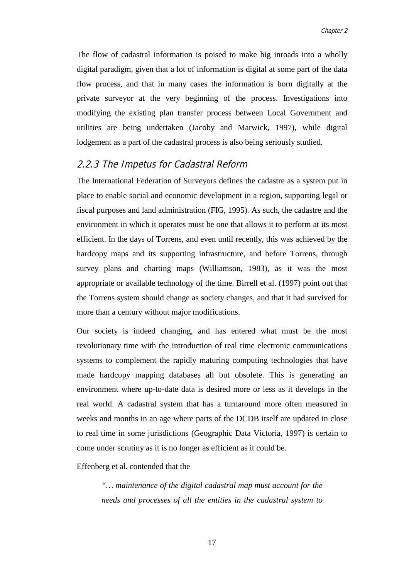The flow of cadastral information is poised to make big inroads into a wholly digital paradigm, given that a lot of information is digital at some part of the data flow process, and that in many cases the information is born digitally at the private surveyor at the very beginning of the process. Investigations into modifying the existing plan transfer process between Local Government and utilities are being undertaken (Jacoby and Marwick, 1997), while digital lodgement as a part of the cadastral process is also being seriously studied.

#### 2.2.3 The Impetus for Cadastral Reform

The International Federation of Surveyors defines the cadastre as a system put in place to enable social and economic development in a region, supporting legal or fiscal purposes and land administration (FIG, 1995). As such, the cadastre and the environment in which it operates must be one that allows it to perform at its most efficient. In the days of Torrens, and even until recently, this was achieved by the hardcopy maps and its supporting infrastructure, and before Torrens, through survey plans and charting maps (Williamson, 1983), as it was the most appropriate or available technology of the time. Birrell et al. (1997) point out that the Torrens system should change as society changes, and that it had survived for more than a century without major modifications.

Our society is indeed changing, and has entered what must be the most revolutionary time with the introduction of real time electronic communications systems to complement the rapidly maturing computing technologies that have made hardcopy mapping databases all but obsolete. This is generating an environment where up-to-date data is desired more or less as it develops in the real world. A cadastral system that has a turnaround more often measured in weeks and months in an age where parts of the DCDB itself are updated in close to real time in some jurisdictions (Geographic Data Victoria, 1997) is certain to come under scrutiny as it is no longer as efficient as it could be.

Effenberg et al. contended that the

*"… maintenance of the digital cadastral map must account for the needs and processes of all the entities in the cadastral system to*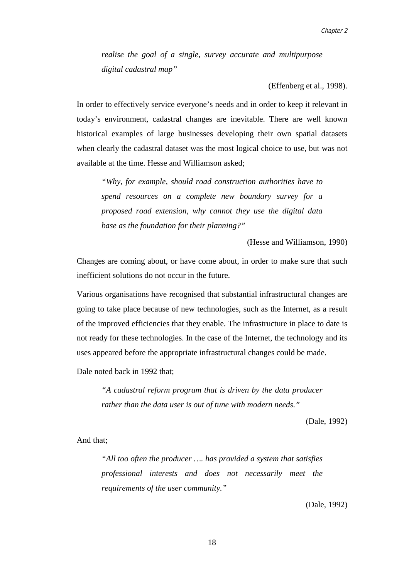*realise the goal of a single, survey accurate and multipurpose digital cadastral map"*

(Effenberg et al., 1998).

In order to effectively service everyone's needs and in order to keep it relevant in today's environment, cadastral changes are inevitable. There are well known historical examples of large businesses developing their own spatial datasets when clearly the cadastral dataset was the most logical choice to use, but was not available at the time. Hesse and Williamson asked;

*"Why, for example, should road construction authorities have to spend resources on a complete new boundary survey for a proposed road extension, why cannot they use the digital data base as the foundation for their planning?"*

(Hesse and Williamson, 1990)

Changes are coming about, or have come about, in order to make sure that such inefficient solutions do not occur in the future.

Various organisations have recognised that substantial infrastructural changes are going to take place because of new technologies, such as the Internet, as a result of the improved efficiencies that they enable. The infrastructure in place to date is not ready for these technologies. In the case of the Internet, the technology and its uses appeared before the appropriate infrastructural changes could be made.

Dale noted back in 1992 that;

*"A cadastral reform program that is driven by the data producer rather than the data user is out of tune with modern needs."*

(Dale, 1992)

And that;

*"All too often the producer …. has provided a system that satisfies professional interests and does not necessarily meet the requirements of the user community."*

(Dale, 1992)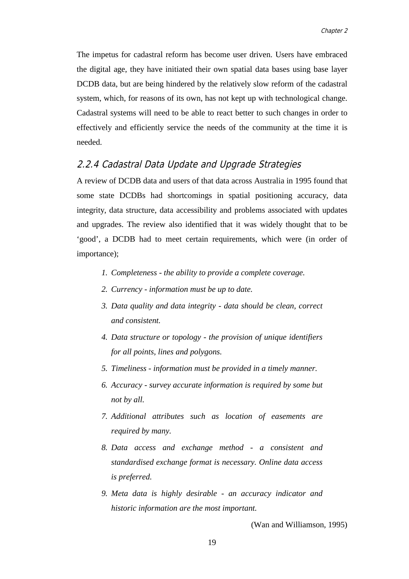The impetus for cadastral reform has become user driven. Users have embraced the digital age, they have initiated their own spatial data bases using base layer DCDB data, but are being hindered by the relatively slow reform of the cadastral system, which, for reasons of its own, has not kept up with technological change. Cadastral systems will need to be able to react better to such changes in order to effectively and efficiently service the needs of the community at the time it is needed.

#### 2.2.4 Cadastral Data Update and Upgrade Strategies

A review of DCDB data and users of that data across Australia in 1995 found that some state DCDBs had shortcomings in spatial positioning accuracy, data integrity, data structure, data accessibility and problems associated with updates and upgrades. The review also identified that it was widely thought that to be 'good', a DCDB had to meet certain requirements, which were (in order of importance);

- *1. Completeness the ability to provide a complete coverage.*
- *2. Currency information must be up to date.*
- *3. Data quality and data integrity data should be clean, correct and consistent.*
- *4. Data structure or topology the provision of unique identifiers for all points, lines and polygons.*
- *5. Timeliness information must be provided in a timely manner.*
- *6. Accuracy survey accurate information is required by some but not by all.*
- *7. Additional attributes such as location of easements are required by many.*
- *8. Data access and exchange method a consistent and standardised exchange format is necessary. Online data access is preferred.*
- *9. Meta data is highly desirable an accuracy indicator and historic information are the most important.*

(Wan and Williamson, 1995)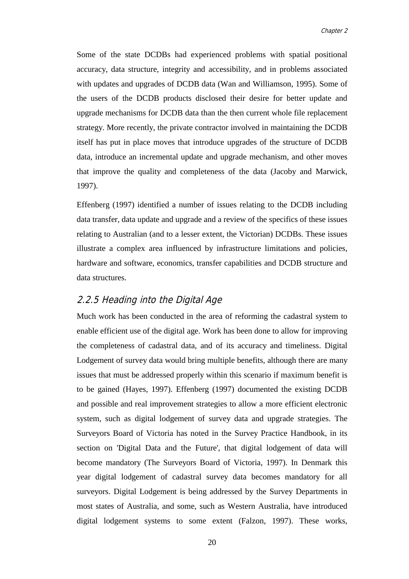Some of the state DCDBs had experienced problems with spatial positional accuracy, data structure, integrity and accessibility, and in problems associated with updates and upgrades of DCDB data (Wan and Williamson, 1995). Some of the users of the DCDB products disclosed their desire for better update and upgrade mechanisms for DCDB data than the then current whole file replacement strategy. More recently, the private contractor involved in maintaining the DCDB itself has put in place moves that introduce upgrades of the structure of DCDB data, introduce an incremental update and upgrade mechanism, and other moves that improve the quality and completeness of the data (Jacoby and Marwick, 1997).

Effenberg (1997) identified a number of issues relating to the DCDB including data transfer, data update and upgrade and a review of the specifics of these issues relating to Australian (and to a lesser extent, the Victorian) DCDBs. These issues illustrate a complex area influenced by infrastructure limitations and policies, hardware and software, economics, transfer capabilities and DCDB structure and data structures.

#### 2.2.5 Heading into the Digital Age

Much work has been conducted in the area of reforming the cadastral system to enable efficient use of the digital age. Work has been done to allow for improving the completeness of cadastral data, and of its accuracy and timeliness. Digital Lodgement of survey data would bring multiple benefits, although there are many issues that must be addressed properly within this scenario if maximum benefit is to be gained (Hayes, 1997). Effenberg (1997) documented the existing DCDB and possible and real improvement strategies to allow a more efficient electronic system, such as digital lodgement of survey data and upgrade strategies. The Surveyors Board of Victoria has noted in the Survey Practice Handbook, in its section on 'Digital Data and the Future', that digital lodgement of data will become mandatory (The Surveyors Board of Victoria, 1997). In Denmark this year digital lodgement of cadastral survey data becomes mandatory for all surveyors. Digital Lodgement is being addressed by the Survey Departments in most states of Australia, and some, such as Western Australia, have introduced digital lodgement systems to some extent (Falzon, 1997). These works,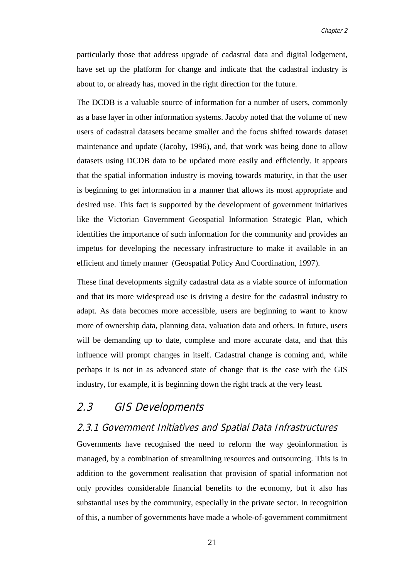particularly those that address upgrade of cadastral data and digital lodgement, have set up the platform for change and indicate that the cadastral industry is about to, or already has, moved in the right direction for the future.

The DCDB is a valuable source of information for a number of users, commonly as a base layer in other information systems. Jacoby noted that the volume of new users of cadastral datasets became smaller and the focus shifted towards dataset maintenance and update (Jacoby, 1996), and, that work was being done to allow datasets using DCDB data to be updated more easily and efficiently. It appears that the spatial information industry is moving towards maturity, in that the user is beginning to get information in a manner that allows its most appropriate and desired use. This fact is supported by the development of government initiatives like the Victorian Government Geospatial Information Strategic Plan, which identifies the importance of such information for the community and provides an impetus for developing the necessary infrastructure to make it available in an efficient and timely manner (Geospatial Policy And Coordination, 1997).

These final developments signify cadastral data as a viable source of information and that its more widespread use is driving a desire for the cadastral industry to adapt. As data becomes more accessible, users are beginning to want to know more of ownership data, planning data, valuation data and others. In future, users will be demanding up to date, complete and more accurate data, and that this influence will prompt changes in itself. Cadastral change is coming and, while perhaps it is not in as advanced state of change that is the case with the GIS industry, for example, it is beginning down the right track at the very least.

### 2.3 GIS Developments

#### 2.3.1 Government Initiatives and Spatial Data Infrastructures

Governments have recognised the need to reform the way geoinformation is managed, by a combination of streamlining resources and outsourcing. This is in addition to the government realisation that provision of spatial information not only provides considerable financial benefits to the economy, but it also has substantial uses by the community, especially in the private sector. In recognition of this, a number of governments have made a whole-of-government commitment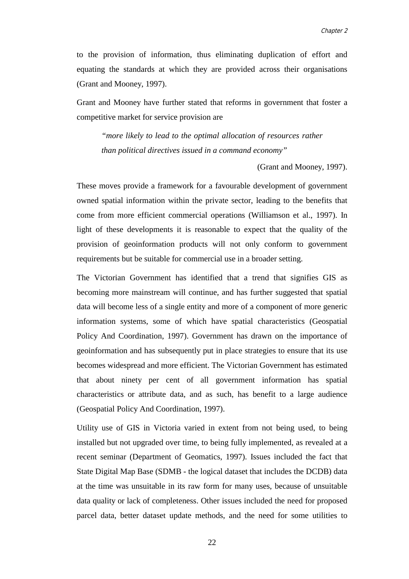to the provision of information, thus eliminating duplication of effort and equating the standards at which they are provided across their organisations (Grant and Mooney, 1997).

Grant and Mooney have further stated that reforms in government that foster a competitive market for service provision are

*"more likely to lead to the optimal allocation of resources rather than political directives issued in a command economy"*

(Grant and Mooney, 1997).

These moves provide a framework for a favourable development of government owned spatial information within the private sector, leading to the benefits that come from more efficient commercial operations (Williamson et al., 1997). In light of these developments it is reasonable to expect that the quality of the provision of geoinformation products will not only conform to government requirements but be suitable for commercial use in a broader setting.

The Victorian Government has identified that a trend that signifies GIS as becoming more mainstream will continue, and has further suggested that spatial data will become less of a single entity and more of a component of more generic information systems, some of which have spatial characteristics (Geospatial Policy And Coordination, 1997). Government has drawn on the importance of geoinformation and has subsequently put in place strategies to ensure that its use becomes widespread and more efficient. The Victorian Government has estimated that about ninety per cent of all government information has spatial characteristics or attribute data, and as such, has benefit to a large audience (Geospatial Policy And Coordination, 1997).

Utility use of GIS in Victoria varied in extent from not being used, to being installed but not upgraded over time, to being fully implemented, as revealed at a recent seminar (Department of Geomatics, 1997). Issues included the fact that State Digital Map Base (SDMB - the logical dataset that includes the DCDB) data at the time was unsuitable in its raw form for many uses, because of unsuitable data quality or lack of completeness. Other issues included the need for proposed parcel data, better dataset update methods, and the need for some utilities to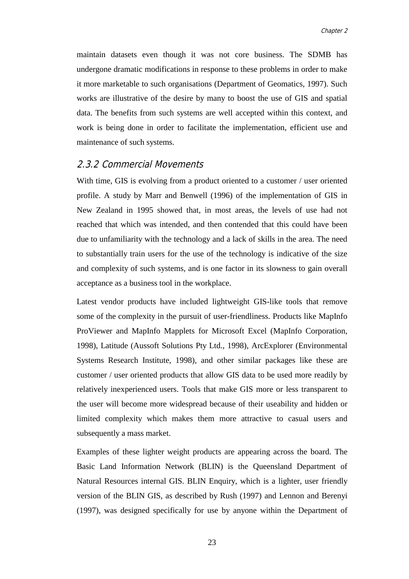maintain datasets even though it was not core business. The SDMB has undergone dramatic modifications in response to these problems in order to make it more marketable to such organisations (Department of Geomatics, 1997). Such works are illustrative of the desire by many to boost the use of GIS and spatial data. The benefits from such systems are well accepted within this context, and work is being done in order to facilitate the implementation, efficient use and maintenance of such systems.

#### 2.3.2 Commercial Movements

With time, GIS is evolving from a product oriented to a customer / user oriented profile. A study by Marr and Benwell (1996) of the implementation of GIS in New Zealand in 1995 showed that, in most areas, the levels of use had not reached that which was intended, and then contended that this could have been due to unfamiliarity with the technology and a lack of skills in the area. The need to substantially train users for the use of the technology is indicative of the size and complexity of such systems, and is one factor in its slowness to gain overall acceptance as a business tool in the workplace.

Latest vendor products have included lightweight GIS-like tools that remove some of the complexity in the pursuit of user-friendliness. Products like MapInfo ProViewer and MapInfo Mapplets for Microsoft Excel (MapInfo Corporation, 1998), Latitude (Aussoft Solutions Pty Ltd., 1998), ArcExplorer (Environmental Systems Research Institute, 1998), and other similar packages like these are customer / user oriented products that allow GIS data to be used more readily by relatively inexperienced users. Tools that make GIS more or less transparent to the user will become more widespread because of their useability and hidden or limited complexity which makes them more attractive to casual users and subsequently a mass market.

Examples of these lighter weight products are appearing across the board. The Basic Land Information Network (BLIN) is the Queensland Department of Natural Resources internal GIS. BLIN Enquiry, which is a lighter, user friendly version of the BLIN GIS, as described by Rush (1997) and Lennon and Berenyi (1997), was designed specifically for use by anyone within the Department of

23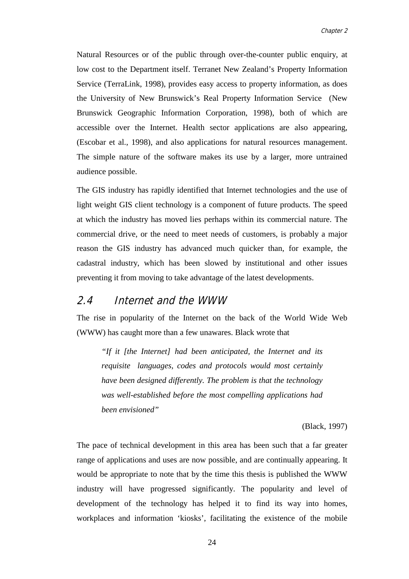Natural Resources or of the public through over-the-counter public enquiry, at low cost to the Department itself. Terranet New Zealand's Property Information Service (TerraLink, 1998), provides easy access to property information, as does the University of New Brunswick's Real Property Information Service (New Brunswick Geographic Information Corporation, 1998), both of which are accessible over the Internet. Health sector applications are also appearing, (Escobar et al., 1998), and also applications for natural resources management. The simple nature of the software makes its use by a larger, more untrained audience possible.

The GIS industry has rapidly identified that Internet technologies and the use of light weight GIS client technology is a component of future products. The speed at which the industry has moved lies perhaps within its commercial nature. The commercial drive, or the need to meet needs of customers, is probably a major reason the GIS industry has advanced much quicker than, for example, the cadastral industry, which has been slowed by institutional and other issues preventing it from moving to take advantage of the latest developments.

#### 2.4 Internet and the WWW

The rise in popularity of the Internet on the back of the World Wide Web (WWW) has caught more than a few unawares. Black wrote that

*"If it [the Internet] had been anticipated, the Internet and its requisite languages, codes and protocols would most certainly have been designed differently. The problem is that the technology was well-established before the most compelling applications had been envisioned"*

(Black, 1997)

The pace of technical development in this area has been such that a far greater range of applications and uses are now possible, and are continually appearing. It would be appropriate to note that by the time this thesis is published the WWW industry will have progressed significantly. The popularity and level of development of the technology has helped it to find its way into homes, workplaces and information 'kiosks', facilitating the existence of the mobile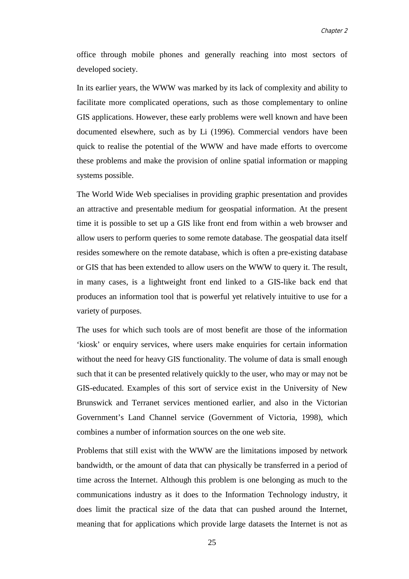office through mobile phones and generally reaching into most sectors of developed society.

In its earlier years, the WWW was marked by its lack of complexity and ability to facilitate more complicated operations, such as those complementary to online GIS applications. However, these early problems were well known and have been documented elsewhere, such as by Li (1996). Commercial vendors have been quick to realise the potential of the WWW and have made efforts to overcome these problems and make the provision of online spatial information or mapping systems possible.

The World Wide Web specialises in providing graphic presentation and provides an attractive and presentable medium for geospatial information. At the present time it is possible to set up a GIS like front end from within a web browser and allow users to perform queries to some remote database. The geospatial data itself resides somewhere on the remote database, which is often a pre-existing database or GIS that has been extended to allow users on the WWW to query it. The result, in many cases, is a lightweight front end linked to a GIS-like back end that produces an information tool that is powerful yet relatively intuitive to use for a variety of purposes.

The uses for which such tools are of most benefit are those of the information 'kiosk' or enquiry services, where users make enquiries for certain information without the need for heavy GIS functionality. The volume of data is small enough such that it can be presented relatively quickly to the user, who may or may not be GIS-educated. Examples of this sort of service exist in the University of New Brunswick and Terranet services mentioned earlier, and also in the Victorian Government's Land Channel service (Government of Victoria, 1998), which combines a number of information sources on the one web site.

Problems that still exist with the WWW are the limitations imposed by network bandwidth, or the amount of data that can physically be transferred in a period of time across the Internet. Although this problem is one belonging as much to the communications industry as it does to the Information Technology industry, it does limit the practical size of the data that can pushed around the Internet, meaning that for applications which provide large datasets the Internet is not as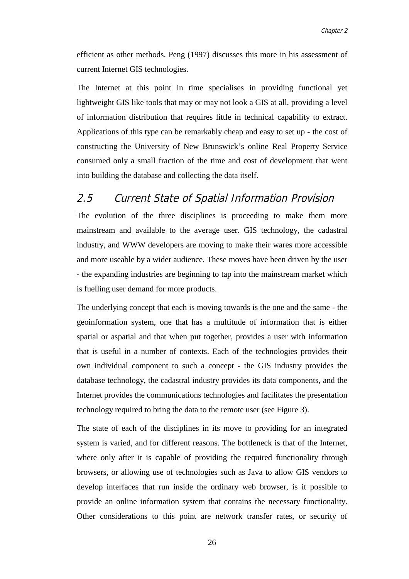efficient as other methods. Peng (1997) discusses this more in his assessment of current Internet GIS technologies.

The Internet at this point in time specialises in providing functional yet lightweight GIS like tools that may or may not look a GIS at all, providing a level of information distribution that requires little in technical capability to extract. Applications of this type can be remarkably cheap and easy to set up - the cost of constructing the University of New Brunswick's online Real Property Service consumed only a small fraction of the time and cost of development that went into building the database and collecting the data itself.

### 2.5 Current State of Spatial Information Provision

The evolution of the three disciplines is proceeding to make them more mainstream and available to the average user. GIS technology, the cadastral industry, and WWW developers are moving to make their wares more accessible and more useable by a wider audience. These moves have been driven by the user - the expanding industries are beginning to tap into the mainstream market which is fuelling user demand for more products.

The underlying concept that each is moving towards is the one and the same - the geoinformation system, one that has a multitude of information that is either spatial or aspatial and that when put together, provides a user with information that is useful in a number of contexts. Each of the technologies provides their own individual component to such a concept - the GIS industry provides the database technology, the cadastral industry provides its data components, and the Internet provides the communications technologies and facilitates the presentation technology required to bring the data to the remote user (see Figure 3).

The state of each of the disciplines in its move to providing for an integrated system is varied, and for different reasons. The bottleneck is that of the Internet, where only after it is capable of providing the required functionality through browsers, or allowing use of technologies such as Java to allow GIS vendors to develop interfaces that run inside the ordinary web browser, is it possible to provide an online information system that contains the necessary functionality. Other considerations to this point are network transfer rates, or security of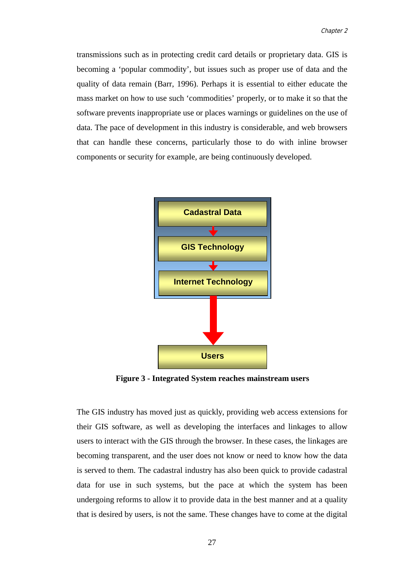transmissions such as in protecting credit card details or proprietary data. GIS is becoming a 'popular commodity', but issues such as proper use of data and the quality of data remain (Barr, 1996). Perhaps it is essential to either educate the mass market on how to use such 'commodities' properly, or to make it so that the software prevents inappropriate use or places warnings or guidelines on the use of data. The pace of development in this industry is considerable, and web browsers that can handle these concerns, particularly those to do with inline browser components or security for example, are being continuously developed.



**Figure 3 - Integrated System reaches mainstream users**

The GIS industry has moved just as quickly, providing web access extensions for their GIS software, as well as developing the interfaces and linkages to allow users to interact with the GIS through the browser. In these cases, the linkages are becoming transparent, and the user does not know or need to know how the data is served to them. The cadastral industry has also been quick to provide cadastral data for use in such systems, but the pace at which the system has been undergoing reforms to allow it to provide data in the best manner and at a quality that is desired by users, is not the same. These changes have to come at the digital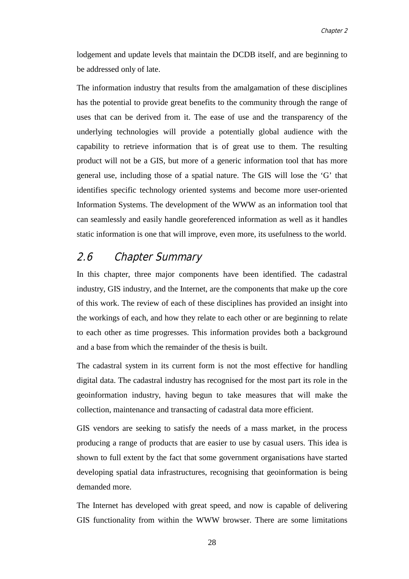lodgement and update levels that maintain the DCDB itself, and are beginning to be addressed only of late.

The information industry that results from the amalgamation of these disciplines has the potential to provide great benefits to the community through the range of uses that can be derived from it. The ease of use and the transparency of the underlying technologies will provide a potentially global audience with the capability to retrieve information that is of great use to them. The resulting product will not be a GIS, but more of a generic information tool that has more general use, including those of a spatial nature. The GIS will lose the 'G' that identifies specific technology oriented systems and become more user-oriented Information Systems. The development of the WWW as an information tool that can seamlessly and easily handle georeferenced information as well as it handles static information is one that will improve, even more, its usefulness to the world.

# 2.6 Chapter Summary

In this chapter, three major components have been identified. The cadastral industry, GIS industry, and the Internet, are the components that make up the core of this work. The review of each of these disciplines has provided an insight into the workings of each, and how they relate to each other or are beginning to relate to each other as time progresses. This information provides both a background and a base from which the remainder of the thesis is built.

The cadastral system in its current form is not the most effective for handling digital data. The cadastral industry has recognised for the most part its role in the geoinformation industry, having begun to take measures that will make the collection, maintenance and transacting of cadastral data more efficient.

GIS vendors are seeking to satisfy the needs of a mass market, in the process producing a range of products that are easier to use by casual users. This idea is shown to full extent by the fact that some government organisations have started developing spatial data infrastructures, recognising that geoinformation is being demanded more.

The Internet has developed with great speed, and now is capable of delivering GIS functionality from within the WWW browser. There are some limitations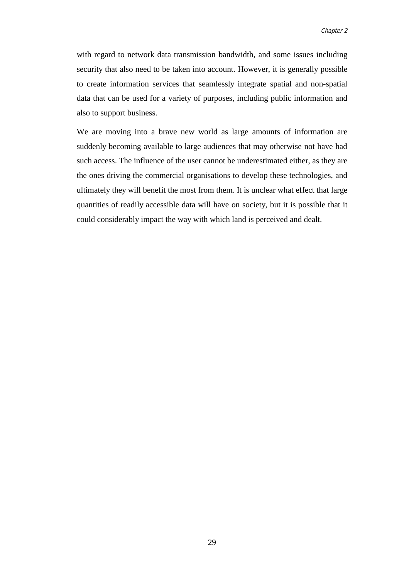with regard to network data transmission bandwidth, and some issues including security that also need to be taken into account. However, it is generally possible to create information services that seamlessly integrate spatial and non-spatial data that can be used for a variety of purposes, including public information and also to support business.

We are moving into a brave new world as large amounts of information are suddenly becoming available to large audiences that may otherwise not have had such access. The influence of the user cannot be underestimated either, as they are the ones driving the commercial organisations to develop these technologies, and ultimately they will benefit the most from them. It is unclear what effect that large quantities of readily accessible data will have on society, but it is possible that it could considerably impact the way with which land is perceived and dealt.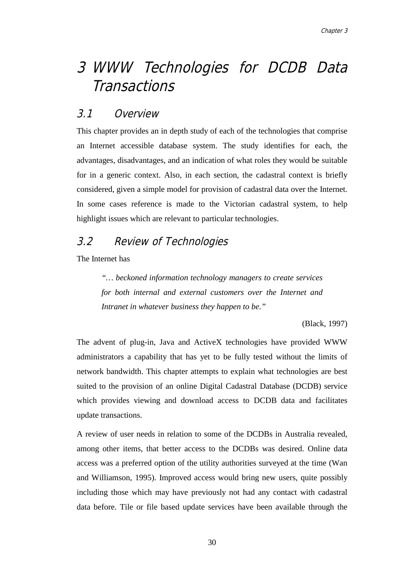# 3 WWW Technologies for DCDB Data **Transactions**

# 3.1 Overview

This chapter provides an in depth study of each of the technologies that comprise an Internet accessible database system. The study identifies for each, the advantages, disadvantages, and an indication of what roles they would be suitable for in a generic context. Also, in each section, the cadastral context is briefly considered, given a simple model for provision of cadastral data over the Internet. In some cases reference is made to the Victorian cadastral system, to help highlight issues which are relevant to particular technologies.

# 3.2 Review of Technologies

The Internet has

*"… beckoned information technology managers to create services for both internal and external customers over the Internet and Intranet in whatever business they happen to be."*

(Black, 1997)

The advent of plug-in, Java and ActiveX technologies have provided WWW administrators a capability that has yet to be fully tested without the limits of network bandwidth. This chapter attempts to explain what technologies are best suited to the provision of an online Digital Cadastral Database (DCDB) service which provides viewing and download access to DCDB data and facilitates update transactions.

A review of user needs in relation to some of the DCDBs in Australia revealed, among other items, that better access to the DCDBs was desired. Online data access was a preferred option of the utility authorities surveyed at the time (Wan and Williamson, 1995). Improved access would bring new users, quite possibly including those which may have previously not had any contact with cadastral data before. Tile or file based update services have been available through the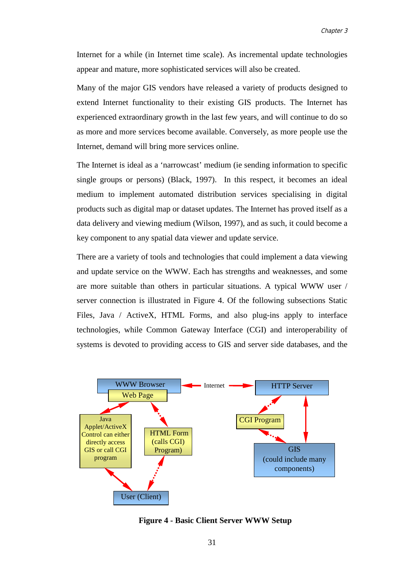Internet for a while (in Internet time scale). As incremental update technologies appear and mature, more sophisticated services will also be created.

Many of the major GIS vendors have released a variety of products designed to extend Internet functionality to their existing GIS products. The Internet has experienced extraordinary growth in the last few years, and will continue to do so as more and more services become available. Conversely, as more people use the Internet, demand will bring more services online.

The Internet is ideal as a 'narrowcast' medium (ie sending information to specific single groups or persons) (Black, 1997). In this respect, it becomes an ideal medium to implement automated distribution services specialising in digital products such as digital map or dataset updates. The Internet has proved itself as a data delivery and viewing medium (Wilson, 1997), and as such, it could become a key component to any spatial data viewer and update service.

There are a variety of tools and technologies that could implement a data viewing and update service on the WWW. Each has strengths and weaknesses, and some are more suitable than others in particular situations. A typical WWW user / server connection is illustrated in Figure 4. Of the following subsections Static Files, Java / ActiveX, HTML Forms, and also plug-ins apply to interface technologies, while Common Gateway Interface (CGI) and interoperability of systems is devoted to providing access to GIS and server side databases, and the



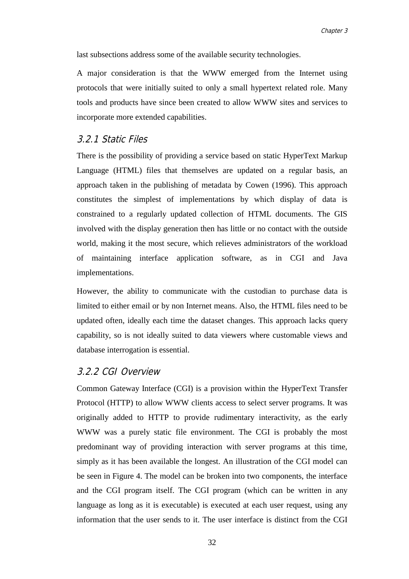last subsections address some of the available security technologies.

A major consideration is that the WWW emerged from the Internet using protocols that were initially suited to only a small hypertext related role. Many tools and products have since been created to allow WWW sites and services to incorporate more extended capabilities.

# 3.2.1 Static Files

There is the possibility of providing a service based on static HyperText Markup Language (HTML) files that themselves are updated on a regular basis, an approach taken in the publishing of metadata by Cowen (1996). This approach constitutes the simplest of implementations by which display of data is constrained to a regularly updated collection of HTML documents. The GIS involved with the display generation then has little or no contact with the outside world, making it the most secure, which relieves administrators of the workload of maintaining interface application software, as in CGI and Java implementations.

However, the ability to communicate with the custodian to purchase data is limited to either email or by non Internet means. Also, the HTML files need to be updated often, ideally each time the dataset changes. This approach lacks query capability, so is not ideally suited to data viewers where customable views and database interrogation is essential.

### 3.2.2 CGI Overview

Common Gateway Interface (CGI) is a provision within the HyperText Transfer Protocol (HTTP) to allow WWW clients access to select server programs. It was originally added to HTTP to provide rudimentary interactivity, as the early WWW was a purely static file environment. The CGI is probably the most predominant way of providing interaction with server programs at this time, simply as it has been available the longest. An illustration of the CGI model can be seen in Figure 4. The model can be broken into two components, the interface and the CGI program itself. The CGI program (which can be written in any language as long as it is executable) is executed at each user request, using any information that the user sends to it. The user interface is distinct from the CGI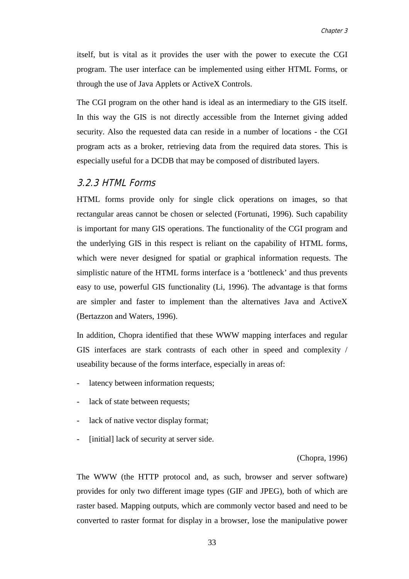itself, but is vital as it provides the user with the power to execute the CGI program. The user interface can be implemented using either HTML Forms, or through the use of Java Applets or ActiveX Controls.

The CGI program on the other hand is ideal as an intermediary to the GIS itself. In this way the GIS is not directly accessible from the Internet giving added security. Also the requested data can reside in a number of locations - the CGI program acts as a broker, retrieving data from the required data stores. This is especially useful for a DCDB that may be composed of distributed layers.

# 3.2.3 HTML Forms

HTML forms provide only for single click operations on images, so that rectangular areas cannot be chosen or selected (Fortunati, 1996). Such capability is important for many GIS operations. The functionality of the CGI program and the underlying GIS in this respect is reliant on the capability of HTML forms, which were never designed for spatial or graphical information requests. The simplistic nature of the HTML forms interface is a 'bottleneck' and thus prevents easy to use, powerful GIS functionality (Li, 1996). The advantage is that forms are simpler and faster to implement than the alternatives Java and ActiveX (Bertazzon and Waters, 1996).

In addition, Chopra identified that these WWW mapping interfaces and regular GIS interfaces are stark contrasts of each other in speed and complexity / useability because of the forms interface, especially in areas of:

- latency between information requests;
- lack of state between requests;
- lack of native vector display format;
- [initial] lack of security at server side.

(Chopra, 1996)

The WWW (the HTTP protocol and, as such, browser and server software) provides for only two different image types (GIF and JPEG), both of which are raster based. Mapping outputs, which are commonly vector based and need to be converted to raster format for display in a browser, lose the manipulative power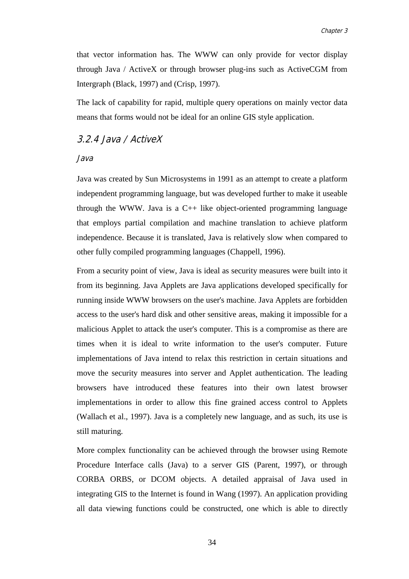that vector information has. The WWW can only provide for vector display through Java / ActiveX or through browser plug-ins such as ActiveCGM from Intergraph (Black, 1997) and (Crisp, 1997).

The lack of capability for rapid, multiple query operations on mainly vector data means that forms would not be ideal for an online GIS style application.

# 3.2.4 Java / ActiveX

#### Java

Java was created by Sun Microsystems in 1991 as an attempt to create a platform independent programming language, but was developed further to make it useable through the WWW. Java is a  $C_{++}$  like object-oriented programming language that employs partial compilation and machine translation to achieve platform independence. Because it is translated, Java is relatively slow when compared to other fully compiled programming languages (Chappell, 1996).

From a security point of view, Java is ideal as security measures were built into it from its beginning. Java Applets are Java applications developed specifically for running inside WWW browsers on the user's machine. Java Applets are forbidden access to the user's hard disk and other sensitive areas, making it impossible for a malicious Applet to attack the user's computer. This is a compromise as there are times when it is ideal to write information to the user's computer. Future implementations of Java intend to relax this restriction in certain situations and move the security measures into server and Applet authentication. The leading browsers have introduced these features into their own latest browser implementations in order to allow this fine grained access control to Applets (Wallach et al., 1997). Java is a completely new language, and as such, its use is still maturing.

More complex functionality can be achieved through the browser using Remote Procedure Interface calls (Java) to a server GIS (Parent, 1997), or through CORBA ORBS, or DCOM objects. A detailed appraisal of Java used in integrating GIS to the Internet is found in Wang (1997). An application providing all data viewing functions could be constructed, one which is able to directly

34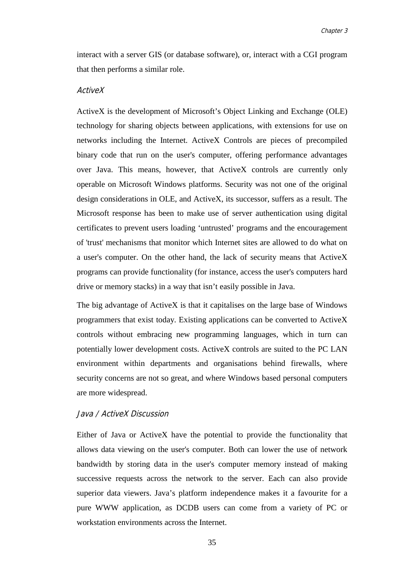interact with a server GIS (or database software), or, interact with a CGI program that then performs a similar role.

#### ActiveX

ActiveX is the development of Microsoft's Object Linking and Exchange (OLE) technology for sharing objects between applications, with extensions for use on networks including the Internet. ActiveX Controls are pieces of precompiled binary code that run on the user's computer, offering performance advantages over Java. This means, however, that ActiveX controls are currently only operable on Microsoft Windows platforms. Security was not one of the original design considerations in OLE, and ActiveX, its successor, suffers as a result. The Microsoft response has been to make use of server authentication using digital certificates to prevent users loading 'untrusted' programs and the encouragement of 'trust' mechanisms that monitor which Internet sites are allowed to do what on a user's computer. On the other hand, the lack of security means that ActiveX programs can provide functionality (for instance, access the user's computers hard drive or memory stacks) in a way that isn't easily possible in Java.

The big advantage of ActiveX is that it capitalises on the large base of Windows programmers that exist today. Existing applications can be converted to ActiveX controls without embracing new programming languages, which in turn can potentially lower development costs. ActiveX controls are suited to the PC LAN environment within departments and organisations behind firewalls, where security concerns are not so great, and where Windows based personal computers are more widespread.

#### Java / ActiveX Discussion

Either of Java or ActiveX have the potential to provide the functionality that allows data viewing on the user's computer. Both can lower the use of network bandwidth by storing data in the user's computer memory instead of making successive requests across the network to the server. Each can also provide superior data viewers. Java's platform independence makes it a favourite for a pure WWW application, as DCDB users can come from a variety of PC or workstation environments across the Internet.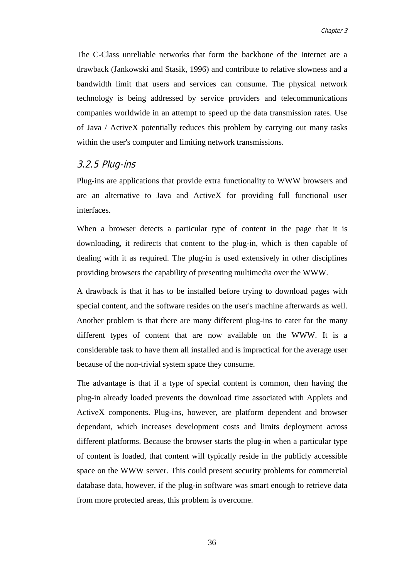The C-Class unreliable networks that form the backbone of the Internet are a drawback (Jankowski and Stasik, 1996) and contribute to relative slowness and a bandwidth limit that users and services can consume. The physical network technology is being addressed by service providers and telecommunications companies worldwide in an attempt to speed up the data transmission rates. Use of Java / ActiveX potentially reduces this problem by carrying out many tasks within the user's computer and limiting network transmissions.

### 3.2.5 Plug-ins

Plug-ins are applications that provide extra functionality to WWW browsers and are an alternative to Java and ActiveX for providing full functional user interfaces.

When a browser detects a particular type of content in the page that it is downloading, it redirects that content to the plug-in, which is then capable of dealing with it as required. The plug-in is used extensively in other disciplines providing browsers the capability of presenting multimedia over the WWW.

A drawback is that it has to be installed before trying to download pages with special content, and the software resides on the user's machine afterwards as well. Another problem is that there are many different plug-ins to cater for the many different types of content that are now available on the WWW. It is a considerable task to have them all installed and is impractical for the average user because of the non-trivial system space they consume.

The advantage is that if a type of special content is common, then having the plug-in already loaded prevents the download time associated with Applets and ActiveX components. Plug-ins, however, are platform dependent and browser dependant, which increases development costs and limits deployment across different platforms. Because the browser starts the plug-in when a particular type of content is loaded, that content will typically reside in the publicly accessible space on the WWW server. This could present security problems for commercial database data, however, if the plug-in software was smart enough to retrieve data from more protected areas, this problem is overcome.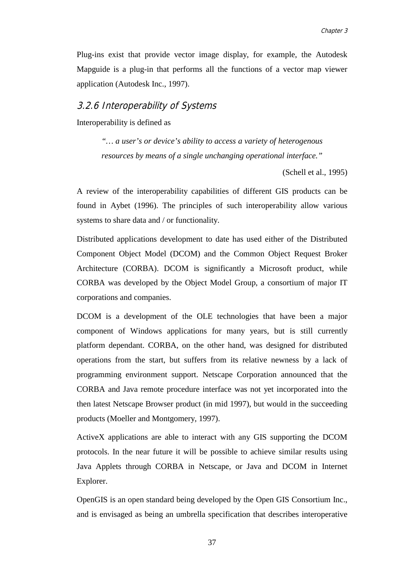Plug-ins exist that provide vector image display, for example, the Autodesk Mapguide is a plug-in that performs all the functions of a vector map viewer application (Autodesk Inc., 1997).

# 3.2.6 Interoperability of Systems

Interoperability is defined as

*"… a user's or device's ability to access a variety of heterogenous resources by means of a single unchanging operational interface."*

(Schell et al., 1995)

A review of the interoperability capabilities of different GIS products can be found in Aybet (1996). The principles of such interoperability allow various systems to share data and / or functionality.

Distributed applications development to date has used either of the Distributed Component Object Model (DCOM) and the Common Object Request Broker Architecture (CORBA). DCOM is significantly a Microsoft product, while CORBA was developed by the Object Model Group, a consortium of major IT corporations and companies.

DCOM is a development of the OLE technologies that have been a major component of Windows applications for many years, but is still currently platform dependant. CORBA, on the other hand, was designed for distributed operations from the start, but suffers from its relative newness by a lack of programming environment support. Netscape Corporation announced that the CORBA and Java remote procedure interface was not yet incorporated into the then latest Netscape Browser product (in mid 1997), but would in the succeeding products (Moeller and Montgomery, 1997).

ActiveX applications are able to interact with any GIS supporting the DCOM protocols. In the near future it will be possible to achieve similar results using Java Applets through CORBA in Netscape, or Java and DCOM in Internet Explorer.

OpenGIS is an open standard being developed by the Open GIS Consortium Inc., and is envisaged as being an umbrella specification that describes interoperative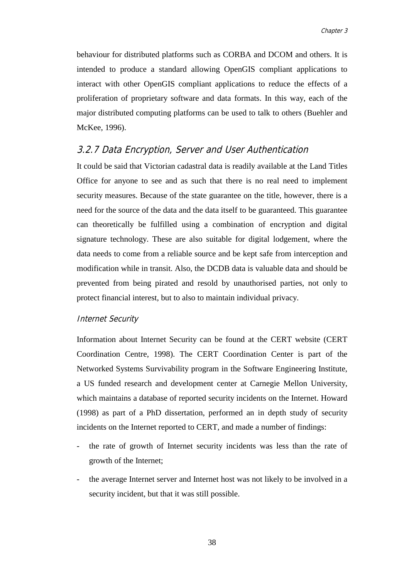behaviour for distributed platforms such as CORBA and DCOM and others. It is intended to produce a standard allowing OpenGIS compliant applications to interact with other OpenGIS compliant applications to reduce the effects of a proliferation of proprietary software and data formats. In this way, each of the major distributed computing platforms can be used to talk to others (Buehler and McKee, 1996).

## 3.2.7 Data Encryption, Server and User Authentication

It could be said that Victorian cadastral data is readily available at the Land Titles Office for anyone to see and as such that there is no real need to implement security measures. Because of the state guarantee on the title, however, there is a need for the source of the data and the data itself to be guaranteed. This guarantee can theoretically be fulfilled using a combination of encryption and digital signature technology. These are also suitable for digital lodgement, where the data needs to come from a reliable source and be kept safe from interception and modification while in transit. Also, the DCDB data is valuable data and should be prevented from being pirated and resold by unauthorised parties, not only to protect financial interest, but to also to maintain individual privacy.

#### Internet Security

Information about Internet Security can be found at the CERT website (CERT Coordination Centre, 1998). The CERT Coordination Center is part of the Networked Systems Survivability program in the Software Engineering Institute, a US funded research and development center at Carnegie Mellon University, which maintains a database of reported security incidents on the Internet. Howard (1998) as part of a PhD dissertation, performed an in depth study of security incidents on the Internet reported to CERT, and made a number of findings:

- the rate of growth of Internet security incidents was less than the rate of growth of the Internet;
- the average Internet server and Internet host was not likely to be involved in a security incident, but that it was still possible.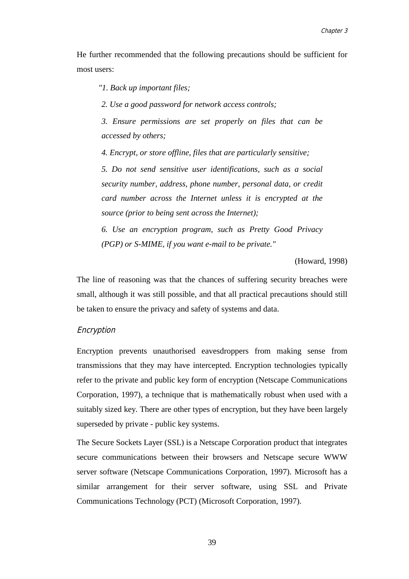He further recommended that the following precautions should be sufficient for most users:

*"1. Back up important files;*

*2. Use a good password for network access controls;*

*3. Ensure permissions are set properly on files that can be accessed by others;*

*4. Encrypt, or store offline, files that are particularly sensitive;*

*5. Do not send sensitive user identifications, such as a social security number, address, phone number, personal data, or credit card number across the Internet unless it is encrypted at the source (prior to being sent across the Internet);*

*6. Use an encryption program, such as Pretty Good Privacy (PGP) or S-MIME, if you want e-mail to be private."*

(Howard, 1998)

The line of reasoning was that the chances of suffering security breaches were small, although it was still possible, and that all practical precautions should still be taken to ensure the privacy and safety of systems and data.

#### Encryption

Encryption prevents unauthorised eavesdroppers from making sense from transmissions that they may have intercepted. Encryption technologies typically refer to the private and public key form of encryption (Netscape Communications Corporation, 1997), a technique that is mathematically robust when used with a suitably sized key. There are other types of encryption, but they have been largely superseded by private - public key systems.

The Secure Sockets Layer (SSL) is a Netscape Corporation product that integrates secure communications between their browsers and Netscape secure WWW server software (Netscape Communications Corporation, 1997). Microsoft has a similar arrangement for their server software, using SSL and Private Communications Technology (PCT) (Microsoft Corporation, 1997).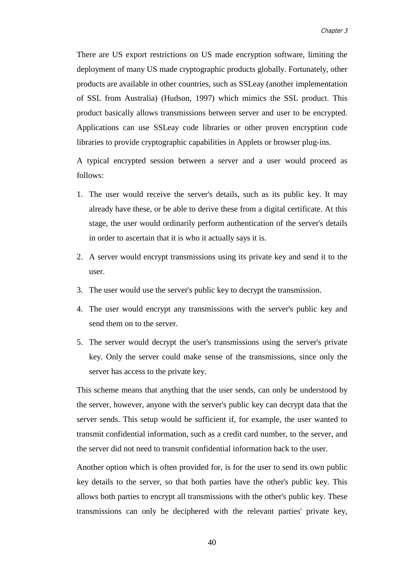There are US export restrictions on US made encryption software, limiting the deployment of many US made cryptographic products globally. Fortunately, other products are available in other countries, such as SSLeay (another implementation of SSL from Australia) (Hudson, 1997) which mimics the SSL product. This product basically allows transmissions between server and user to be encrypted. Applications can use SSLeay code libraries or other proven encryption code libraries to provide cryptographic capabilities in Applets or browser plug-ins.

A typical encrypted session between a server and a user would proceed as follows:

- 1. The user would receive the server's details, such as its public key. It may already have these, or be able to derive these from a digital certificate. At this stage, the user would ordinarily perform authentication of the server's details in order to ascertain that it is who it actually says it is.
- 2. A server would encrypt transmissions using its private key and send it to the user.
- 3. The user would use the server's public key to decrypt the transmission.
- 4. The user would encrypt any transmissions with the server's public key and send them on to the server.
- 5. The server would decrypt the user's transmissions using the server's private key. Only the server could make sense of the transmissions, since only the server has access to the private key.

This scheme means that anything that the user sends, can only be understood by the server, however, anyone with the server's public key can decrypt data that the server sends. This setup would be sufficient if, for example, the user wanted to transmit confidential information, such as a credit card number, to the server, and the server did not need to transmit confidential information back to the user.

Another option which is often provided for, is for the user to send its own public key details to the server, so that both parties have the other's public key. This allows both parties to encrypt all transmissions with the other's public key. These transmissions can only be deciphered with the relevant parties' private key,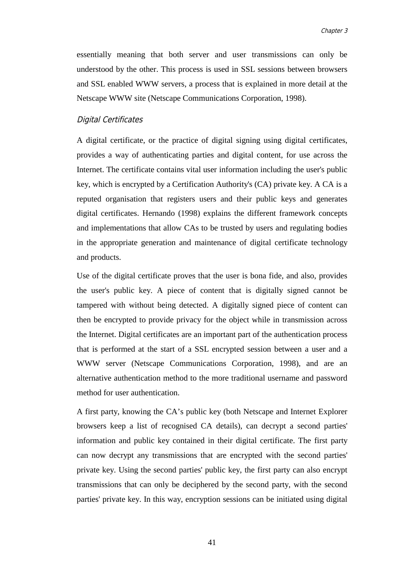essentially meaning that both server and user transmissions can only be understood by the other. This process is used in SSL sessions between browsers and SSL enabled WWW servers, a process that is explained in more detail at the Netscape WWW site (Netscape Communications Corporation, 1998).

#### Digital Certificates

A digital certificate, or the practice of digital signing using digital certificates, provides a way of authenticating parties and digital content, for use across the Internet. The certificate contains vital user information including the user's public key, which is encrypted by a Certification Authority's (CA) private key. A CA is a reputed organisation that registers users and their public keys and generates digital certificates. Hernando (1998) explains the different framework concepts and implementations that allow CAs to be trusted by users and regulating bodies in the appropriate generation and maintenance of digital certificate technology and products.

Use of the digital certificate proves that the user is bona fide, and also, provides the user's public key. A piece of content that is digitally signed cannot be tampered with without being detected. A digitally signed piece of content can then be encrypted to provide privacy for the object while in transmission across the Internet. Digital certificates are an important part of the authentication process that is performed at the start of a SSL encrypted session between a user and a WWW server (Netscape Communications Corporation, 1998), and are an alternative authentication method to the more traditional username and password method for user authentication.

A first party, knowing the CA's public key (both Netscape and Internet Explorer browsers keep a list of recognised CA details), can decrypt a second parties' information and public key contained in their digital certificate. The first party can now decrypt any transmissions that are encrypted with the second parties' private key. Using the second parties' public key, the first party can also encrypt transmissions that can only be deciphered by the second party, with the second parties' private key. In this way, encryption sessions can be initiated using digital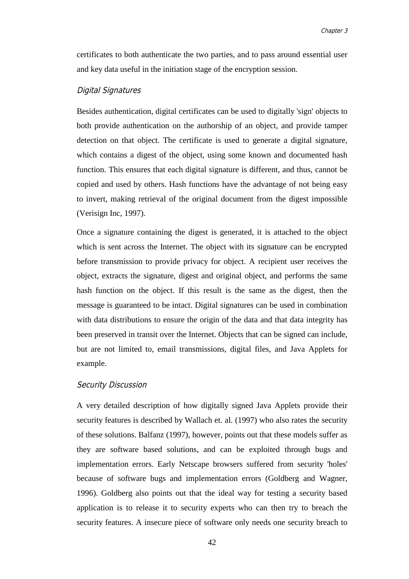certificates to both authenticate the two parties, and to pass around essential user and key data useful in the initiation stage of the encryption session.

#### Digital Signatures

Besides authentication, digital certificates can be used to digitally 'sign' objects to both provide authentication on the authorship of an object, and provide tamper detection on that object. The certificate is used to generate a digital signature, which contains a digest of the object, using some known and documented hash function. This ensures that each digital signature is different, and thus, cannot be copied and used by others. Hash functions have the advantage of not being easy to invert, making retrieval of the original document from the digest impossible (Verisign Inc, 1997).

Once a signature containing the digest is generated, it is attached to the object which is sent across the Internet. The object with its signature can be encrypted before transmission to provide privacy for object. A recipient user receives the object, extracts the signature, digest and original object, and performs the same hash function on the object. If this result is the same as the digest, then the message is guaranteed to be intact. Digital signatures can be used in combination with data distributions to ensure the origin of the data and that data integrity has been preserved in transit over the Internet. Objects that can be signed can include, but are not limited to, email transmissions, digital files, and Java Applets for example.

#### Security Discussion

A very detailed description of how digitally signed Java Applets provide their security features is described by Wallach et. al. (1997) who also rates the security of these solutions. Balfanz (1997), however, points out that these models suffer as they are software based solutions, and can be exploited through bugs and implementation errors. Early Netscape browsers suffered from security 'holes' because of software bugs and implementation errors (Goldberg and Wagner, 1996). Goldberg also points out that the ideal way for testing a security based application is to release it to security experts who can then try to breach the security features. A insecure piece of software only needs one security breach to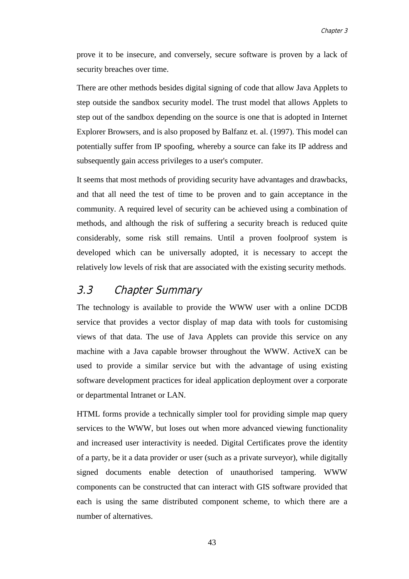prove it to be insecure, and conversely, secure software is proven by a lack of security breaches over time.

There are other methods besides digital signing of code that allow Java Applets to step outside the sandbox security model. The trust model that allows Applets to step out of the sandbox depending on the source is one that is adopted in Internet Explorer Browsers, and is also proposed by Balfanz et. al. (1997). This model can potentially suffer from IP spoofing, whereby a source can fake its IP address and subsequently gain access privileges to a user's computer.

It seems that most methods of providing security have advantages and drawbacks, and that all need the test of time to be proven and to gain acceptance in the community. A required level of security can be achieved using a combination of methods, and although the risk of suffering a security breach is reduced quite considerably, some risk still remains. Until a proven foolproof system is developed which can be universally adopted, it is necessary to accept the relatively low levels of risk that are associated with the existing security methods.

# 3.3 Chapter Summary

The technology is available to provide the WWW user with a online DCDB service that provides a vector display of map data with tools for customising views of that data. The use of Java Applets can provide this service on any machine with a Java capable browser throughout the WWW. ActiveX can be used to provide a similar service but with the advantage of using existing software development practices for ideal application deployment over a corporate or departmental Intranet or LAN.

HTML forms provide a technically simpler tool for providing simple map query services to the WWW, but loses out when more advanced viewing functionality and increased user interactivity is needed. Digital Certificates prove the identity of a party, be it a data provider or user (such as a private surveyor), while digitally signed documents enable detection of unauthorised tampering. WWW components can be constructed that can interact with GIS software provided that each is using the same distributed component scheme, to which there are a number of alternatives.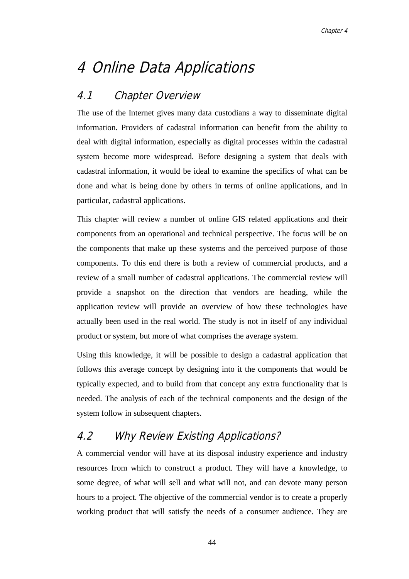# 4 Online Data Applications

# 4.1 Chapter Overview

The use of the Internet gives many data custodians a way to disseminate digital information. Providers of cadastral information can benefit from the ability to deal with digital information, especially as digital processes within the cadastral system become more widespread. Before designing a system that deals with cadastral information, it would be ideal to examine the specifics of what can be done and what is being done by others in terms of online applications, and in particular, cadastral applications.

This chapter will review a number of online GIS related applications and their components from an operational and technical perspective. The focus will be on the components that make up these systems and the perceived purpose of those components. To this end there is both a review of commercial products, and a review of a small number of cadastral applications. The commercial review will provide a snapshot on the direction that vendors are heading, while the application review will provide an overview of how these technologies have actually been used in the real world. The study is not in itself of any individual product or system, but more of what comprises the average system.

Using this knowledge, it will be possible to design a cadastral application that follows this average concept by designing into it the components that would be typically expected, and to build from that concept any extra functionality that is needed. The analysis of each of the technical components and the design of the system follow in subsequent chapters.

# 4.2 Why Review Existing Applications?

A commercial vendor will have at its disposal industry experience and industry resources from which to construct a product. They will have a knowledge, to some degree, of what will sell and what will not, and can devote many person hours to a project. The objective of the commercial vendor is to create a properly working product that will satisfy the needs of a consumer audience. They are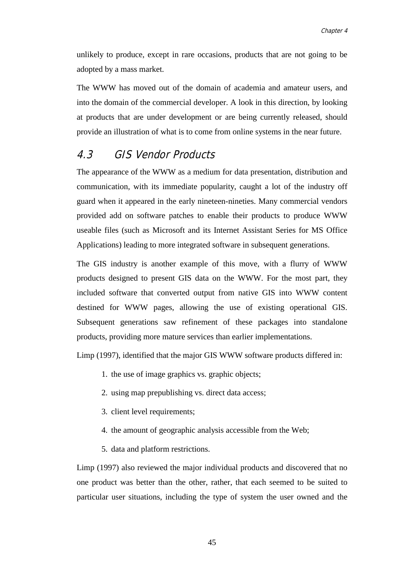unlikely to produce, except in rare occasions, products that are not going to be adopted by a mass market.

The WWW has moved out of the domain of academia and amateur users, and into the domain of the commercial developer. A look in this direction, by looking at products that are under development or are being currently released, should provide an illustration of what is to come from online systems in the near future.

# 4.3 GIS Vendor Products

The appearance of the WWW as a medium for data presentation, distribution and communication, with its immediate popularity, caught a lot of the industry off guard when it appeared in the early nineteen-nineties. Many commercial vendors provided add on software patches to enable their products to produce WWW useable files (such as Microsoft and its Internet Assistant Series for MS Office Applications) leading to more integrated software in subsequent generations.

The GIS industry is another example of this move, with a flurry of WWW products designed to present GIS data on the WWW. For the most part, they included software that converted output from native GIS into WWW content destined for WWW pages, allowing the use of existing operational GIS. Subsequent generations saw refinement of these packages into standalone products, providing more mature services than earlier implementations.

Limp (1997), identified that the major GIS WWW software products differed in:

- 1. the use of image graphics vs. graphic objects;
- 2. using map prepublishing vs. direct data access;
- 3. client level requirements;
- 4. the amount of geographic analysis accessible from the Web;
- 5. data and platform restrictions.

Limp (1997) also reviewed the major individual products and discovered that no one product was better than the other, rather, that each seemed to be suited to particular user situations, including the type of system the user owned and the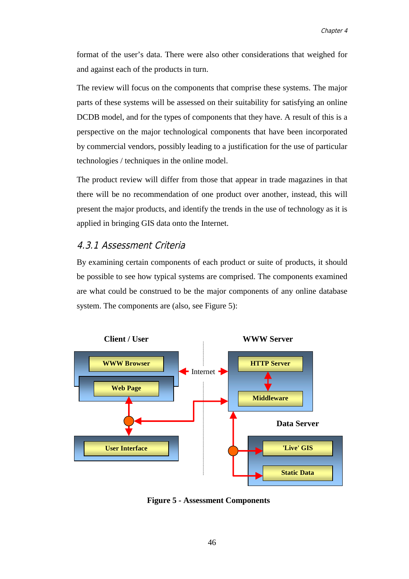format of the user's data. There were also other considerations that weighed for and against each of the products in turn.

The review will focus on the components that comprise these systems. The major parts of these systems will be assessed on their suitability for satisfying an online DCDB model, and for the types of components that they have. A result of this is a perspective on the major technological components that have been incorporated by commercial vendors, possibly leading to a justification for the use of particular technologies / techniques in the online model.

The product review will differ from those that appear in trade magazines in that there will be no recommendation of one product over another, instead, this will present the major products, and identify the trends in the use of technology as it is applied in bringing GIS data onto the Internet.

# 4.3.1 Assessment Criteria

By examining certain components of each product or suite of products, it should be possible to see how typical systems are comprised. The components examined are what could be construed to be the major components of any online database system. The components are (also, see Figure 5):



**Figure 5 - Assessment Components**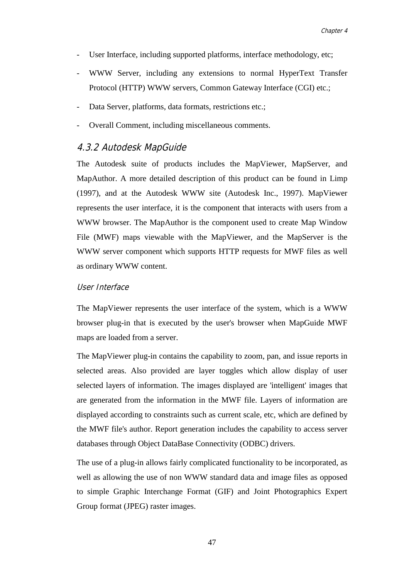- User Interface, including supported platforms, interface methodology, etc;
- WWW Server, including any extensions to normal HyperText Transfer Protocol (HTTP) WWW servers, Common Gateway Interface (CGI) etc.;
- Data Server, platforms, data formats, restrictions etc.;
- Overall Comment, including miscellaneous comments.

# 4.3.2 Autodesk MapGuide

The Autodesk suite of products includes the MapViewer, MapServer, and MapAuthor. A more detailed description of this product can be found in Limp (1997), and at the Autodesk WWW site (Autodesk Inc., 1997). MapViewer represents the user interface, it is the component that interacts with users from a WWW browser. The MapAuthor is the component used to create Map Window File (MWF) maps viewable with the MapViewer, and the MapServer is the WWW server component which supports HTTP requests for MWF files as well as ordinary WWW content.

#### User Interface

The MapViewer represents the user interface of the system, which is a WWW browser plug-in that is executed by the user's browser when MapGuide MWF maps are loaded from a server.

The MapViewer plug-in contains the capability to zoom, pan, and issue reports in selected areas. Also provided are layer toggles which allow display of user selected layers of information. The images displayed are 'intelligent' images that are generated from the information in the MWF file. Layers of information are displayed according to constraints such as current scale, etc, which are defined by the MWF file's author. Report generation includes the capability to access server databases through Object DataBase Connectivity (ODBC) drivers.

The use of a plug-in allows fairly complicated functionality to be incorporated, as well as allowing the use of non WWW standard data and image files as opposed to simple Graphic Interchange Format (GIF) and Joint Photographics Expert Group format (JPEG) raster images.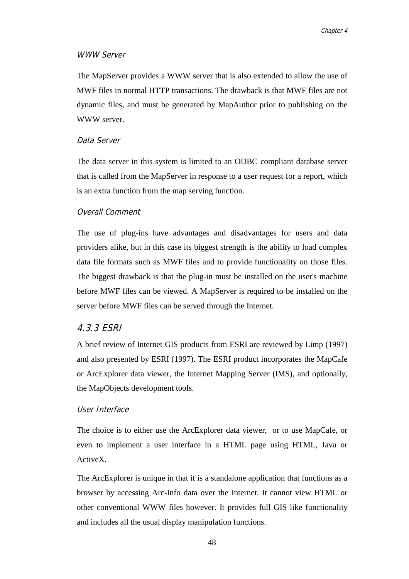#### WWW Server

The MapServer provides a WWW server that is also extended to allow the use of MWF files in normal HTTP transactions. The drawback is that MWF files are not dynamic files, and must be generated by MapAuthor prior to publishing on the WWW server.

#### Data Server

The data server in this system is limited to an ODBC compliant database server that is called from the MapServer in response to a user request for a report, which is an extra function from the map serving function.

#### Overall Comment

The use of plug-ins have advantages and disadvantages for users and data providers alike, but in this case its biggest strength is the ability to load complex data file formats such as MWF files and to provide functionality on those files. The biggest drawback is that the plug-in must be installed on the user's machine before MWF files can be viewed. A MapServer is required to be installed on the server before MWF files can be served through the Internet.

# 4.3.3 ESRI

A brief review of Internet GIS products from ESRI are reviewed by Limp (1997) and also presented by ESRI (1997). The ESRI product incorporates the MapCafe or ArcExplorer data viewer, the Internet Mapping Server (IMS), and optionally, the MapObjects development tools.

#### User Interface

The choice is to either use the ArcExplorer data viewer, or to use MapCafe, or even to implement a user interface in a HTML page using HTML, Java or ActiveX.

The ArcExplorer is unique in that it is a standalone application that functions as a browser by accessing Arc-Info data over the Internet. It cannot view HTML or other conventional WWW files however. It provides full GIS like functionality and includes all the usual display manipulation functions.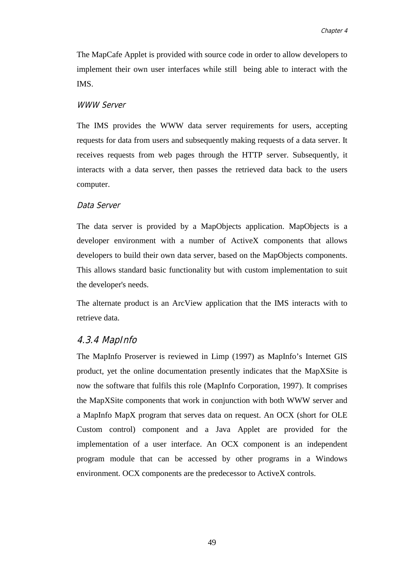The MapCafe Applet is provided with source code in order to allow developers to implement their own user interfaces while still being able to interact with the IMS.

#### WWW Server

The IMS provides the WWW data server requirements for users, accepting requests for data from users and subsequently making requests of a data server. It receives requests from web pages through the HTTP server. Subsequently, it interacts with a data server, then passes the retrieved data back to the users computer.

#### Data Server

The data server is provided by a MapObjects application. MapObjects is a developer environment with a number of ActiveX components that allows developers to build their own data server, based on the MapObjects components. This allows standard basic functionality but with custom implementation to suit the developer's needs.

The alternate product is an ArcView application that the IMS interacts with to retrieve data.

#### 4.3.4 MapInfo

The MapInfo Proserver is reviewed in Limp (1997) as MapInfo's Internet GIS product, yet the online documentation presently indicates that the MapXSite is now the software that fulfils this role (MapInfo Corporation, 1997). It comprises the MapXSite components that work in conjunction with both WWW server and a MapInfo MapX program that serves data on request. An OCX (short for OLE Custom control) component and a Java Applet are provided for the implementation of a user interface. An OCX component is an independent program module that can be accessed by other programs in a Windows environment. OCX components are the predecessor to ActiveX controls.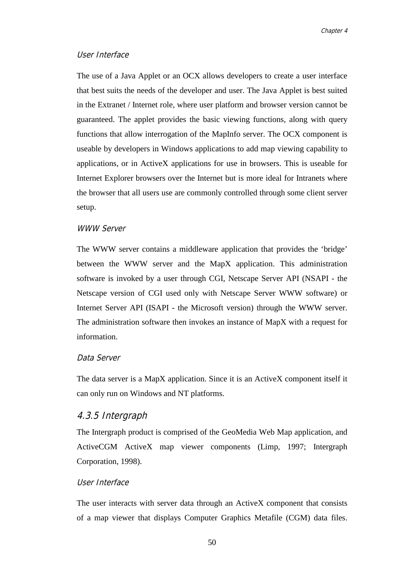#### User Interface

The use of a Java Applet or an OCX allows developers to create a user interface that best suits the needs of the developer and user. The Java Applet is best suited in the Extranet / Internet role, where user platform and browser version cannot be guaranteed. The applet provides the basic viewing functions, along with query functions that allow interrogation of the MapInfo server. The OCX component is useable by developers in Windows applications to add map viewing capability to applications, or in ActiveX applications for use in browsers. This is useable for Internet Explorer browsers over the Internet but is more ideal for Intranets where the browser that all users use are commonly controlled through some client server setup.

#### WWW Server

The WWW server contains a middleware application that provides the 'bridge' between the WWW server and the MapX application. This administration software is invoked by a user through CGI, Netscape Server API (NSAPI - the Netscape version of CGI used only with Netscape Server WWW software) or Internet Server API (ISAPI - the Microsoft version) through the WWW server. The administration software then invokes an instance of MapX with a request for information.

#### Data Server

The data server is a MapX application. Since it is an ActiveX component itself it can only run on Windows and NT platforms.

#### 4.3.5 Intergraph

The Intergraph product is comprised of the GeoMedia Web Map application, and ActiveCGM ActiveX map viewer components (Limp, 1997; Intergraph Corporation, 1998).

### User Interface

The user interacts with server data through an ActiveX component that consists of a map viewer that displays Computer Graphics Metafile (CGM) data files.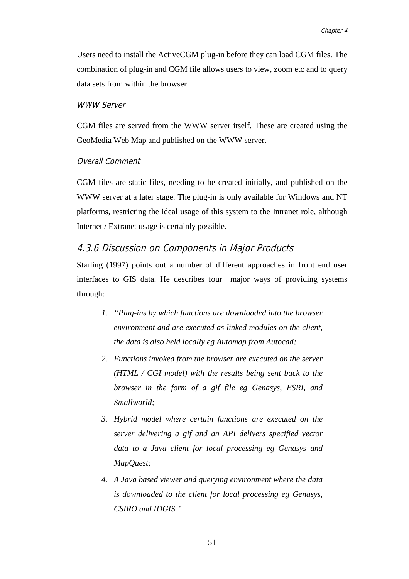Users need to install the ActiveCGM plug-in before they can load CGM files. The combination of plug-in and CGM file allows users to view, zoom etc and to query data sets from within the browser.

#### WWW Server

CGM files are served from the WWW server itself. These are created using the GeoMedia Web Map and published on the WWW server.

#### Overall Comment

CGM files are static files, needing to be created initially, and published on the WWW server at a later stage. The plug-in is only available for Windows and NT platforms, restricting the ideal usage of this system to the Intranet role, although Internet / Extranet usage is certainly possible.

#### 4.3.6 Discussion on Components in Major Products

Starling (1997) points out a number of different approaches in front end user interfaces to GIS data. He describes four major ways of providing systems through:

- *1. "Plug-ins by which functions are downloaded into the browser environment and are executed as linked modules on the client, the data is also held locally eg Automap from Autocad;*
- *2. Functions invoked from the browser are executed on the server (HTML / CGI model) with the results being sent back to the browser in the form of a gif file eg Genasys, ESRI, and Smallworld;*
- *3. Hybrid model where certain functions are executed on the server delivering a gif and an API delivers specified vector data to a Java client for local processing eg Genasys and MapQuest;*
- *4. A Java based viewer and querying environment where the data is downloaded to the client for local processing eg Genasys, CSIRO and IDGIS."*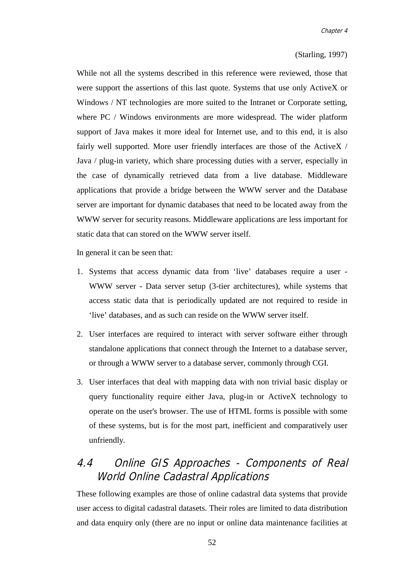#### (Starling, 1997)

While not all the systems described in this reference were reviewed, those that were support the assertions of this last quote. Systems that use only ActiveX or Windows / NT technologies are more suited to the Intranet or Corporate setting, where PC / Windows environments are more widespread. The wider platform support of Java makes it more ideal for Internet use, and to this end, it is also fairly well supported. More user friendly interfaces are those of the ActiveX / Java / plug-in variety, which share processing duties with a server, especially in the case of dynamically retrieved data from a live database. Middleware applications that provide a bridge between the WWW server and the Database server are important for dynamic databases that need to be located away from the WWW server for security reasons. Middleware applications are less important for static data that can stored on the WWW server itself.

In general it can be seen that:

- 1. Systems that access dynamic data from 'live' databases require a user WWW server - Data server setup (3-tier architectures), while systems that access static data that is periodically updated are not required to reside in 'live' databases, and as such can reside on the WWW server itself.
- 2. User interfaces are required to interact with server software either through standalone applications that connect through the Internet to a database server, or through a WWW server to a database server, commonly through CGI.
- 3. User interfaces that deal with mapping data with non trivial basic display or query functionality require either Java, plug-in or ActiveX technology to operate on the user's browser. The use of HTML forms is possible with some of these systems, but is for the most part, inefficient and comparatively user unfriendly.

# 4.4 Online GIS Approaches - Components of Real World Online Cadastral Applications

These following examples are those of online cadastral data systems that provide user access to digital cadastral datasets. Their roles are limited to data distribution and data enquiry only (there are no input or online data maintenance facilities at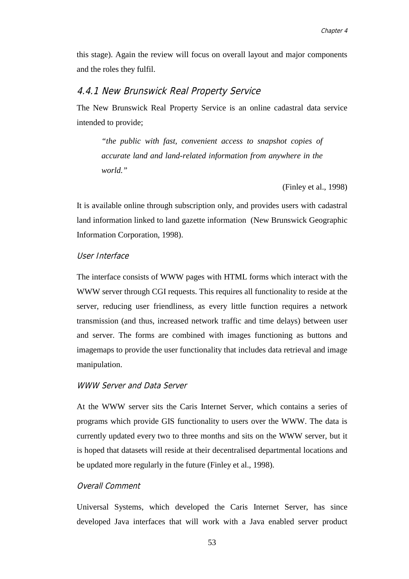this stage). Again the review will focus on overall layout and major components and the roles they fulfil.

### 4.4.1 New Brunswick Real Property Service

The New Brunswick Real Property Service is an online cadastral data service intended to provide;

*"the public with fast, convenient access to snapshot copies of accurate land and land-related information from anywhere in the world."*

(Finley et al., 1998)

It is available online through subscription only, and provides users with cadastral land information linked to land gazette information (New Brunswick Geographic Information Corporation, 1998).

#### User Interface

The interface consists of WWW pages with HTML forms which interact with the WWW server through CGI requests. This requires all functionality to reside at the server, reducing user friendliness, as every little function requires a network transmission (and thus, increased network traffic and time delays) between user and server. The forms are combined with images functioning as buttons and imagemaps to provide the user functionality that includes data retrieval and image manipulation.

### WWW Server and Data Server

At the WWW server sits the Caris Internet Server, which contains a series of programs which provide GIS functionality to users over the WWW. The data is currently updated every two to three months and sits on the WWW server, but it is hoped that datasets will reside at their decentralised departmental locations and be updated more regularly in the future (Finley et al., 1998).

#### Overall Comment

Universal Systems, which developed the Caris Internet Server, has since developed Java interfaces that will work with a Java enabled server product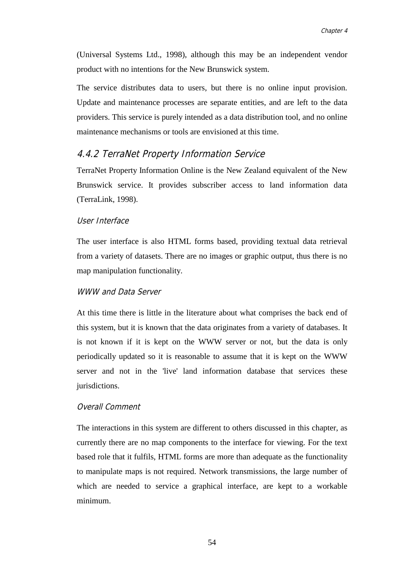(Universal Systems Ltd., 1998), although this may be an independent vendor product with no intentions for the New Brunswick system.

The service distributes data to users, but there is no online input provision. Update and maintenance processes are separate entities, and are left to the data providers. This service is purely intended as a data distribution tool, and no online maintenance mechanisms or tools are envisioned at this time.

# 4.4.2 TerraNet Property Information Service

TerraNet Property Information Online is the New Zealand equivalent of the New Brunswick service. It provides subscriber access to land information data (TerraLink, 1998).

#### User Interface

The user interface is also HTML forms based, providing textual data retrieval from a variety of datasets. There are no images or graphic output, thus there is no map manipulation functionality.

#### WWW and Data Server

At this time there is little in the literature about what comprises the back end of this system, but it is known that the data originates from a variety of databases. It is not known if it is kept on the WWW server or not, but the data is only periodically updated so it is reasonable to assume that it is kept on the WWW server and not in the 'live' land information database that services these jurisdictions.

#### Overall Comment

The interactions in this system are different to others discussed in this chapter, as currently there are no map components to the interface for viewing. For the text based role that it fulfils, HTML forms are more than adequate as the functionality to manipulate maps is not required. Network transmissions, the large number of which are needed to service a graphical interface, are kept to a workable minimum.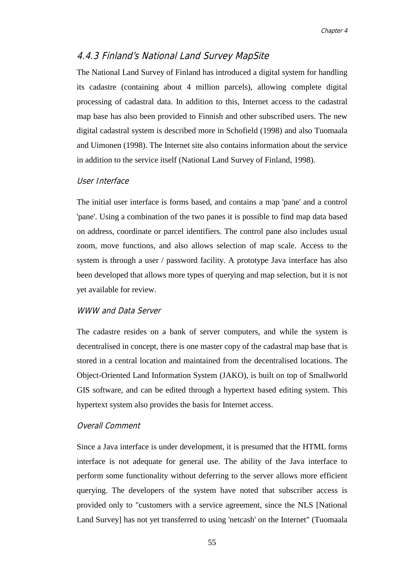# 4.4.3 Finland's National Land Survey MapSite

The National Land Survey of Finland has introduced a digital system for handling its cadastre (containing about 4 million parcels), allowing complete digital processing of cadastral data. In addition to this, Internet access to the cadastral map base has also been provided to Finnish and other subscribed users. The new digital cadastral system is described more in Schofield (1998) and also Tuomaala and Uimonen (1998). The Internet site also contains information about the service in addition to the service itself (National Land Survey of Finland, 1998).

#### User Interface

The initial user interface is forms based, and contains a map 'pane' and a control 'pane'. Using a combination of the two panes it is possible to find map data based on address, coordinate or parcel identifiers. The control pane also includes usual zoom, move functions, and also allows selection of map scale. Access to the system is through a user / password facility. A prototype Java interface has also been developed that allows more types of querying and map selection, but it is not yet available for review.

#### WWW and Data Server

The cadastre resides on a bank of server computers, and while the system is decentralised in concept, there is one master copy of the cadastral map base that is stored in a central location and maintained from the decentralised locations. The Object-Oriented Land Information System (JAKO), is built on top of Smallworld GIS software, and can be edited through a hypertext based editing system. This hypertext system also provides the basis for Internet access.

#### Overall Comment

Since a Java interface is under development, it is presumed that the HTML forms interface is not adequate for general use. The ability of the Java interface to perform some functionality without deferring to the server allows more efficient querying. The developers of the system have noted that subscriber access is provided only to "customers with a service agreement, since the NLS [National Land Survey] has not yet transferred to using 'netcash' on the Internet" (Tuomaala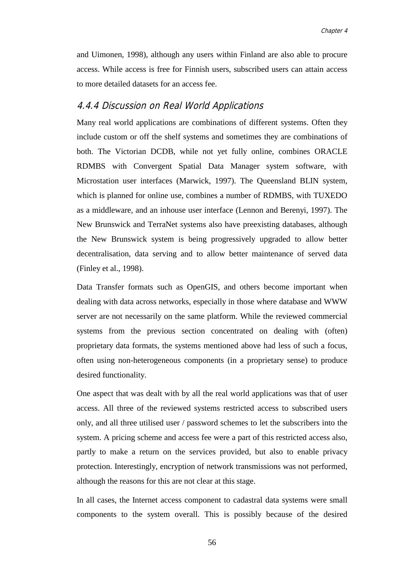and Uimonen, 1998), although any users within Finland are also able to procure access. While access is free for Finnish users, subscribed users can attain access to more detailed datasets for an access fee.

### 4.4.4 Discussion on Real World Applications

Many real world applications are combinations of different systems. Often they include custom or off the shelf systems and sometimes they are combinations of both. The Victorian DCDB, while not yet fully online, combines ORACLE RDMBS with Convergent Spatial Data Manager system software, with Microstation user interfaces (Marwick, 1997). The Queensland BLIN system, which is planned for online use, combines a number of RDMBS, with TUXEDO as a middleware, and an inhouse user interface (Lennon and Berenyi, 1997). The New Brunswick and TerraNet systems also have preexisting databases, although the New Brunswick system is being progressively upgraded to allow better decentralisation, data serving and to allow better maintenance of served data (Finley et al., 1998).

Data Transfer formats such as OpenGIS, and others become important when dealing with data across networks, especially in those where database and WWW server are not necessarily on the same platform. While the reviewed commercial systems from the previous section concentrated on dealing with (often) proprietary data formats, the systems mentioned above had less of such a focus, often using non-heterogeneous components (in a proprietary sense) to produce desired functionality.

One aspect that was dealt with by all the real world applications was that of user access. All three of the reviewed systems restricted access to subscribed users only, and all three utilised user / password schemes to let the subscribers into the system. A pricing scheme and access fee were a part of this restricted access also, partly to make a return on the services provided, but also to enable privacy protection. Interestingly, encryption of network transmissions was not performed, although the reasons for this are not clear at this stage.

In all cases, the Internet access component to cadastral data systems were small components to the system overall. This is possibly because of the desired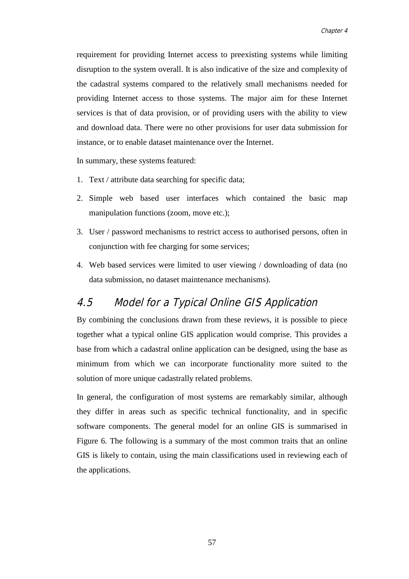requirement for providing Internet access to preexisting systems while limiting disruption to the system overall. It is also indicative of the size and complexity of the cadastral systems compared to the relatively small mechanisms needed for providing Internet access to those systems. The major aim for these Internet services is that of data provision, or of providing users with the ability to view and download data. There were no other provisions for user data submission for instance, or to enable dataset maintenance over the Internet.

In summary, these systems featured:

- 1. Text / attribute data searching for specific data;
- 2. Simple web based user interfaces which contained the basic map manipulation functions (zoom, move etc.);
- 3. User / password mechanisms to restrict access to authorised persons, often in conjunction with fee charging for some services;
- 4. Web based services were limited to user viewing / downloading of data (no data submission, no dataset maintenance mechanisms).

# 4.5 Model for a Typical Online GIS Application

By combining the conclusions drawn from these reviews, it is possible to piece together what a typical online GIS application would comprise. This provides a base from which a cadastral online application can be designed, using the base as minimum from which we can incorporate functionality more suited to the solution of more unique cadastrally related problems.

In general, the configuration of most systems are remarkably similar, although they differ in areas such as specific technical functionality, and in specific software components. The general model for an online GIS is summarised in Figure 6. The following is a summary of the most common traits that an online GIS is likely to contain, using the main classifications used in reviewing each of the applications.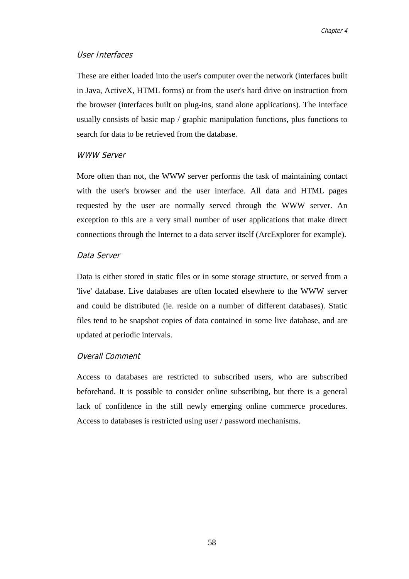### User Interfaces

These are either loaded into the user's computer over the network (interfaces built in Java, ActiveX, HTML forms) or from the user's hard drive on instruction from the browser (interfaces built on plug-ins, stand alone applications). The interface usually consists of basic map / graphic manipulation functions, plus functions to search for data to be retrieved from the database.

### WWW Server

More often than not, the WWW server performs the task of maintaining contact with the user's browser and the user interface. All data and HTML pages requested by the user are normally served through the WWW server. An exception to this are a very small number of user applications that make direct connections through the Internet to a data server itself (ArcExplorer for example).

#### Data Server

Data is either stored in static files or in some storage structure, or served from a 'live' database. Live databases are often located elsewhere to the WWW server and could be distributed (ie. reside on a number of different databases). Static files tend to be snapshot copies of data contained in some live database, and are updated at periodic intervals.

#### Overall Comment

Access to databases are restricted to subscribed users, who are subscribed beforehand. It is possible to consider online subscribing, but there is a general lack of confidence in the still newly emerging online commerce procedures. Access to databases is restricted using user / password mechanisms.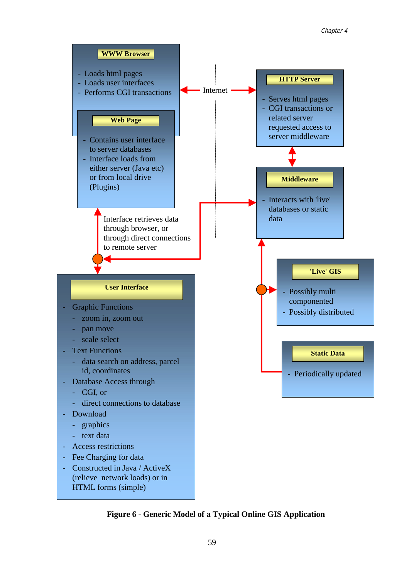

**Figure 6 - Generic Model of a Typical Online GIS Application**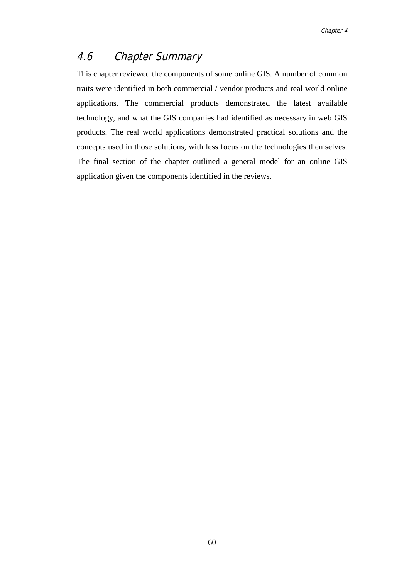# 4.6 Chapter Summary

This chapter reviewed the components of some online GIS. A number of common traits were identified in both commercial / vendor products and real world online applications. The commercial products demonstrated the latest available technology, and what the GIS companies had identified as necessary in web GIS products. The real world applications demonstrated practical solutions and the concepts used in those solutions, with less focus on the technologies themselves. The final section of the chapter outlined a general model for an online GIS application given the components identified in the reviews.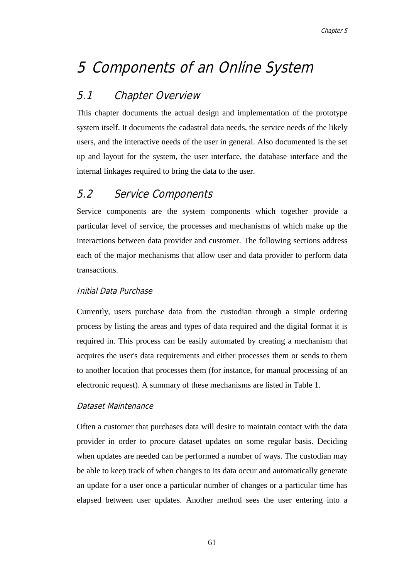# 5 Components of an Online System

# 5.1 Chapter Overview

This chapter documents the actual design and implementation of the prototype system itself. It documents the cadastral data needs, the service needs of the likely users, and the interactive needs of the user in general. Also documented is the set up and layout for the system, the user interface, the database interface and the internal linkages required to bring the data to the user.

# 5.2 Service Components

Service components are the system components which together provide a particular level of service, the processes and mechanisms of which make up the interactions between data provider and customer. The following sections address each of the major mechanisms that allow user and data provider to perform data transactions.

# Initial Data Purchase

Currently, users purchase data from the custodian through a simple ordering process by listing the areas and types of data required and the digital format it is required in. This process can be easily automated by creating a mechanism that acquires the user's data requirements and either processes them or sends to them to another location that processes them (for instance, for manual processing of an electronic request). A summary of these mechanisms are listed in Table 1.

# Dataset Maintenance

Often a customer that purchases data will desire to maintain contact with the data provider in order to procure dataset updates on some regular basis. Deciding when updates are needed can be performed a number of ways. The custodian may be able to keep track of when changes to its data occur and automatically generate an update for a user once a particular number of changes or a particular time has elapsed between user updates. Another method sees the user entering into a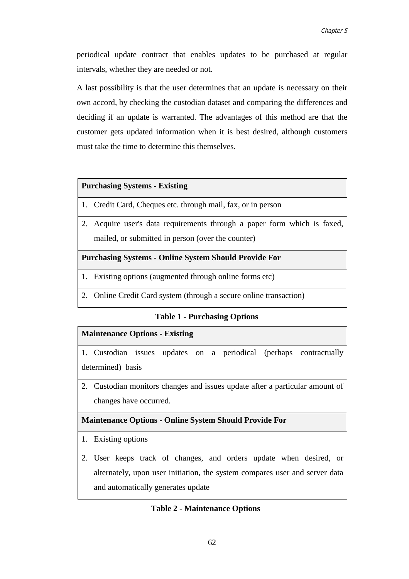periodical update contract that enables updates to be purchased at regular intervals, whether they are needed or not.

A last possibility is that the user determines that an update is necessary on their own accord, by checking the custodian dataset and comparing the differences and deciding if an update is warranted. The advantages of this method are that the customer gets updated information when it is best desired, although customers must take the time to determine this themselves.

#### **Purchasing Systems - Existing**

- 1. Credit Card, Cheques etc. through mail, fax, or in person
- 2. Acquire user's data requirements through a paper form which is faxed, mailed, or submitted in person (over the counter)

#### **Purchasing Systems - Online System Should Provide For**

- 1. Existing options (augmented through online forms etc)
- 2. Online Credit Card system (through a secure online transaction)

#### **Table 1 - Purchasing Options**

# **Maintenance Options - Existing**

1. Custodian issues updates on a periodical (perhaps contractually determined) basis

2. Custodian monitors changes and issues update after a particular amount of changes have occurred.

# **Maintenance Options - Online System Should Provide For**

- 1. Existing options
- 2. User keeps track of changes, and orders update when desired, or alternately, upon user initiation, the system compares user and server data and automatically generates update

# **Table 2 - Maintenance Options**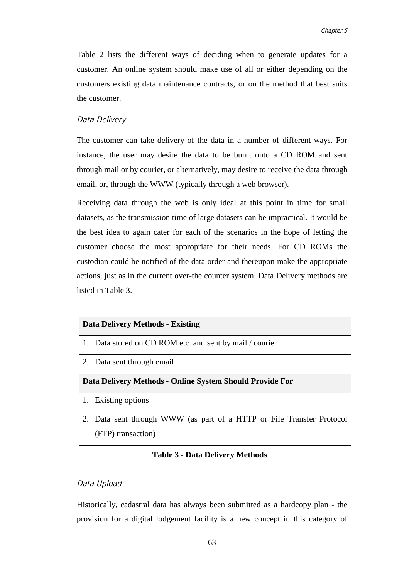Table 2 lists the different ways of deciding when to generate updates for a customer. An online system should make use of all or either depending on the customers existing data maintenance contracts, or on the method that best suits the customer.

### Data Delivery

The customer can take delivery of the data in a number of different ways. For instance, the user may desire the data to be burnt onto a CD ROM and sent through mail or by courier, or alternatively, may desire to receive the data through email, or, through the WWW (typically through a web browser).

Receiving data through the web is only ideal at this point in time for small datasets, as the transmission time of large datasets can be impractical. It would be the best idea to again cater for each of the scenarios in the hope of letting the customer choose the most appropriate for their needs. For CD ROMs the custodian could be notified of the data order and thereupon make the appropriate actions, just as in the current over-the counter system. Data Delivery methods are listed in Table 3.

### **Data Delivery Methods - Existing**

- 1. Data stored on CD ROM etc. and sent by mail / courier
- 2. Data sent through email

### **Data Delivery Methods - Online System Should Provide For**

- 1. Existing options
- 2. Data sent through WWW (as part of a HTTP or File Transfer Protocol (FTP) transaction)

### **Table 3 - Data Delivery Methods**

### Data Upload

Historically, cadastral data has always been submitted as a hardcopy plan - the provision for a digital lodgement facility is a new concept in this category of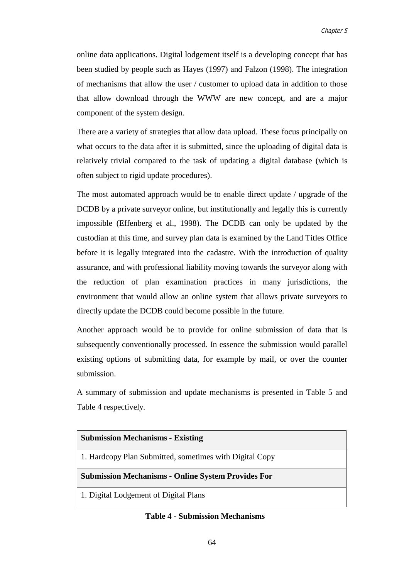online data applications. Digital lodgement itself is a developing concept that has been studied by people such as Hayes (1997) and Falzon (1998). The integration of mechanisms that allow the user / customer to upload data in addition to those that allow download through the WWW are new concept, and are a major component of the system design.

There are a variety of strategies that allow data upload. These focus principally on what occurs to the data after it is submitted, since the uploading of digital data is relatively trivial compared to the task of updating a digital database (which is often subject to rigid update procedures).

The most automated approach would be to enable direct update / upgrade of the DCDB by a private surveyor online, but institutionally and legally this is currently impossible (Effenberg et al., 1998). The DCDB can only be updated by the custodian at this time, and survey plan data is examined by the Land Titles Office before it is legally integrated into the cadastre. With the introduction of quality assurance, and with professional liability moving towards the surveyor along with the reduction of plan examination practices in many jurisdictions, the environment that would allow an online system that allows private surveyors to directly update the DCDB could become possible in the future.

Another approach would be to provide for online submission of data that is subsequently conventionally processed. In essence the submission would parallel existing options of submitting data, for example by mail, or over the counter submission.

A summary of submission and update mechanisms is presented in Table 5 and Table 4 respectively.

| <b>Submission Mechanisms - Existing</b>                   |  |  |
|-----------------------------------------------------------|--|--|
| 1. Hardcopy Plan Submitted, sometimes with Digital Copy   |  |  |
| <b>Submission Mechanisms - Online System Provides For</b> |  |  |
| 1. Digital Lodgement of Digital Plans                     |  |  |
| <b>Table 4 - Submission Mechanisms</b>                    |  |  |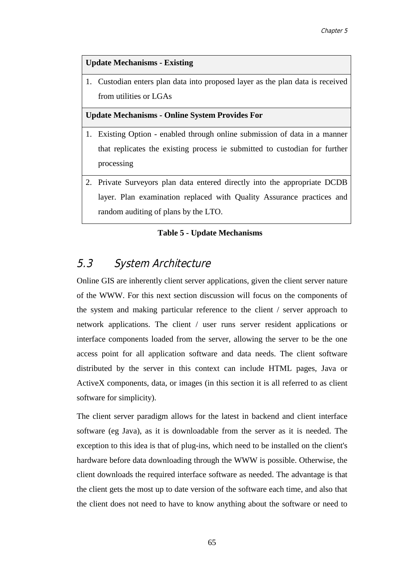### **Update Mechanisms - Existing**

1. Custodian enters plan data into proposed layer as the plan data is received from utilities or LGAs

**Update Mechanisms - Online System Provides For**

- 1. Existing Option enabled through online submission of data in a manner that replicates the existing process ie submitted to custodian for further processing
- 2. Private Surveyors plan data entered directly into the appropriate DCDB layer. Plan examination replaced with Quality Assurance practices and random auditing of plans by the LTO.

### **Table 5 - Update Mechanisms**

# 5.3 System Architecture

Online GIS are inherently client server applications, given the client server nature of the WWW. For this next section discussion will focus on the components of the system and making particular reference to the client / server approach to network applications. The client / user runs server resident applications or interface components loaded from the server, allowing the server to be the one access point for all application software and data needs. The client software distributed by the server in this context can include HTML pages, Java or ActiveX components, data, or images (in this section it is all referred to as client software for simplicity).

The client server paradigm allows for the latest in backend and client interface software (eg Java), as it is downloadable from the server as it is needed. The exception to this idea is that of plug-ins, which need to be installed on the client's hardware before data downloading through the WWW is possible. Otherwise, the client downloads the required interface software as needed. The advantage is that the client gets the most up to date version of the software each time, and also that the client does not need to have to know anything about the software or need to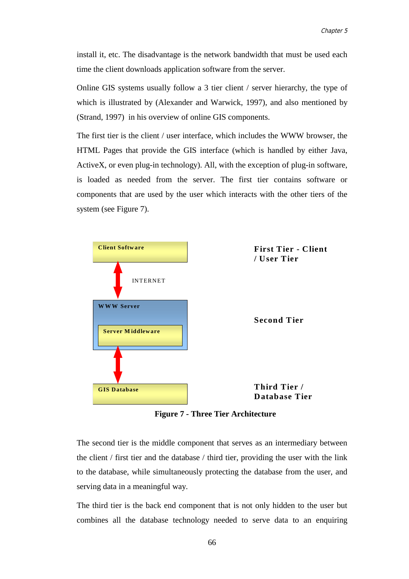install it, etc. The disadvantage is the network bandwidth that must be used each time the client downloads application software from the server.

Online GIS systems usually follow a 3 tier client / server hierarchy, the type of which is illustrated by (Alexander and Warwick, 1997), and also mentioned by (Strand, 1997) in his overview of online GIS components.

The first tier is the client / user interface, which includes the WWW browser, the HTML Pages that provide the GIS interface (which is handled by either Java, ActiveX, or even plug-in technology). All, with the exception of plug-in software, is loaded as needed from the server. The first tier contains software or components that are used by the user which interacts with the other tiers of the system (see Figure 7).



**Figure 7 - Three Tier Architecture**

The second tier is the middle component that serves as an intermediary between the client / first tier and the database / third tier, providing the user with the link to the database, while simultaneously protecting the database from the user, and serving data in a meaningful way.

The third tier is the back end component that is not only hidden to the user but combines all the database technology needed to serve data to an enquiring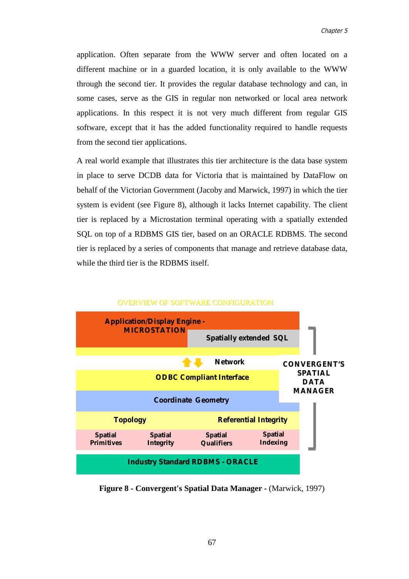application. Often separate from the WWW server and often located on a different machine or in a guarded location, it is only available to the WWW through the second tier. It provides the regular database technology and can, in some cases, serve as the GIS in regular non networked or local area network applications. In this respect it is not very much different from regular GIS software, except that it has the added functionality required to handle requests from the second tier applications.

A real world example that illustrates this tier architecture is the data base system in place to serve DCDB data for Victoria that is maintained by DataFlow on behalf of the Victorian Government (Jacoby and Marwick, 1997) in which the tier system is evident (see Figure 8), although it lacks Internet capability. The client tier is replaced by a Microstation terminal operating with a spatially extended SQL on top of a RDBMS GIS tier, based on an ORACLE RDBMS. The second tier is replaced by a series of components that manage and retrieve database data, while the third tier is the RDBMS itself.



#### OVERVIEW OF SOFTWARE CONFIGURATION

**Figure 8 - Convergent's Spatial Data Manager - (Marwick, 1997)**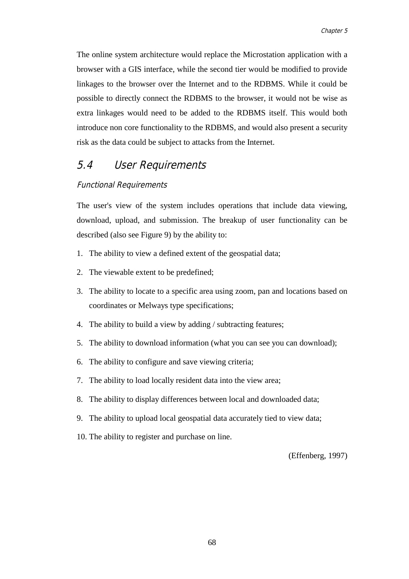The online system architecture would replace the Microstation application with a browser with a GIS interface, while the second tier would be modified to provide linkages to the browser over the Internet and to the RDBMS. While it could be possible to directly connect the RDBMS to the browser, it would not be wise as extra linkages would need to be added to the RDBMS itself. This would both introduce non core functionality to the RDBMS, and would also present a security risk as the data could be subject to attacks from the Internet.

# 5.4 User Requirements

### Functional Requirements

The user's view of the system includes operations that include data viewing, download, upload, and submission. The breakup of user functionality can be described (also see Figure 9) by the ability to:

- 1. The ability to view a defined extent of the geospatial data;
- 2. The viewable extent to be predefined;
- 3. The ability to locate to a specific area using zoom, pan and locations based on coordinates or Melways type specifications;
- 4. The ability to build a view by adding / subtracting features;
- 5. The ability to download information (what you can see you can download);
- 6. The ability to configure and save viewing criteria;
- 7. The ability to load locally resident data into the view area;
- 8. The ability to display differences between local and downloaded data;
- 9. The ability to upload local geospatial data accurately tied to view data;
- 10. The ability to register and purchase on line.

(Effenberg, 1997)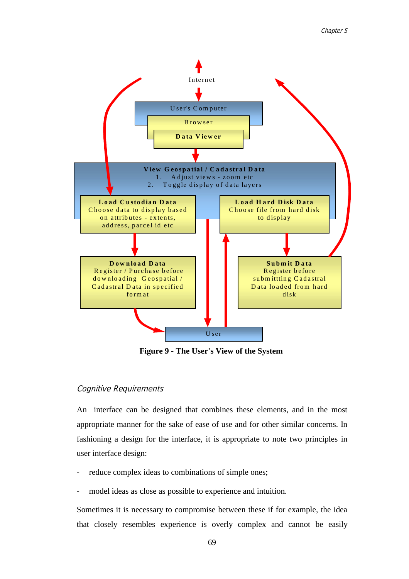

**Figure 9 - The User's View of the System**

### Cognitive Requirements

An interface can be designed that combines these elements, and in the most appropriate manner for the sake of ease of use and for other similar concerns. In fashioning a design for the interface, it is appropriate to note two principles in user interface design:

- reduce complex ideas to combinations of simple ones;
- model ideas as close as possible to experience and intuition.

Sometimes it is necessary to compromise between these if for example, the idea that closely resembles experience is overly complex and cannot be easily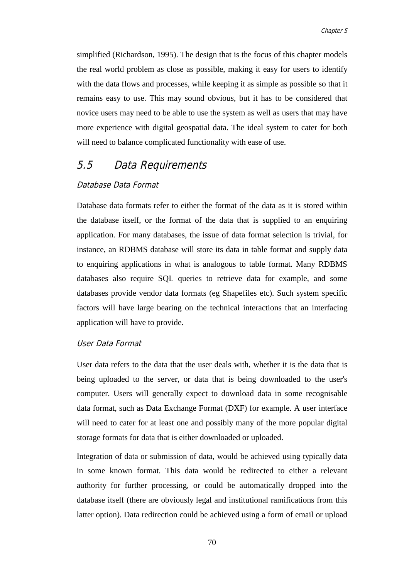simplified (Richardson, 1995). The design that is the focus of this chapter models the real world problem as close as possible, making it easy for users to identify with the data flows and processes, while keeping it as simple as possible so that it remains easy to use. This may sound obvious, but it has to be considered that novice users may need to be able to use the system as well as users that may have more experience with digital geospatial data. The ideal system to cater for both will need to balance complicated functionality with ease of use.

### 5.5 Data Requirements

### Database Data Format

Database data formats refer to either the format of the data as it is stored within the database itself, or the format of the data that is supplied to an enquiring application. For many databases, the issue of data format selection is trivial, for instance, an RDBMS database will store its data in table format and supply data to enquiring applications in what is analogous to table format. Many RDBMS databases also require SQL queries to retrieve data for example, and some databases provide vendor data formats (eg Shapefiles etc). Such system specific factors will have large bearing on the technical interactions that an interfacing application will have to provide.

### User Data Format

User data refers to the data that the user deals with, whether it is the data that is being uploaded to the server, or data that is being downloaded to the user's computer. Users will generally expect to download data in some recognisable data format, such as Data Exchange Format (DXF) for example. A user interface will need to cater for at least one and possibly many of the more popular digital storage formats for data that is either downloaded or uploaded.

Integration of data or submission of data, would be achieved using typically data in some known format. This data would be redirected to either a relevant authority for further processing, or could be automatically dropped into the database itself (there are obviously legal and institutional ramifications from this latter option). Data redirection could be achieved using a form of email or upload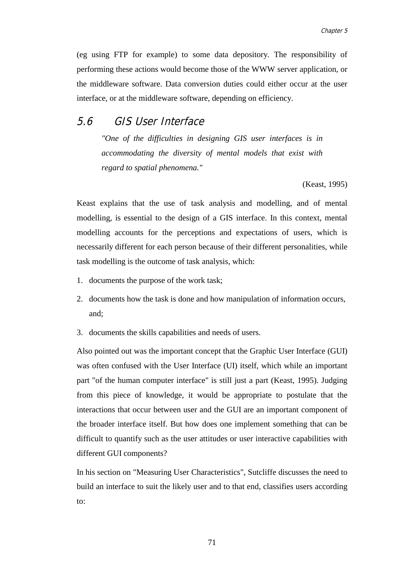(eg using FTP for example) to some data depository. The responsibility of performing these actions would become those of the WWW server application, or the middleware software. Data conversion duties could either occur at the user interface, or at the middleware software, depending on efficiency.

### 5.6 GIS User Interface

*"One of the difficulties in designing GIS user interfaces is in accommodating the diversity of mental models that exist with regard to spatial phenomena."*

(Keast, 1995)

Keast explains that the use of task analysis and modelling, and of mental modelling, is essential to the design of a GIS interface. In this context, mental modelling accounts for the perceptions and expectations of users, which is necessarily different for each person because of their different personalities, while task modelling is the outcome of task analysis, which:

- 1. documents the purpose of the work task;
- 2. documents how the task is done and how manipulation of information occurs, and;
- 3. documents the skills capabilities and needs of users.

Also pointed out was the important concept that the Graphic User Interface (GUI) was often confused with the User Interface (UI) itself, which while an important part "of the human computer interface" is still just a part (Keast, 1995). Judging from this piece of knowledge, it would be appropriate to postulate that the interactions that occur between user and the GUI are an important component of the broader interface itself. But how does one implement something that can be difficult to quantify such as the user attitudes or user interactive capabilities with different GUI components?

In his section on "Measuring User Characteristics", Sutcliffe discusses the need to build an interface to suit the likely user and to that end, classifies users according to: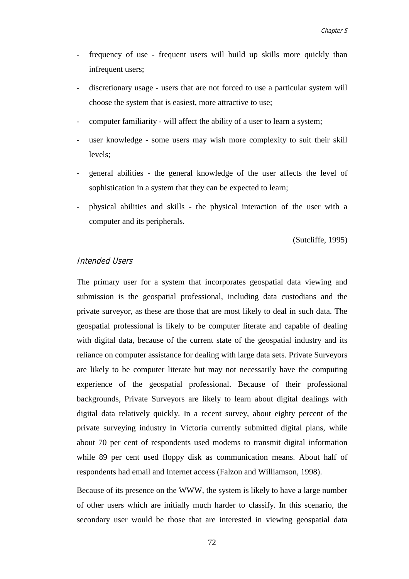- frequency of use frequent users will build up skills more quickly than infrequent users;
- discretionary usage users that are not forced to use a particular system will choose the system that is easiest, more attractive to use;
- computer familiarity will affect the ability of a user to learn a system;
- user knowledge some users may wish more complexity to suit their skill levels;
- general abilities the general knowledge of the user affects the level of sophistication in a system that they can be expected to learn;
- physical abilities and skills the physical interaction of the user with a computer and its peripherals.

(Sutcliffe, 1995)

### Intended Users

The primary user for a system that incorporates geospatial data viewing and submission is the geospatial professional, including data custodians and the private surveyor, as these are those that are most likely to deal in such data. The geospatial professional is likely to be computer literate and capable of dealing with digital data, because of the current state of the geospatial industry and its reliance on computer assistance for dealing with large data sets. Private Surveyors are likely to be computer literate but may not necessarily have the computing experience of the geospatial professional. Because of their professional backgrounds, Private Surveyors are likely to learn about digital dealings with digital data relatively quickly. In a recent survey, about eighty percent of the private surveying industry in Victoria currently submitted digital plans, while about 70 per cent of respondents used modems to transmit digital information while 89 per cent used floppy disk as communication means. About half of respondents had email and Internet access (Falzon and Williamson, 1998).

Because of its presence on the WWW, the system is likely to have a large number of other users which are initially much harder to classify. In this scenario, the secondary user would be those that are interested in viewing geospatial data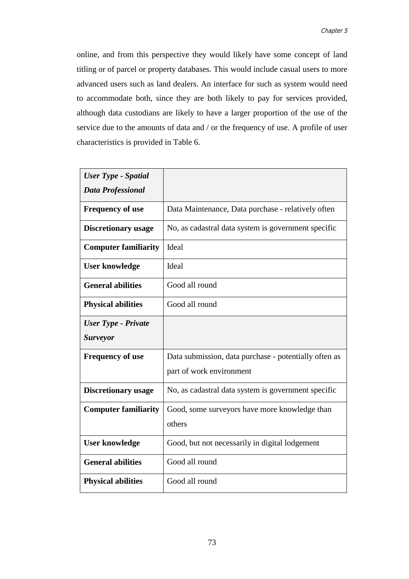online, and from this perspective they would likely have some concept of land titling or of parcel or property databases. This would include casual users to more advanced users such as land dealers. An interface for such as system would need to accommodate both, since they are both likely to pay for services provided, although data custodians are likely to have a larger proportion of the use of the service due to the amounts of data and / or the frequency of use. A profile of user characteristics is provided in Table 6.

| <b>User Type - Spatial</b>  |                                                       |
|-----------------------------|-------------------------------------------------------|
| <b>Data Professional</b>    |                                                       |
| <b>Frequency of use</b>     | Data Maintenance, Data purchase - relatively often    |
| <b>Discretionary usage</b>  | No, as cadastral data system is government specific   |
| <b>Computer familiarity</b> | Ideal                                                 |
| <b>User knowledge</b>       | Ideal                                                 |
| <b>General abilities</b>    | Good all round                                        |
| <b>Physical abilities</b>   | Good all round                                        |
| <b>User Type - Private</b>  |                                                       |
| <b>Surveyor</b>             |                                                       |
| <b>Frequency of use</b>     | Data submission, data purchase - potentially often as |
|                             | part of work environment                              |
| <b>Discretionary usage</b>  | No, as cadastral data system is government specific   |
| <b>Computer familiarity</b> | Good, some surveyors have more knowledge than         |
|                             | others                                                |
| <b>User knowledge</b>       | Good, but not necessarily in digital lodgement        |
| <b>General abilities</b>    | Good all round                                        |
| <b>Physical abilities</b>   | Good all round                                        |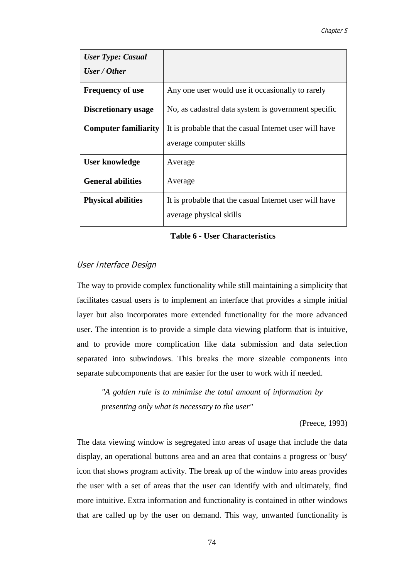| <b>User Type: Casual</b>    |                                                        |
|-----------------------------|--------------------------------------------------------|
| User / Other                |                                                        |
| <b>Frequency of use</b>     | Any one user would use it occasionally to rarely       |
| Discretionary usage         | No, as cadastral data system is government specific    |
| <b>Computer familiarity</b> | It is probable that the casual Internet user will have |
|                             | average computer skills                                |
| User knowledge              | Average                                                |
| <b>General abilities</b>    | Average                                                |
| <b>Physical abilities</b>   | It is probable that the casual Internet user will have |
|                             | average physical skills                                |

#### **Table 6 - User Characteristics**

### User Interface Design

The way to provide complex functionality while still maintaining a simplicity that facilitates casual users is to implement an interface that provides a simple initial layer but also incorporates more extended functionality for the more advanced user. The intention is to provide a simple data viewing platform that is intuitive, and to provide more complication like data submission and data selection separated into subwindows. This breaks the more sizeable components into separate subcomponents that are easier for the user to work with if needed.

*"A golden rule is to minimise the total amount of information by presenting only what is necessary to the user"*

(Preece, 1993)

The data viewing window is segregated into areas of usage that include the data display, an operational buttons area and an area that contains a progress or 'busy' icon that shows program activity. The break up of the window into areas provides the user with a set of areas that the user can identify with and ultimately, find more intuitive. Extra information and functionality is contained in other windows that are called up by the user on demand. This way, unwanted functionality is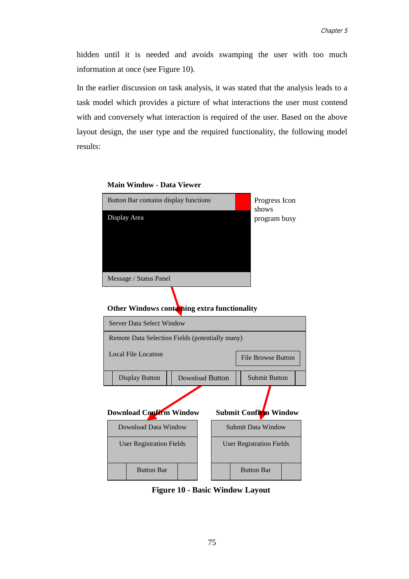hidden until it is needed and avoids swamping the user with too much information at once (see Figure 10).

In the earlier discussion on task analysis, it was stated that the analysis leads to a task model which provides a picture of what interactions the user must contend with and conversely what interaction is required of the user. Based on the above layout design, the user type and the required functionality, the following model results:



#### **Main Window - Data Viewer**

### **Other Windows containing extra functionality**



**Figure 10 - Basic Window Layout**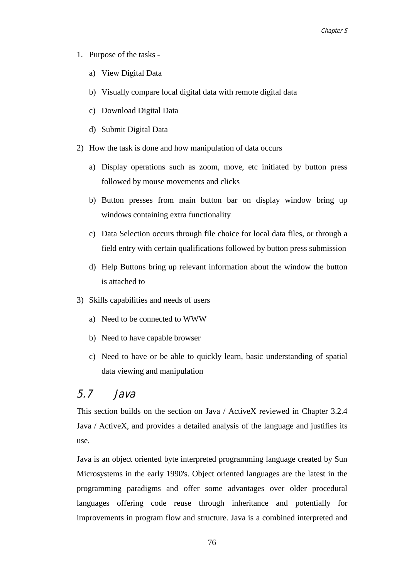- 1. Purpose of the tasks
	- a) View Digital Data
	- b) Visually compare local digital data with remote digital data
	- c) Download Digital Data
	- d) Submit Digital Data
- 2) How the task is done and how manipulation of data occurs
	- a) Display operations such as zoom, move, etc initiated by button press followed by mouse movements and clicks
	- b) Button presses from main button bar on display window bring up windows containing extra functionality
	- c) Data Selection occurs through file choice for local data files, or through a field entry with certain qualifications followed by button press submission
	- d) Help Buttons bring up relevant information about the window the button is attached to
- 3) Skills capabilities and needs of users
	- a) Need to be connected to WWW
	- b) Need to have capable browser
	- c) Need to have or be able to quickly learn, basic understanding of spatial data viewing and manipulation

### 5.7 Java

This section builds on the section on Java / ActiveX reviewed in Chapter 3.2.4 Java / ActiveX, and provides a detailed analysis of the language and justifies its use.

Java is an object oriented byte interpreted programming language created by Sun Microsystems in the early 1990's. Object oriented languages are the latest in the programming paradigms and offer some advantages over older procedural languages offering code reuse through inheritance and potentially for improvements in program flow and structure. Java is a combined interpreted and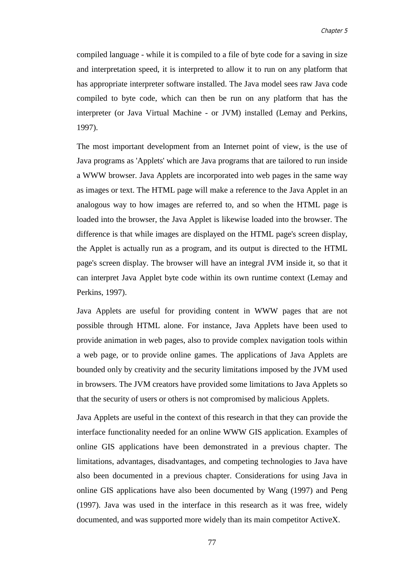compiled language - while it is compiled to a file of byte code for a saving in size and interpretation speed, it is interpreted to allow it to run on any platform that has appropriate interpreter software installed. The Java model sees raw Java code compiled to byte code, which can then be run on any platform that has the interpreter (or Java Virtual Machine - or JVM) installed (Lemay and Perkins, 1997).

The most important development from an Internet point of view, is the use of Java programs as 'Applets' which are Java programs that are tailored to run inside a WWW browser. Java Applets are incorporated into web pages in the same way as images or text. The HTML page will make a reference to the Java Applet in an analogous way to how images are referred to, and so when the HTML page is loaded into the browser, the Java Applet is likewise loaded into the browser. The difference is that while images are displayed on the HTML page's screen display, the Applet is actually run as a program, and its output is directed to the HTML page's screen display. The browser will have an integral JVM inside it, so that it can interpret Java Applet byte code within its own runtime context (Lemay and Perkins, 1997).

Java Applets are useful for providing content in WWW pages that are not possible through HTML alone. For instance, Java Applets have been used to provide animation in web pages, also to provide complex navigation tools within a web page, or to provide online games. The applications of Java Applets are bounded only by creativity and the security limitations imposed by the JVM used in browsers. The JVM creators have provided some limitations to Java Applets so that the security of users or others is not compromised by malicious Applets.

Java Applets are useful in the context of this research in that they can provide the interface functionality needed for an online WWW GIS application. Examples of online GIS applications have been demonstrated in a previous chapter. The limitations, advantages, disadvantages, and competing technologies to Java have also been documented in a previous chapter. Considerations for using Java in online GIS applications have also been documented by Wang (1997) and Peng (1997). Java was used in the interface in this research as it was free, widely documented, and was supported more widely than its main competitor ActiveX.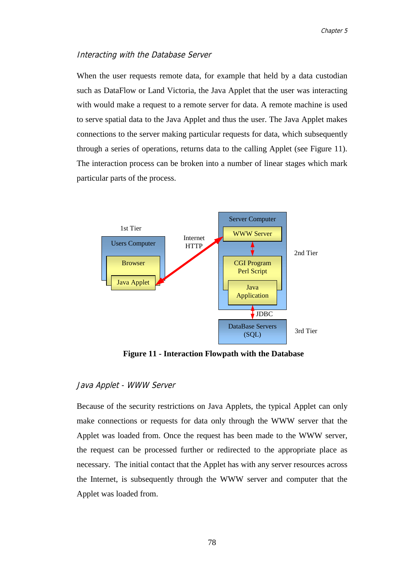### Interacting with the Database Server

When the user requests remote data, for example that held by a data custodian such as DataFlow or Land Victoria, the Java Applet that the user was interacting with would make a request to a remote server for data. A remote machine is used to serve spatial data to the Java Applet and thus the user. The Java Applet makes connections to the server making particular requests for data, which subsequently through a series of operations, returns data to the calling Applet (see Figure 11). The interaction process can be broken into a number of linear stages which mark particular parts of the process.



**Figure 11 - Interaction Flowpath with the Database**

### Java Applet - WWW Server

Because of the security restrictions on Java Applets, the typical Applet can only make connections or requests for data only through the WWW server that the Applet was loaded from. Once the request has been made to the WWW server, the request can be processed further or redirected to the appropriate place as necessary. The initial contact that the Applet has with any server resources across the Internet, is subsequently through the WWW server and computer that the Applet was loaded from.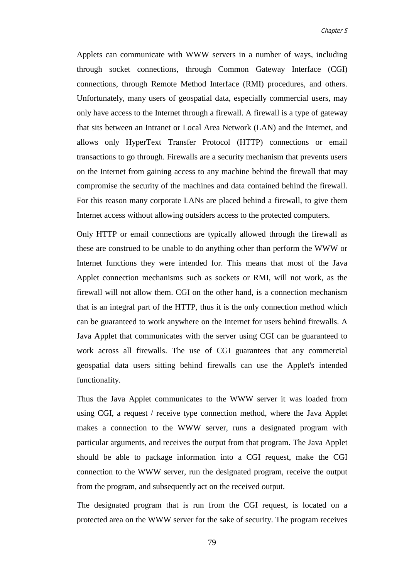Applets can communicate with WWW servers in a number of ways, including through socket connections, through Common Gateway Interface (CGI) connections, through Remote Method Interface (RMI) procedures, and others. Unfortunately, many users of geospatial data, especially commercial users, may only have access to the Internet through a firewall. A firewall is a type of gateway that sits between an Intranet or Local Area Network (LAN) and the Internet, and allows only HyperText Transfer Protocol (HTTP) connections or email transactions to go through. Firewalls are a security mechanism that prevents users on the Internet from gaining access to any machine behind the firewall that may compromise the security of the machines and data contained behind the firewall. For this reason many corporate LANs are placed behind a firewall, to give them Internet access without allowing outsiders access to the protected computers.

Only HTTP or email connections are typically allowed through the firewall as these are construed to be unable to do anything other than perform the WWW or Internet functions they were intended for. This means that most of the Java Applet connection mechanisms such as sockets or RMI, will not work, as the firewall will not allow them. CGI on the other hand, is a connection mechanism that is an integral part of the HTTP, thus it is the only connection method which can be guaranteed to work anywhere on the Internet for users behind firewalls. A Java Applet that communicates with the server using CGI can be guaranteed to work across all firewalls. The use of CGI guarantees that any commercial geospatial data users sitting behind firewalls can use the Applet's intended functionality.

Thus the Java Applet communicates to the WWW server it was loaded from using CGI, a request / receive type connection method, where the Java Applet makes a connection to the WWW server, runs a designated program with particular arguments, and receives the output from that program. The Java Applet should be able to package information into a CGI request, make the CGI connection to the WWW server, run the designated program, receive the output from the program, and subsequently act on the received output.

The designated program that is run from the CGI request, is located on a protected area on the WWW server for the sake of security. The program receives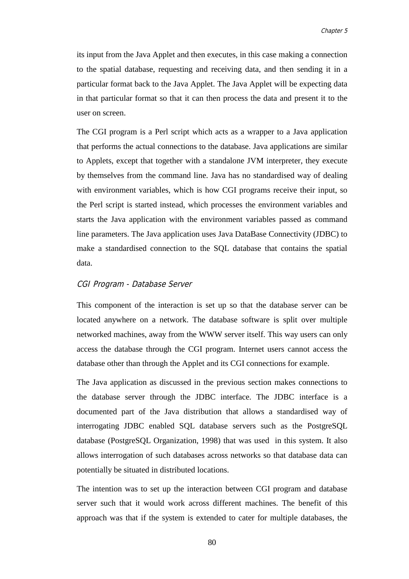its input from the Java Applet and then executes, in this case making a connection to the spatial database, requesting and receiving data, and then sending it in a particular format back to the Java Applet. The Java Applet will be expecting data in that particular format so that it can then process the data and present it to the user on screen.

The CGI program is a Perl script which acts as a wrapper to a Java application that performs the actual connections to the database. Java applications are similar to Applets, except that together with a standalone JVM interpreter, they execute by themselves from the command line. Java has no standardised way of dealing with environment variables, which is how CGI programs receive their input, so the Perl script is started instead, which processes the environment variables and starts the Java application with the environment variables passed as command line parameters. The Java application uses Java DataBase Connectivity (JDBC) to make a standardised connection to the SQL database that contains the spatial data.

### CGI Program - Database Server

This component of the interaction is set up so that the database server can be located anywhere on a network. The database software is split over multiple networked machines, away from the WWW server itself. This way users can only access the database through the CGI program. Internet users cannot access the database other than through the Applet and its CGI connections for example.

The Java application as discussed in the previous section makes connections to the database server through the JDBC interface. The JDBC interface is a documented part of the Java distribution that allows a standardised way of interrogating JDBC enabled SQL database servers such as the PostgreSQL database (PostgreSQL Organization, 1998) that was used in this system. It also allows interrogation of such databases across networks so that database data can potentially be situated in distributed locations.

The intention was to set up the interaction between CGI program and database server such that it would work across different machines. The benefit of this approach was that if the system is extended to cater for multiple databases, the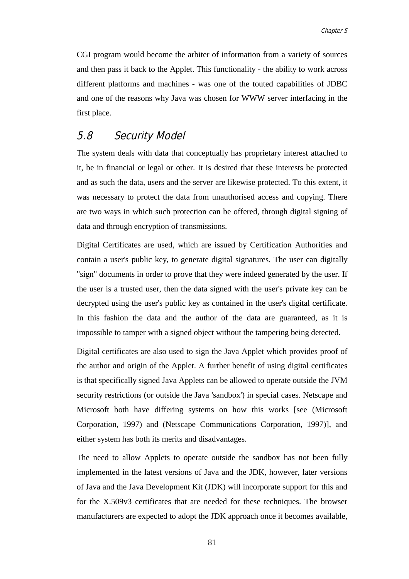CGI program would become the arbiter of information from a variety of sources and then pass it back to the Applet. This functionality - the ability to work across different platforms and machines - was one of the touted capabilities of JDBC and one of the reasons why Java was chosen for WWW server interfacing in the first place.

# 5.8 Security Model

The system deals with data that conceptually has proprietary interest attached to it, be in financial or legal or other. It is desired that these interests be protected and as such the data, users and the server are likewise protected. To this extent, it was necessary to protect the data from unauthorised access and copying. There are two ways in which such protection can be offered, through digital signing of data and through encryption of transmissions.

Digital Certificates are used, which are issued by Certification Authorities and contain a user's public key, to generate digital signatures. The user can digitally "sign" documents in order to prove that they were indeed generated by the user. If the user is a trusted user, then the data signed with the user's private key can be decrypted using the user's public key as contained in the user's digital certificate. In this fashion the data and the author of the data are guaranteed, as it is impossible to tamper with a signed object without the tampering being detected.

Digital certificates are also used to sign the Java Applet which provides proof of the author and origin of the Applet. A further benefit of using digital certificates is that specifically signed Java Applets can be allowed to operate outside the JVM security restrictions (or outside the Java 'sandbox') in special cases. Netscape and Microsoft both have differing systems on how this works [see (Microsoft Corporation, 1997) and (Netscape Communications Corporation, 1997)], and either system has both its merits and disadvantages.

The need to allow Applets to operate outside the sandbox has not been fully implemented in the latest versions of Java and the JDK, however, later versions of Java and the Java Development Kit (JDK) will incorporate support for this and for the X.509v3 certificates that are needed for these techniques. The browser manufacturers are expected to adopt the JDK approach once it becomes available,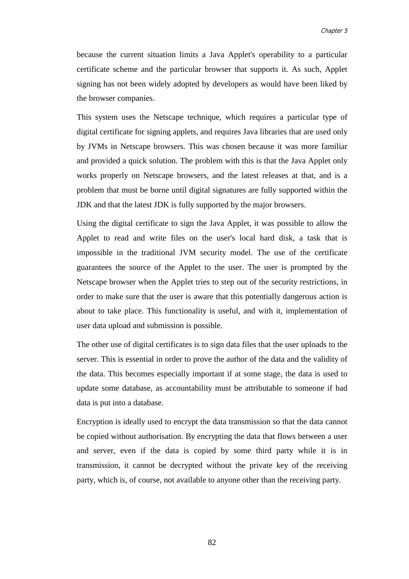because the current situation limits a Java Applet's operability to a particular certificate scheme and the particular browser that supports it. As such, Applet signing has not been widely adopted by developers as would have been liked by the browser companies.

This system uses the Netscape technique, which requires a particular type of digital certificate for signing applets, and requires Java libraries that are used only by JVMs in Netscape browsers. This was chosen because it was more familiar and provided a quick solution. The problem with this is that the Java Applet only works properly on Netscape browsers, and the latest releases at that, and is a problem that must be borne until digital signatures are fully supported within the JDK and that the latest JDK is fully supported by the major browsers.

Using the digital certificate to sign the Java Applet, it was possible to allow the Applet to read and write files on the user's local hard disk, a task that is impossible in the traditional JVM security model. The use of the certificate guarantees the source of the Applet to the user. The user is prompted by the Netscape browser when the Applet tries to step out of the security restrictions, in order to make sure that the user is aware that this potentially dangerous action is about to take place. This functionality is useful, and with it, implementation of user data upload and submission is possible.

The other use of digital certificates is to sign data files that the user uploads to the server. This is essential in order to prove the author of the data and the validity of the data. This becomes especially important if at some stage, the data is used to update some database, as accountability must be attributable to someone if bad data is put into a database.

Encryption is ideally used to encrypt the data transmission so that the data cannot be copied without authorisation. By encrypting the data that flows between a user and server, even if the data is copied by some third party while it is in transmission, it cannot be decrypted without the private key of the receiving party, which is, of course, not available to anyone other than the receiving party.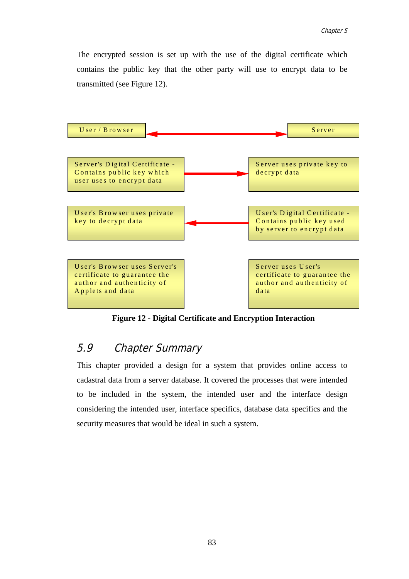The encrypted session is set up with the use of the digital certificate which contains the public key that the other party will use to encrypt data to be transmitted (see Figure 12).



**Figure 12 - Digital Certificate and Encryption Interaction**

# 5.9 Chapter Summary

This chapter provided a design for a system that provides online access to cadastral data from a server database. It covered the processes that were intended to be included in the system, the intended user and the interface design considering the intended user, interface specifics, database data specifics and the security measures that would be ideal in such a system.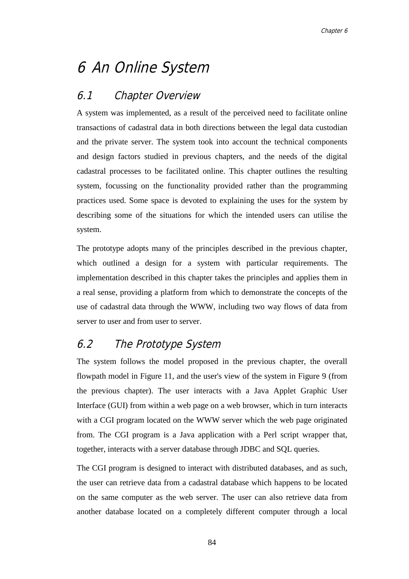# 6 An Online System

# 6.1 Chapter Overview

A system was implemented, as a result of the perceived need to facilitate online transactions of cadastral data in both directions between the legal data custodian and the private server. The system took into account the technical components and design factors studied in previous chapters, and the needs of the digital cadastral processes to be facilitated online. This chapter outlines the resulting system, focussing on the functionality provided rather than the programming practices used. Some space is devoted to explaining the uses for the system by describing some of the situations for which the intended users can utilise the system.

The prototype adopts many of the principles described in the previous chapter, which outlined a design for a system with particular requirements. The implementation described in this chapter takes the principles and applies them in a real sense, providing a platform from which to demonstrate the concepts of the use of cadastral data through the WWW, including two way flows of data from server to user and from user to server.

# 6.2 The Prototype System

The system follows the model proposed in the previous chapter, the overall flowpath model in Figure 11, and the user's view of the system in Figure 9 (from the previous chapter). The user interacts with a Java Applet Graphic User Interface (GUI) from within a web page on a web browser, which in turn interacts with a CGI program located on the WWW server which the web page originated from. The CGI program is a Java application with a Perl script wrapper that, together, interacts with a server database through JDBC and SQL queries.

The CGI program is designed to interact with distributed databases, and as such, the user can retrieve data from a cadastral database which happens to be located on the same computer as the web server. The user can also retrieve data from another database located on a completely different computer through a local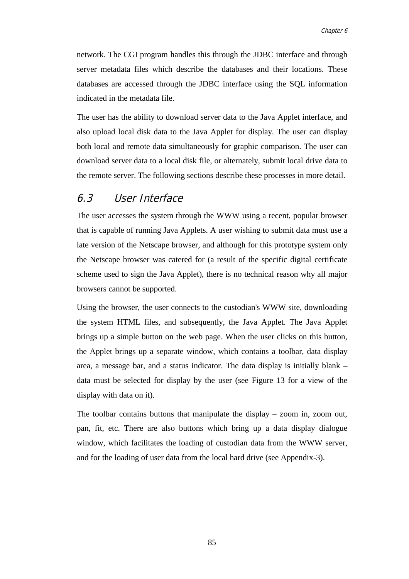network. The CGI program handles this through the JDBC interface and through server metadata files which describe the databases and their locations. These databases are accessed through the JDBC interface using the SQL information indicated in the metadata file.

The user has the ability to download server data to the Java Applet interface, and also upload local disk data to the Java Applet for display. The user can display both local and remote data simultaneously for graphic comparison. The user can download server data to a local disk file, or alternately, submit local drive data to the remote server. The following sections describe these processes in more detail.

### 6.3 User Interface

The user accesses the system through the WWW using a recent, popular browser that is capable of running Java Applets. A user wishing to submit data must use a late version of the Netscape browser, and although for this prototype system only the Netscape browser was catered for (a result of the specific digital certificate scheme used to sign the Java Applet), there is no technical reason why all major browsers cannot be supported.

Using the browser, the user connects to the custodian's WWW site, downloading the system HTML files, and subsequently, the Java Applet. The Java Applet brings up a simple button on the web page. When the user clicks on this button, the Applet brings up a separate window, which contains a toolbar, data display area, a message bar, and a status indicator. The data display is initially blank – data must be selected for display by the user (see Figure 13 for a view of the display with data on it).

The toolbar contains buttons that manipulate the display – zoom in, zoom out, pan, fit, etc. There are also buttons which bring up a data display dialogue window, which facilitates the loading of custodian data from the WWW server, and for the loading of user data from the local hard drive (see Appendix-3).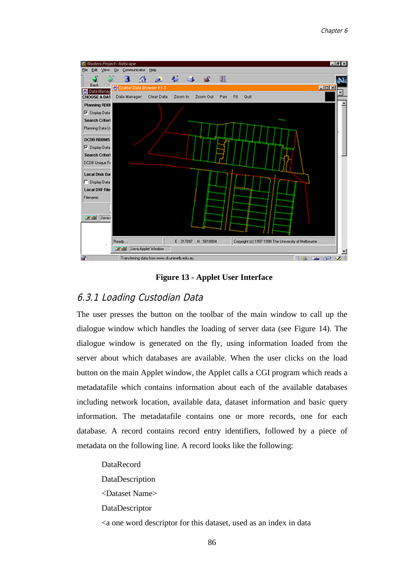

**Figure 13 - Applet User Interface**

### 6.3.1 Loading Custodian Data

The user presses the button on the toolbar of the main window to call up the dialogue window which handles the loading of server data (see Figure 14). The dialogue window is generated on the fly, using information loaded from the server about which databases are available. When the user clicks on the load button on the main Applet window, the Applet calls a CGI program which reads a metadatafile which contains information about each of the available databases including network location, available data, dataset information and basic query information. The metadatafile contains one or more records, one for each database. A record contains record entry identifiers, followed by a piece of metadata on the following line. A record looks like the following:

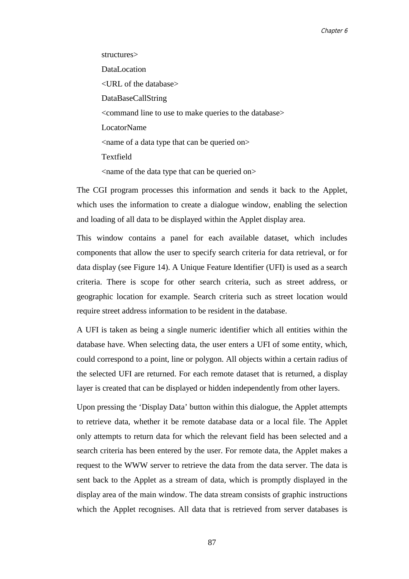structures> DataLocation <URL of the database> DataBaseCallString <command line to use to make queries to the database> LocatorName <name of a data type that can be queried on> Textfield <name of the data type that can be queried on>

The CGI program processes this information and sends it back to the Applet, which uses the information to create a dialogue window, enabling the selection and loading of all data to be displayed within the Applet display area.

This window contains a panel for each available dataset, which includes components that allow the user to specify search criteria for data retrieval, or for data display (see Figure 14). A Unique Feature Identifier (UFI) is used as a search criteria. There is scope for other search criteria, such as street address, or geographic location for example. Search criteria such as street location would require street address information to be resident in the database.

A UFI is taken as being a single numeric identifier which all entities within the database have. When selecting data, the user enters a UFI of some entity, which, could correspond to a point, line or polygon. All objects within a certain radius of the selected UFI are returned. For each remote dataset that is returned, a display layer is created that can be displayed or hidden independently from other layers.

Upon pressing the 'Display Data' button within this dialogue, the Applet attempts to retrieve data, whether it be remote database data or a local file. The Applet only attempts to return data for which the relevant field has been selected and a search criteria has been entered by the user. For remote data, the Applet makes a request to the WWW server to retrieve the data from the data server. The data is sent back to the Applet as a stream of data, which is promptly displayed in the display area of the main window. The data stream consists of graphic instructions which the Applet recognises. All data that is retrieved from server databases is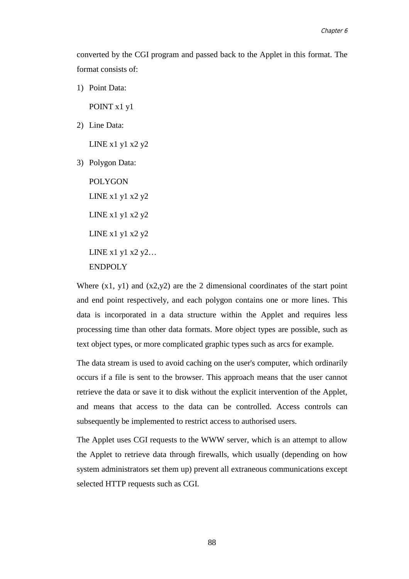converted by the CGI program and passed back to the Applet in this format. The format consists of:

1) Point Data:

POINT x1 y1

2) Line Data:

LINE  $x1 y1 x2 y2$ 

3) Polygon Data:

POLYGON LINE  $x1 y1 x2 y2$ LINE x1 y1 x2 y2 LINE x1 y1 x2 y2 LINE x1 y1 x2 y2… ENDPOLY

Where  $(x1, y1)$  and  $(x2,y2)$  are the 2 dimensional coordinates of the start point and end point respectively, and each polygon contains one or more lines. This data is incorporated in a data structure within the Applet and requires less processing time than other data formats. More object types are possible, such as text object types, or more complicated graphic types such as arcs for example.

The data stream is used to avoid caching on the user's computer, which ordinarily occurs if a file is sent to the browser. This approach means that the user cannot retrieve the data or save it to disk without the explicit intervention of the Applet, and means that access to the data can be controlled. Access controls can subsequently be implemented to restrict access to authorised users.

The Applet uses CGI requests to the WWW server, which is an attempt to allow the Applet to retrieve data through firewalls, which usually (depending on how system administrators set them up) prevent all extraneous communications except selected HTTP requests such as CGI.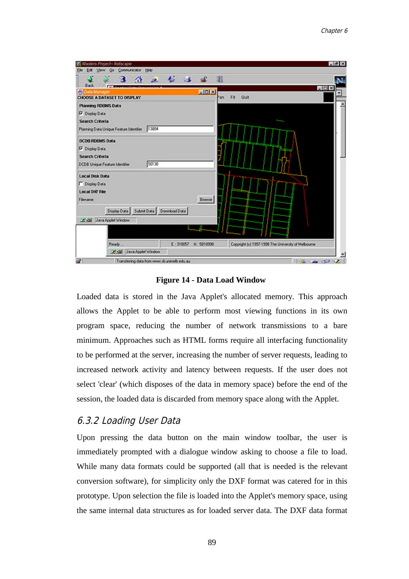

**Figure 14 - Data Load Window**

Loaded data is stored in the Java Applet's allocated memory. This approach allows the Applet to be able to perform most viewing functions in its own program space, reducing the number of network transmissions to a bare minimum. Approaches such as HTML forms require all interfacing functionality to be performed at the server, increasing the number of server requests, leading to increased network activity and latency between requests. If the user does not select 'clear' (which disposes of the data in memory space) before the end of the session, the loaded data is discarded from memory space along with the Applet.

### 6.3.2 Loading User Data

Upon pressing the data button on the main window toolbar, the user is immediately prompted with a dialogue window asking to choose a file to load. While many data formats could be supported (all that is needed is the relevant conversion software), for simplicity only the DXF format was catered for in this prototype. Upon selection the file is loaded into the Applet's memory space, using the same internal data structures as for loaded server data. The DXF data format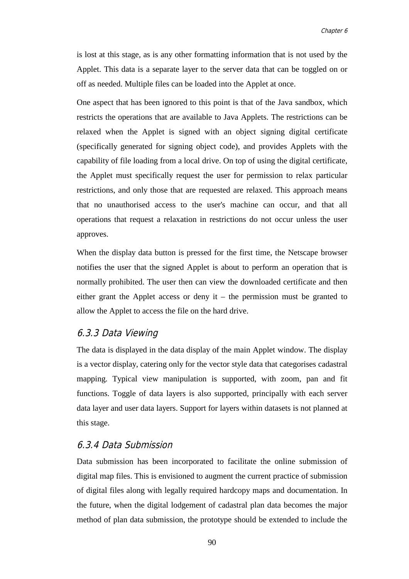is lost at this stage, as is any other formatting information that is not used by the Applet. This data is a separate layer to the server data that can be toggled on or off as needed. Multiple files can be loaded into the Applet at once.

One aspect that has been ignored to this point is that of the Java sandbox, which restricts the operations that are available to Java Applets. The restrictions can be relaxed when the Applet is signed with an object signing digital certificate (specifically generated for signing object code), and provides Applets with the capability of file loading from a local drive. On top of using the digital certificate, the Applet must specifically request the user for permission to relax particular restrictions, and only those that are requested are relaxed. This approach means that no unauthorised access to the user's machine can occur, and that all operations that request a relaxation in restrictions do not occur unless the user approves.

When the display data button is pressed for the first time, the Netscape browser notifies the user that the signed Applet is about to perform an operation that is normally prohibited. The user then can view the downloaded certificate and then either grant the Applet access or deny it – the permission must be granted to allow the Applet to access the file on the hard drive.

### 6.3.3 Data Viewing

The data is displayed in the data display of the main Applet window. The display is a vector display, catering only for the vector style data that categorises cadastral mapping. Typical view manipulation is supported, with zoom, pan and fit functions. Toggle of data layers is also supported, principally with each server data layer and user data layers. Support for layers within datasets is not planned at this stage.

### 6.3.4 Data Submission

Data submission has been incorporated to facilitate the online submission of digital map files. This is envisioned to augment the current practice of submission of digital files along with legally required hardcopy maps and documentation. In the future, when the digital lodgement of cadastral plan data becomes the major method of plan data submission, the prototype should be extended to include the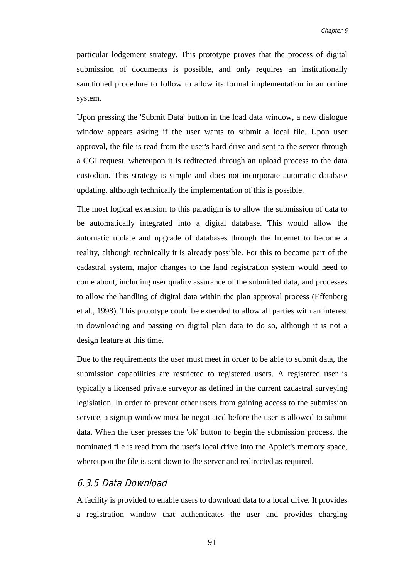particular lodgement strategy. This prototype proves that the process of digital submission of documents is possible, and only requires an institutionally sanctioned procedure to follow to allow its formal implementation in an online system.

Upon pressing the 'Submit Data' button in the load data window, a new dialogue window appears asking if the user wants to submit a local file. Upon user approval, the file is read from the user's hard drive and sent to the server through a CGI request, whereupon it is redirected through an upload process to the data custodian. This strategy is simple and does not incorporate automatic database updating, although technically the implementation of this is possible.

The most logical extension to this paradigm is to allow the submission of data to be automatically integrated into a digital database. This would allow the automatic update and upgrade of databases through the Internet to become a reality, although technically it is already possible. For this to become part of the cadastral system, major changes to the land registration system would need to come about, including user quality assurance of the submitted data, and processes to allow the handling of digital data within the plan approval process (Effenberg et al., 1998). This prototype could be extended to allow all parties with an interest in downloading and passing on digital plan data to do so, although it is not a design feature at this time.

Due to the requirements the user must meet in order to be able to submit data, the submission capabilities are restricted to registered users. A registered user is typically a licensed private surveyor as defined in the current cadastral surveying legislation. In order to prevent other users from gaining access to the submission service, a signup window must be negotiated before the user is allowed to submit data. When the user presses the 'ok' button to begin the submission process, the nominated file is read from the user's local drive into the Applet's memory space, whereupon the file is sent down to the server and redirected as required.

### 6.3.5 Data Download

A facility is provided to enable users to download data to a local drive. It provides a registration window that authenticates the user and provides charging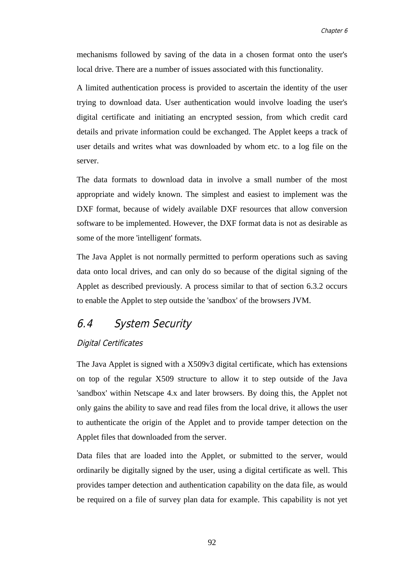mechanisms followed by saving of the data in a chosen format onto the user's local drive. There are a number of issues associated with this functionality.

A limited authentication process is provided to ascertain the identity of the user trying to download data. User authentication would involve loading the user's digital certificate and initiating an encrypted session, from which credit card details and private information could be exchanged. The Applet keeps a track of user details and writes what was downloaded by whom etc. to a log file on the server.

The data formats to download data in involve a small number of the most appropriate and widely known. The simplest and easiest to implement was the DXF format, because of widely available DXF resources that allow conversion software to be implemented. However, the DXF format data is not as desirable as some of the more 'intelligent' formats.

The Java Applet is not normally permitted to perform operations such as saving data onto local drives, and can only do so because of the digital signing of the Applet as described previously. A process similar to that of section 6.3.2 occurs to enable the Applet to step outside the 'sandbox' of the browsers JVM.

# 6.4 System Security

### Digital Certificates

The Java Applet is signed with a X509v3 digital certificate, which has extensions on top of the regular X509 structure to allow it to step outside of the Java 'sandbox' within Netscape 4.x and later browsers. By doing this, the Applet not only gains the ability to save and read files from the local drive, it allows the user to authenticate the origin of the Applet and to provide tamper detection on the Applet files that downloaded from the server.

Data files that are loaded into the Applet, or submitted to the server, would ordinarily be digitally signed by the user, using a digital certificate as well. This provides tamper detection and authentication capability on the data file, as would be required on a file of survey plan data for example. This capability is not yet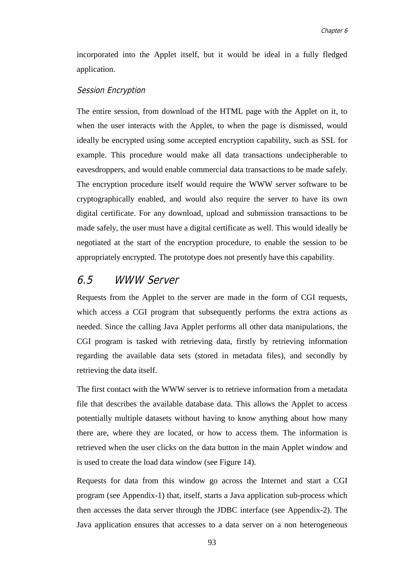incorporated into the Applet itself, but it would be ideal in a fully fledged application.

#### Session Encryption

The entire session, from download of the HTML page with the Applet on it, to when the user interacts with the Applet, to when the page is dismissed, would ideally be encrypted using some accepted encryption capability, such as SSL for example. This procedure would make all data transactions undecipherable to eavesdroppers, and would enable commercial data transactions to be made safely. The encryption procedure itself would require the WWW server software to be cryptographically enabled, and would also require the server to have its own digital certificate. For any download, upload and submission transactions to be made safely, the user must have a digital certificate as well. This would ideally be negotiated at the start of the encryption procedure, to enable the session to be appropriately encrypted. The prototype does not presently have this capability.

### 6.5 WWW Server

Requests from the Applet to the server are made in the form of CGI requests, which access a CGI program that subsequently performs the extra actions as needed. Since the calling Java Applet performs all other data manipulations, the CGI program is tasked with retrieving data, firstly by retrieving information regarding the available data sets (stored in metadata files), and secondly by retrieving the data itself.

The first contact with the WWW server is to retrieve information from a metadata file that describes the available database data. This allows the Applet to access potentially multiple datasets without having to know anything about how many there are, where they are located, or how to access them. The information is retrieved when the user clicks on the data button in the main Applet window and is used to create the load data window (see Figure 14).

Requests for data from this window go across the Internet and start a CGI program (see Appendix-1) that, itself, starts a Java application sub-process which then accesses the data server through the JDBC interface (see Appendix-2). The Java application ensures that accesses to a data server on a non heterogeneous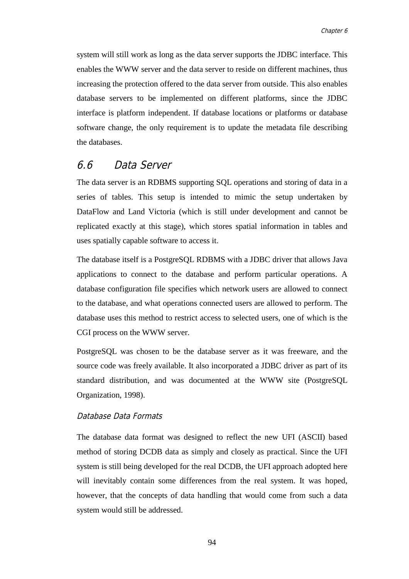system will still work as long as the data server supports the JDBC interface. This enables the WWW server and the data server to reside on different machines, thus increasing the protection offered to the data server from outside. This also enables database servers to be implemented on different platforms, since the JDBC interface is platform independent. If database locations or platforms or database software change, the only requirement is to update the metadata file describing the databases.

### 6.6 Data Server

The data server is an RDBMS supporting SQL operations and storing of data in a series of tables. This setup is intended to mimic the setup undertaken by DataFlow and Land Victoria (which is still under development and cannot be replicated exactly at this stage), which stores spatial information in tables and uses spatially capable software to access it.

The database itself is a PostgreSQL RDBMS with a JDBC driver that allows Java applications to connect to the database and perform particular operations. A database configuration file specifies which network users are allowed to connect to the database, and what operations connected users are allowed to perform. The database uses this method to restrict access to selected users, one of which is the CGI process on the WWW server.

PostgreSQL was chosen to be the database server as it was freeware, and the source code was freely available. It also incorporated a JDBC driver as part of its standard distribution, and was documented at the WWW site (PostgreSQL Organization, 1998).

### Database Data Formats

The database data format was designed to reflect the new UFI (ASCII) based method of storing DCDB data as simply and closely as practical. Since the UFI system is still being developed for the real DCDB, the UFI approach adopted here will inevitably contain some differences from the real system. It was hoped, however, that the concepts of data handling that would come from such a data system would still be addressed.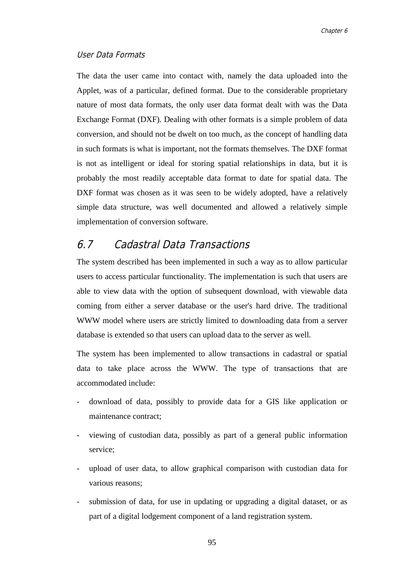### User Data Formats

The data the user came into contact with, namely the data uploaded into the Applet, was of a particular, defined format. Due to the considerable proprietary nature of most data formats, the only user data format dealt with was the Data Exchange Format (DXF). Dealing with other formats is a simple problem of data conversion, and should not be dwelt on too much, as the concept of handling data in such formats is what is important, not the formats themselves. The DXF format is not as intelligent or ideal for storing spatial relationships in data, but it is probably the most readily acceptable data format to date for spatial data. The DXF format was chosen as it was seen to be widely adopted, have a relatively simple data structure, was well documented and allowed a relatively simple implementation of conversion software.

## 6.7 Cadastral Data Transactions

The system described has been implemented in such a way as to allow particular users to access particular functionality. The implementation is such that users are able to view data with the option of subsequent download, with viewable data coming from either a server database or the user's hard drive. The traditional WWW model where users are strictly limited to downloading data from a server database is extended so that users can upload data to the server as well.

The system has been implemented to allow transactions in cadastral or spatial data to take place across the WWW. The type of transactions that are accommodated include:

- download of data, possibly to provide data for a GIS like application or maintenance contract;
- viewing of custodian data, possibly as part of a general public information service;
- upload of user data, to allow graphical comparison with custodian data for various reasons;
- submission of data, for use in updating or upgrading a digital dataset, or as part of a digital lodgement component of a land registration system.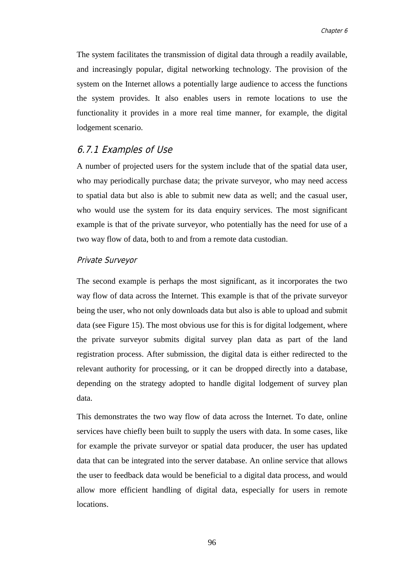The system facilitates the transmission of digital data through a readily available, and increasingly popular, digital networking technology. The provision of the system on the Internet allows a potentially large audience to access the functions the system provides. It also enables users in remote locations to use the functionality it provides in a more real time manner, for example, the digital lodgement scenario.

### 6.7.1 Examples of Use

A number of projected users for the system include that of the spatial data user, who may periodically purchase data; the private surveyor, who may need access to spatial data but also is able to submit new data as well; and the casual user, who would use the system for its data enquiry services. The most significant example is that of the private surveyor, who potentially has the need for use of a two way flow of data, both to and from a remote data custodian.

#### Private Surveyor

The second example is perhaps the most significant, as it incorporates the two way flow of data across the Internet. This example is that of the private surveyor being the user, who not only downloads data but also is able to upload and submit data (see Figure 15). The most obvious use for this is for digital lodgement, where the private surveyor submits digital survey plan data as part of the land registration process. After submission, the digital data is either redirected to the relevant authority for processing, or it can be dropped directly into a database, depending on the strategy adopted to handle digital lodgement of survey plan data.

This demonstrates the two way flow of data across the Internet. To date, online services have chiefly been built to supply the users with data. In some cases, like for example the private surveyor or spatial data producer, the user has updated data that can be integrated into the server database. An online service that allows the user to feedback data would be beneficial to a digital data process, and would allow more efficient handling of digital data, especially for users in remote locations.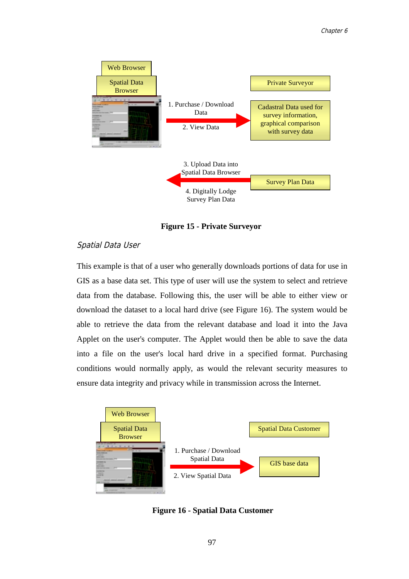

**Figure 15 - Private Surveyor**

### Spatial Data User

This example is that of a user who generally downloads portions of data for use in GIS as a base data set. This type of user will use the system to select and retrieve data from the database. Following this, the user will be able to either view or download the dataset to a local hard drive (see Figure 16). The system would be able to retrieve the data from the relevant database and load it into the Java Applet on the user's computer. The Applet would then be able to save the data into a file on the user's local hard drive in a specified format. Purchasing conditions would normally apply, as would the relevant security measures to ensure data integrity and privacy while in transmission across the Internet.



**Figure 16 - Spatial Data Customer**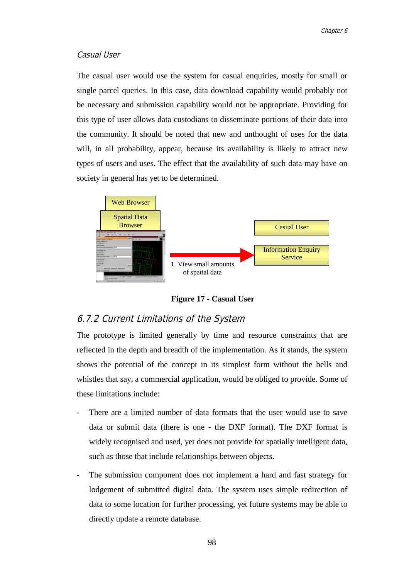### Casual User

The casual user would use the system for casual enquiries, mostly for small or single parcel queries. In this case, data download capability would probably not be necessary and submission capability would not be appropriate. Providing for this type of user allows data custodians to disseminate portions of their data into the community. It should be noted that new and unthought of uses for the data will, in all probability, appear, because its availability is likely to attract new types of users and uses. The effect that the availability of such data may have on society in general has yet to be determined.



**Figure 17 - Casual User**

### 6.7.2 Current Limitations of the System

The prototype is limited generally by time and resource constraints that are reflected in the depth and breadth of the implementation. As it stands, the system shows the potential of the concept in its simplest form without the bells and whistles that say, a commercial application, would be obliged to provide. Some of these limitations include:

- There are a limited number of data formats that the user would use to save data or submit data (there is one - the DXF format). The DXF format is widely recognised and used, yet does not provide for spatially intelligent data, such as those that include relationships between objects.
- The submission component does not implement a hard and fast strategy for lodgement of submitted digital data. The system uses simple redirection of data to some location for further processing, yet future systems may be able to directly update a remote database.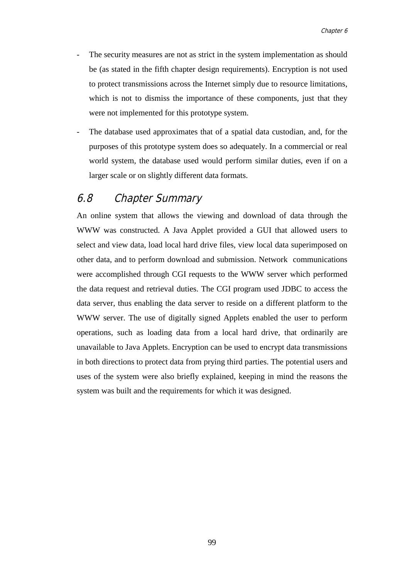- The security measures are not as strict in the system implementation as should be (as stated in the fifth chapter design requirements). Encryption is not used to protect transmissions across the Internet simply due to resource limitations, which is not to dismiss the importance of these components, just that they were not implemented for this prototype system.
- The database used approximates that of a spatial data custodian, and, for the purposes of this prototype system does so adequately. In a commercial or real world system, the database used would perform similar duties, even if on a larger scale or on slightly different data formats.

### 6.8 Chapter Summary

An online system that allows the viewing and download of data through the WWW was constructed. A Java Applet provided a GUI that allowed users to select and view data, load local hard drive files, view local data superimposed on other data, and to perform download and submission. Network communications were accomplished through CGI requests to the WWW server which performed the data request and retrieval duties. The CGI program used JDBC to access the data server, thus enabling the data server to reside on a different platform to the WWW server. The use of digitally signed Applets enabled the user to perform operations, such as loading data from a local hard drive, that ordinarily are unavailable to Java Applets. Encryption can be used to encrypt data transmissions in both directions to protect data from prying third parties. The potential users and uses of the system were also briefly explained, keeping in mind the reasons the system was built and the requirements for which it was designed.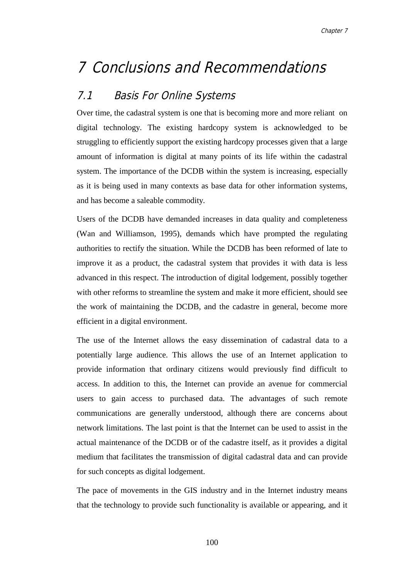## 7 Conclusions and Recommendations

## 7.1 Basis For Online Systems

Over time, the cadastral system is one that is becoming more and more reliant on digital technology. The existing hardcopy system is acknowledged to be struggling to efficiently support the existing hardcopy processes given that a large amount of information is digital at many points of its life within the cadastral system. The importance of the DCDB within the system is increasing, especially as it is being used in many contexts as base data for other information systems, and has become a saleable commodity.

Users of the DCDB have demanded increases in data quality and completeness (Wan and Williamson, 1995), demands which have prompted the regulating authorities to rectify the situation. While the DCDB has been reformed of late to improve it as a product, the cadastral system that provides it with data is less advanced in this respect. The introduction of digital lodgement, possibly together with other reforms to streamline the system and make it more efficient, should see the work of maintaining the DCDB, and the cadastre in general, become more efficient in a digital environment.

The use of the Internet allows the easy dissemination of cadastral data to a potentially large audience. This allows the use of an Internet application to provide information that ordinary citizens would previously find difficult to access. In addition to this, the Internet can provide an avenue for commercial users to gain access to purchased data. The advantages of such remote communications are generally understood, although there are concerns about network limitations. The last point is that the Internet can be used to assist in the actual maintenance of the DCDB or of the cadastre itself, as it provides a digital medium that facilitates the transmission of digital cadastral data and can provide for such concepts as digital lodgement.

The pace of movements in the GIS industry and in the Internet industry means that the technology to provide such functionality is available or appearing, and it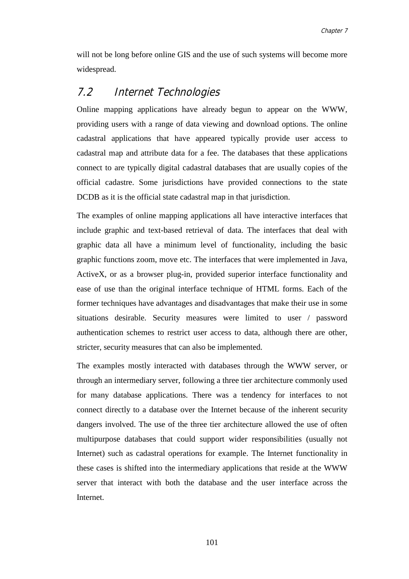will not be long before online GIS and the use of such systems will become more widespread.

### 7.2 Internet Technologies

Online mapping applications have already begun to appear on the WWW, providing users with a range of data viewing and download options. The online cadastral applications that have appeared typically provide user access to cadastral map and attribute data for a fee. The databases that these applications connect to are typically digital cadastral databases that are usually copies of the official cadastre. Some jurisdictions have provided connections to the state DCDB as it is the official state cadastral map in that jurisdiction.

The examples of online mapping applications all have interactive interfaces that include graphic and text-based retrieval of data. The interfaces that deal with graphic data all have a minimum level of functionality, including the basic graphic functions zoom, move etc. The interfaces that were implemented in Java, ActiveX, or as a browser plug-in, provided superior interface functionality and ease of use than the original interface technique of HTML forms. Each of the former techniques have advantages and disadvantages that make their use in some situations desirable. Security measures were limited to user / password authentication schemes to restrict user access to data, although there are other, stricter, security measures that can also be implemented.

The examples mostly interacted with databases through the WWW server, or through an intermediary server, following a three tier architecture commonly used for many database applications. There was a tendency for interfaces to not connect directly to a database over the Internet because of the inherent security dangers involved. The use of the three tier architecture allowed the use of often multipurpose databases that could support wider responsibilities (usually not Internet) such as cadastral operations for example. The Internet functionality in these cases is shifted into the intermediary applications that reside at the WWW server that interact with both the database and the user interface across the Internet.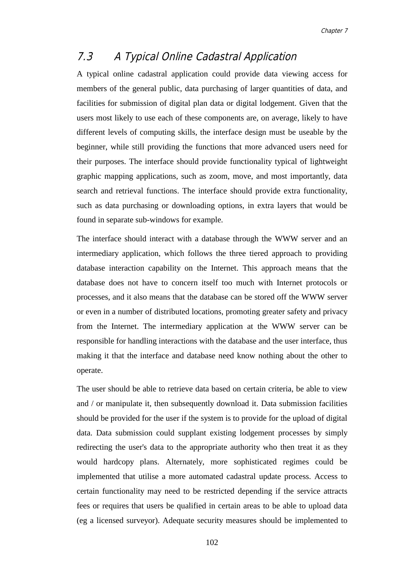## 7.3 A Typical Online Cadastral Application

A typical online cadastral application could provide data viewing access for members of the general public, data purchasing of larger quantities of data, and facilities for submission of digital plan data or digital lodgement. Given that the users most likely to use each of these components are, on average, likely to have different levels of computing skills, the interface design must be useable by the beginner, while still providing the functions that more advanced users need for their purposes. The interface should provide functionality typical of lightweight graphic mapping applications, such as zoom, move, and most importantly, data search and retrieval functions. The interface should provide extra functionality, such as data purchasing or downloading options, in extra layers that would be found in separate sub-windows for example.

The interface should interact with a database through the WWW server and an intermediary application, which follows the three tiered approach to providing database interaction capability on the Internet. This approach means that the database does not have to concern itself too much with Internet protocols or processes, and it also means that the database can be stored off the WWW server or even in a number of distributed locations, promoting greater safety and privacy from the Internet. The intermediary application at the WWW server can be responsible for handling interactions with the database and the user interface, thus making it that the interface and database need know nothing about the other to operate.

The user should be able to retrieve data based on certain criteria, be able to view and / or manipulate it, then subsequently download it. Data submission facilities should be provided for the user if the system is to provide for the upload of digital data. Data submission could supplant existing lodgement processes by simply redirecting the user's data to the appropriate authority who then treat it as they would hardcopy plans. Alternately, more sophisticated regimes could be implemented that utilise a more automated cadastral update process. Access to certain functionality may need to be restricted depending if the service attracts fees or requires that users be qualified in certain areas to be able to upload data (eg a licensed surveyor). Adequate security measures should be implemented to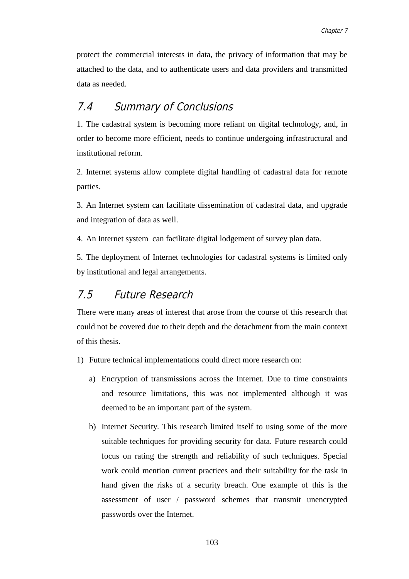protect the commercial interests in data, the privacy of information that may be attached to the data, and to authenticate users and data providers and transmitted data as needed.

## 7.4 Summary of Conclusions

1. The cadastral system is becoming more reliant on digital technology, and, in order to become more efficient, needs to continue undergoing infrastructural and institutional reform.

2. Internet systems allow complete digital handling of cadastral data for remote parties.

3. An Internet system can facilitate dissemination of cadastral data, and upgrade and integration of data as well.

4. An Internet system can facilitate digital lodgement of survey plan data.

5. The deployment of Internet technologies for cadastral systems is limited only by institutional and legal arrangements.

## 7.5 Future Research

There were many areas of interest that arose from the course of this research that could not be covered due to their depth and the detachment from the main context of this thesis.

- 1) Future technical implementations could direct more research on:
	- a) Encryption of transmissions across the Internet. Due to time constraints and resource limitations, this was not implemented although it was deemed to be an important part of the system.
	- b) Internet Security. This research limited itself to using some of the more suitable techniques for providing security for data. Future research could focus on rating the strength and reliability of such techniques. Special work could mention current practices and their suitability for the task in hand given the risks of a security breach. One example of this is the assessment of user / password schemes that transmit unencrypted passwords over the Internet.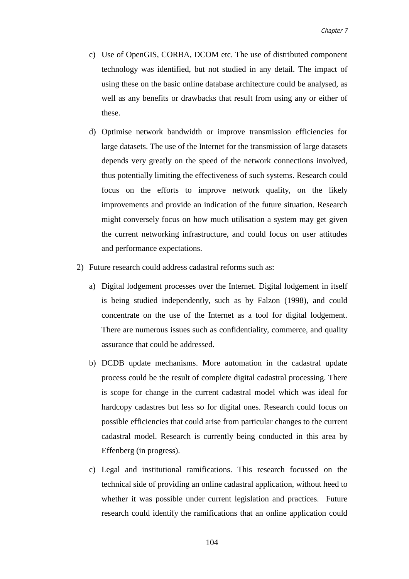- c) Use of OpenGIS, CORBA, DCOM etc. The use of distributed component technology was identified, but not studied in any detail. The impact of using these on the basic online database architecture could be analysed, as well as any benefits or drawbacks that result from using any or either of these.
- d) Optimise network bandwidth or improve transmission efficiencies for large datasets. The use of the Internet for the transmission of large datasets depends very greatly on the speed of the network connections involved, thus potentially limiting the effectiveness of such systems. Research could focus on the efforts to improve network quality, on the likely improvements and provide an indication of the future situation. Research might conversely focus on how much utilisation a system may get given the current networking infrastructure, and could focus on user attitudes and performance expectations.
- 2) Future research could address cadastral reforms such as:
	- a) Digital lodgement processes over the Internet. Digital lodgement in itself is being studied independently, such as by Falzon (1998), and could concentrate on the use of the Internet as a tool for digital lodgement. There are numerous issues such as confidentiality, commerce, and quality assurance that could be addressed.
	- b) DCDB update mechanisms. More automation in the cadastral update process could be the result of complete digital cadastral processing. There is scope for change in the current cadastral model which was ideal for hardcopy cadastres but less so for digital ones. Research could focus on possible efficiencies that could arise from particular changes to the current cadastral model. Research is currently being conducted in this area by Effenberg (in progress).
	- c) Legal and institutional ramifications. This research focussed on the technical side of providing an online cadastral application, without heed to whether it was possible under current legislation and practices. Future research could identify the ramifications that an online application could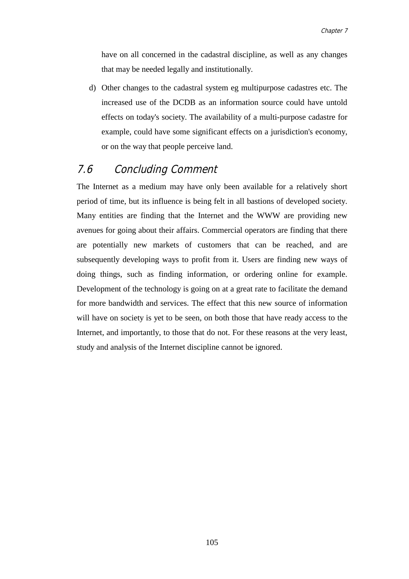have on all concerned in the cadastral discipline, as well as any changes that may be needed legally and institutionally.

d) Other changes to the cadastral system eg multipurpose cadastres etc. The increased use of the DCDB as an information source could have untold effects on today's society. The availability of a multi-purpose cadastre for example, could have some significant effects on a jurisdiction's economy, or on the way that people perceive land.

## 7.6 Concluding Comment

The Internet as a medium may have only been available for a relatively short period of time, but its influence is being felt in all bastions of developed society. Many entities are finding that the Internet and the WWW are providing new avenues for going about their affairs. Commercial operators are finding that there are potentially new markets of customers that can be reached, and are subsequently developing ways to profit from it. Users are finding new ways of doing things, such as finding information, or ordering online for example. Development of the technology is going on at a great rate to facilitate the demand for more bandwidth and services. The effect that this new source of information will have on society is yet to be seen, on both those that have ready access to the Internet, and importantly, to those that do not. For these reasons at the very least, study and analysis of the Internet discipline cannot be ignored.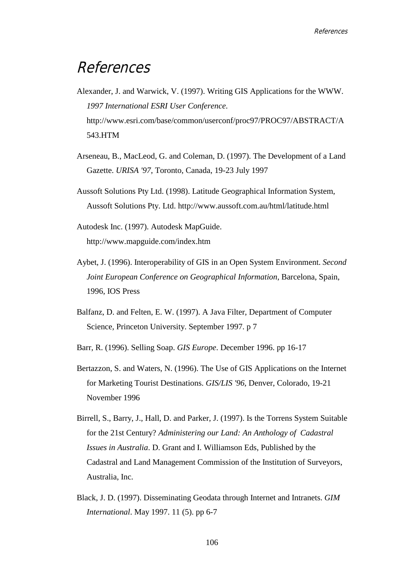## **References**

- Alexander, J. and Warwick, V. (1997). Writing GIS Applications for the WWW. *1997 International ESRI User Conference*. http://www.esri.com/base/common/userconf/proc97/PROC97/ABSTRACT/A 543.HTM
- Arseneau, B., MacLeod, G. and Coleman, D. (1997). The Development of a Land Gazette. *URISA '97*, Toronto, Canada, 19-23 July 1997
- Aussoft Solutions Pty Ltd. (1998). Latitude Geographical Information System, Aussoft Solutions Pty. Ltd. http://www.aussoft.com.au/html/latitude.html
- Autodesk Inc. (1997). Autodesk MapGuide. http://www.mapguide.com/index.htm
- Aybet, J. (1996). Interoperability of GIS in an Open System Environment. *Second Joint European Conference on Geographical Information*, Barcelona, Spain, 1996, IOS Press
- Balfanz, D. and Felten, E. W. (1997). A Java Filter, Department of Computer Science, Princeton University. September 1997. p 7
- Barr, R. (1996). Selling Soap. *GIS Europe*. December 1996. pp 16-17
- Bertazzon, S. and Waters, N. (1996). The Use of GIS Applications on the Internet for Marketing Tourist Destinations. *GIS/LIS '96*, Denver, Colorado, 19-21 November 1996
- Birrell, S., Barry, J., Hall, D. and Parker, J. (1997). Is the Torrens System Suitable for the 21st Century? *Administering our Land: An Anthology of Cadastral Issues in Australia*. D. Grant and I. Williamson Eds, Published by the Cadastral and Land Management Commission of the Institution of Surveyors, Australia, Inc.
- Black, J. D. (1997). Disseminating Geodata through Internet and Intranets. *GIM International*. May 1997. 11 (5). pp 6-7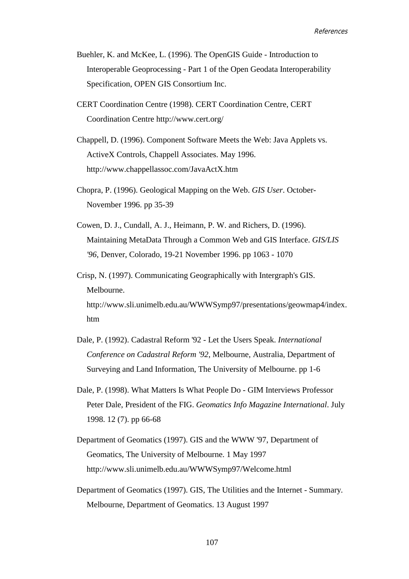- Buehler, K. and McKee, L. (1996). The OpenGIS Guide Introduction to Interoperable Geoprocessing - Part 1 of the Open Geodata Interoperability Specification, OPEN GIS Consortium Inc.
- CERT Coordination Centre (1998). CERT Coordination Centre, CERT Coordination Centre http://www.cert.org/
- Chappell, D. (1996). Component Software Meets the Web: Java Applets vs. ActiveX Controls, Chappell Associates. May 1996. http://www.chappellassoc.com/JavaActX.htm
- Chopra, P. (1996). Geological Mapping on the Web. *GIS User*. October-November 1996. pp 35-39
- Cowen, D. J., Cundall, A. J., Heimann, P. W. and Richers, D. (1996). Maintaining MetaData Through a Common Web and GIS Interface. *GIS/LIS '96*, Denver, Colorado, 19-21 November 1996. pp 1063 - 1070
- Crisp, N. (1997). Communicating Geographically with Intergraph's GIS. Melbourne. http://www.sli.unimelb.edu.au/WWWSymp97/presentations/geowmap4/index. htm
- Dale, P. (1992). Cadastral Reform '92 Let the Users Speak. *International Conference on Cadastral Reform '92*, Melbourne, Australia, Department of Surveying and Land Information, The University of Melbourne. pp 1-6
- Dale, P. (1998). What Matters Is What People Do GIM Interviews Professor Peter Dale, President of the FIG. *Geomatics Info Magazine International*. July 1998. 12 (7). pp 66-68
- Department of Geomatics (1997). GIS and the WWW '97, Department of Geomatics, The University of Melbourne. 1 May 1997 http://www.sli.unimelb.edu.au/WWWSymp97/Welcome.html
- Department of Geomatics (1997). GIS, The Utilities and the Internet Summary. Melbourne, Department of Geomatics. 13 August 1997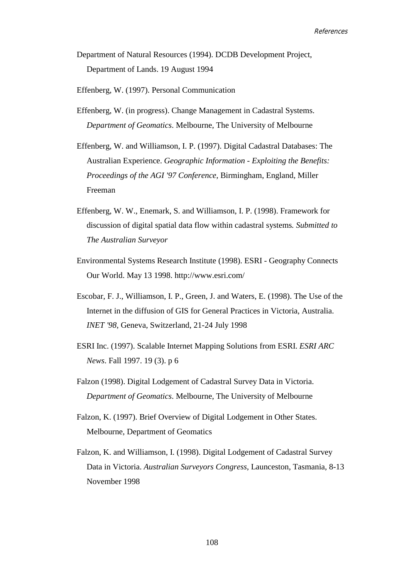- Department of Natural Resources (1994). DCDB Development Project, Department of Lands. 19 August 1994
- Effenberg, W. (1997). Personal Communication
- Effenberg, W. (in progress). Change Management in Cadastral Systems. *Department of Geomatics*. Melbourne, The University of Melbourne
- Effenberg, W. and Williamson, I. P. (1997). Digital Cadastral Databases: The Australian Experience. *Geographic Information - Exploiting the Benefits: Proceedings of the AGI '97 Conference*, Birmingham, England, Miller Freeman
- Effenberg, W. W., Enemark, S. and Williamson, I. P. (1998). Framework for discussion of digital spatial data flow within cadastral systems*. Submitted to The Australian Surveyor*
- Environmental Systems Research Institute (1998). ESRI Geography Connects Our World. May 13 1998. http://www.esri.com/
- Escobar, F. J., Williamson, I. P., Green, J. and Waters, E. (1998). The Use of the Internet in the diffusion of GIS for General Practices in Victoria, Australia. *INET '98*, Geneva, Switzerland, 21-24 July 1998
- ESRI Inc. (1997). Scalable Internet Mapping Solutions from ESRI. *ESRI ARC News*. Fall 1997. 19 (3). p 6
- Falzon (1998). Digital Lodgement of Cadastral Survey Data in Victoria. *Department of Geomatics*. Melbourne, The University of Melbourne
- Falzon, K. (1997). Brief Overview of Digital Lodgement in Other States. Melbourne, Department of Geomatics
- Falzon, K. and Williamson, I. (1998). Digital Lodgement of Cadastral Survey Data in Victoria. *Australian Surveyors Congress*, Launceston, Tasmania, 8-13 November 1998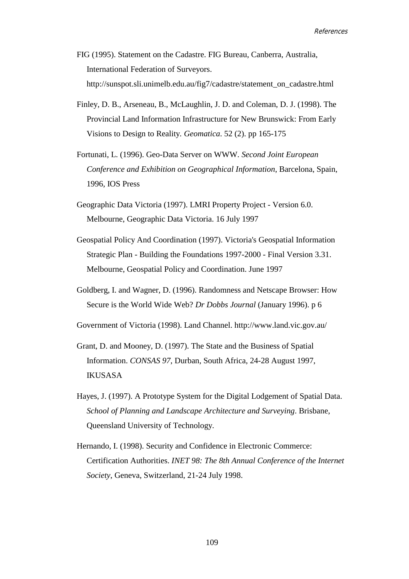- FIG (1995). Statement on the Cadastre. FIG Bureau, Canberra, Australia, International Federation of Surveyors. http://sunspot.sli.unimelb.edu.au/fig7/cadastre/statement\_on\_cadastre.html
- Finley, D. B., Arseneau, B., McLaughlin, J. D. and Coleman, D. J. (1998). The Provincial Land Information Infrastructure for New Brunswick: From Early Visions to Design to Reality*. Geomatica*. 52 (2). pp 165-175
- Fortunati, L. (1996). Geo-Data Server on WWW. *Second Joint European Conference and Exhibition on Geographical Information*, Barcelona, Spain, 1996, IOS Press
- Geographic Data Victoria (1997). LMRI Property Project Version 6.0. Melbourne, Geographic Data Victoria. 16 July 1997
- Geospatial Policy And Coordination (1997). Victoria's Geospatial Information Strategic Plan - Building the Foundations 1997-2000 - Final Version 3.31. Melbourne, Geospatial Policy and Coordination. June 1997
- Goldberg, I. and Wagner, D. (1996). Randomness and Netscape Browser: How Secure is the World Wide Web? *Dr Dobbs Journal* (January 1996). p 6
- Government of Victoria (1998). Land Channel. http://www.land.vic.gov.au/
- Grant, D. and Mooney, D. (1997). The State and the Business of Spatial Information. *CONSAS 97*, Durban, South Africa, 24-28 August 1997, IKUSASA
- Hayes, J. (1997). A Prototype System for the Digital Lodgement of Spatial Data. *School of Planning and Landscape Architecture and Surveying*. Brisbane, Queensland University of Technology.
- Hernando, I. (1998). Security and Confidence in Electronic Commerce: Certification Authorities. *INET 98: The 8th Annual Conference of the Internet Society*, Geneva, Switzerland, 21-24 July 1998.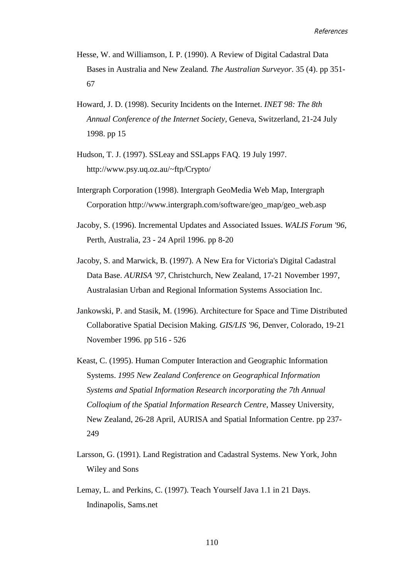- Hesse, W. and Williamson, I. P. (1990). A Review of Digital Cadastral Data Bases in Australia and New Zealand*. The Australian Surveyor*. 35 (4). pp 351- 67
- Howard, J. D. (1998). Security Incidents on the Internet. *INET 98: The 8th Annual Conference of the Internet Society*, Geneva, Switzerland, 21-24 July 1998. pp 15
- Hudson, T. J. (1997). SSLeay and SSLapps FAQ. 19 July 1997. http://www.psy.uq.oz.au/~ftp/Crypto/
- Intergraph Corporation (1998). Intergraph GeoMedia Web Map, Intergraph Corporation http://www.intergraph.com/software/geo\_map/geo\_web.asp
- Jacoby, S. (1996). Incremental Updates and Associated Issues. *WALIS Forum '96*, Perth, Australia, 23 - 24 April 1996. pp 8-20
- Jacoby, S. and Marwick, B. (1997). A New Era for Victoria's Digital Cadastral Data Base. *AURISA '97*, Christchurch, New Zealand, 17-21 November 1997, Australasian Urban and Regional Information Systems Association Inc.
- Jankowski, P. and Stasik, M. (1996). Architecture for Space and Time Distributed Collaborative Spatial Decision Making. *GIS/LIS '96*, Denver, Colorado, 19-21 November 1996. pp 516 - 526
- Keast, C. (1995). Human Computer Interaction and Geographic Information Systems. *1995 New Zealand Conference on Geographical Information Systems and Spatial Information Research incorporating the 7th Annual Colloqium of the Spatial Information Research Centre*, Massey University, New Zealand, 26-28 April, AURISA and Spatial Information Centre. pp 237- 249
- Larsson, G. (1991). Land Registration and Cadastral Systems. New York, John Wiley and Sons
- Lemay, L. and Perkins, C. (1997). Teach Yourself Java 1.1 in 21 Days. Indinapolis, Sams.net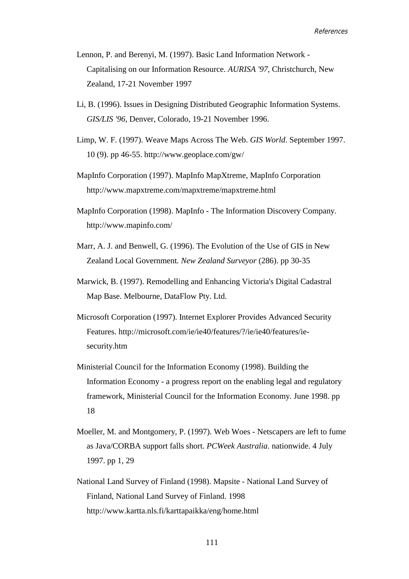- Lennon, P. and Berenyi, M. (1997). Basic Land Information Network Capitalising on our Information Resource. *AURISA '97*, Christchurch, New Zealand, 17-21 November 1997
- Li, B. (1996). Issues in Designing Distributed Geographic Information Systems. *GIS/LIS '96*, Denver, Colorado, 19-21 November 1996.
- Limp, W. F. (1997). Weave Maps Across The Web. *GIS World*. September 1997. 10 (9). pp 46-55. http://www.geoplace.com/gw/
- MapInfo Corporation (1997). MapInfo MapXtreme, MapInfo Corporation http://www.mapxtreme.com/mapxtreme/mapxtreme.html
- MapInfo Corporation (1998). MapInfo The Information Discovery Company. http://www.mapinfo.com/
- Marr, A. J. and Benwell, G. (1996). The Evolution of the Use of GIS in New Zealand Local Government*. New Zealand Surveyor* (286). pp 30-35
- Marwick, B. (1997). Remodelling and Enhancing Victoria's Digital Cadastral Map Base. Melbourne, DataFlow Pty. Ltd.
- Microsoft Corporation (1997). Internet Explorer Provides Advanced Security Features. http://microsoft.com/ie/ie40/features/?/ie/ie40/features/iesecurity.htm
- Ministerial Council for the Information Economy (1998). Building the Information Economy - a progress report on the enabling legal and regulatory framework, Ministerial Council for the Information Economy. June 1998. pp 18
- Moeller, M. and Montgomery, P. (1997). Web Woes Netscapers are left to fume as Java/CORBA support falls short. *PCWeek Australia*. nationwide. 4 July 1997. pp 1, 29
- National Land Survey of Finland (1998). Mapsite National Land Survey of Finland, National Land Survey of Finland. 1998 http://www.kartta.nls.fi/karttapaikka/eng/home.html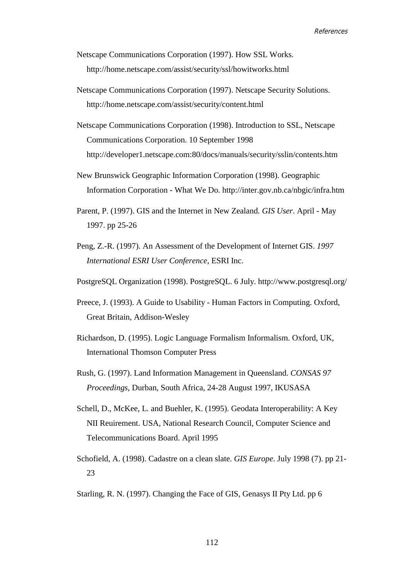- Netscape Communications Corporation (1997). How SSL Works. http://home.netscape.com/assist/security/ssl/howitworks.html
- Netscape Communications Corporation (1997). Netscape Security Solutions. http://home.netscape.com/assist/security/content.html
- Netscape Communications Corporation (1998). Introduction to SSL, Netscape Communications Corporation. 10 September 1998 http://developer1.netscape.com:80/docs/manuals/security/sslin/contents.htm
- New Brunswick Geographic Information Corporation (1998). Geographic Information Corporation - What We Do. http://inter.gov.nb.ca/nbgic/infra.htm
- Parent, P. (1997). GIS and the Internet in New Zealand. *GIS User*. April May 1997. pp 25-26
- Peng, Z.-R. (1997). An Assessment of the Development of Internet GIS. *1997 International ESRI User Conference*, ESRI Inc.
- PostgreSQL Organization (1998). PostgreSQL. 6 July. http://www.postgresql.org/
- Preece, J. (1993). A Guide to Usability Human Factors in Computing. Oxford, Great Britain, Addison-Wesley
- Richardson, D. (1995). Logic Language Formalism Informalism. Oxford, UK, International Thomson Computer Press
- Rush, G. (1997). Land Information Management in Queensland. *CONSAS 97 Proceedings*, Durban, South Africa, 24-28 August 1997, IKUSASA
- Schell, D., McKee, L. and Buehler, K. (1995). Geodata Interoperability: A Key NII Reuirement. USA, National Research Council, Computer Science and Telecommunications Board. April 1995
- Schofield, A. (1998). Cadastre on a clean slate. *GIS Europe*. July 1998 (7). pp 21- 23
- Starling, R. N. (1997). Changing the Face of GIS, Genasys II Pty Ltd. pp 6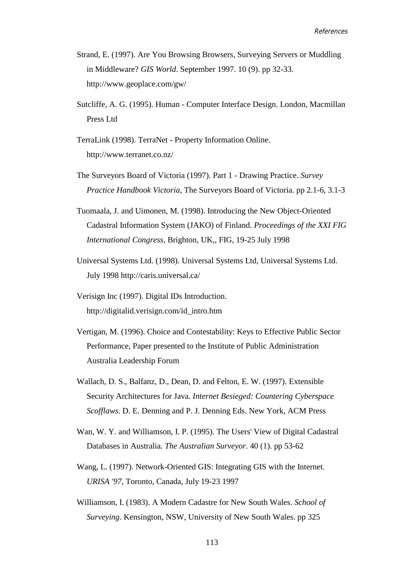- Strand, E. (1997). Are You Browsing Browsers, Surveying Servers or Muddling in Middleware? *GIS World*. September 1997. 10 (9). pp 32-33. http://www.geoplace.com/gw/
- Sutcliffe, A. G. (1995). Human Computer Interface Design. London, Macmillan Press Ltd
- TerraLink (1998). TerraNet Property Information Online. http://www.terranet.co.nz/
- The Surveyors Board of Victoria (1997). Part 1 Drawing Practice. *Survey Practice Handbook Victoria*, The Surveyors Board of Victoria. pp 2.1-6, 3.1-3
- Tuomaala, J. and Uimonen, M. (1998). Introducing the New Object-Oriented Cadastral Information System (JAKO) of Finland. *Proceedings of the XXI FIG International Congress*, Brighton, UK,, FIG, 19-25 July 1998
- Universal Systems Ltd. (1998). Universal Systems Ltd, Universal Systems Ltd. July 1998 http://caris.universal.ca/
- Verisign Inc (1997). Digital IDs Introduction. http://digitalid.verisign.com/id\_intro.htm
- Vertigan, M. (1996). Choice and Contestability: Keys to Effective Public Sector Performance, Paper presented to the Institute of Public Administration Australia Leadership Forum
- Wallach, D. S., Balfanz, D., Dean, D. and Felton, E. W. (1997). Extensible Security Architectures for Java. *Internet Besieged: Countering Cyberspace Scofflaws*. D. E. Denning and P. J. Denning Eds. New York, ACM Press
- Wan, W. Y. and Williamson, I. P. (1995). The Users' View of Digital Cadastral Databases in Australia*. The Australian Surveyor*. 40 (1). pp 53-62
- Wang, L. (1997). Network-Oriented GIS: Integrating GIS with the Internet. *URISA '97*, Toronto, Canada, July 19-23 1997
- Williamson, I. (1983). A Modern Cadastre for New South Wales. *School of Surveying*. Kensington, NSW, University of New South Wales. pp 325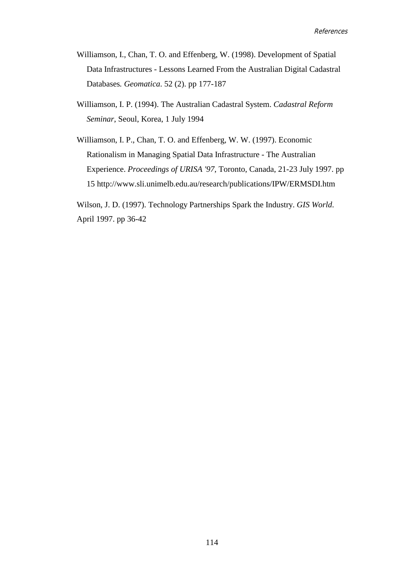- Williamson, I., Chan, T. O. and Effenberg, W. (1998). Development of Spatial Data Infrastructures - Lessons Learned From the Australian Digital Cadastral Databases*. Geomatica*. 52 (2). pp 177-187
- Williamson, I. P. (1994). The Australian Cadastral System. *Cadastral Reform Seminar*, Seoul, Korea, 1 July 1994
- Williamson, I. P., Chan, T. O. and Effenberg, W. W. (1997). Economic Rationalism in Managing Spatial Data Infrastructure - The Australian Experience. *Proceedings of URISA '97*, Toronto, Canada, 21-23 July 1997. pp 15 http://www.sli.unimelb.edu.au/research/publications/IPW/ERMSDI.htm

Wilson, J. D. (1997). Technology Partnerships Spark the Industry. *GIS World*. April 1997. pp 36-42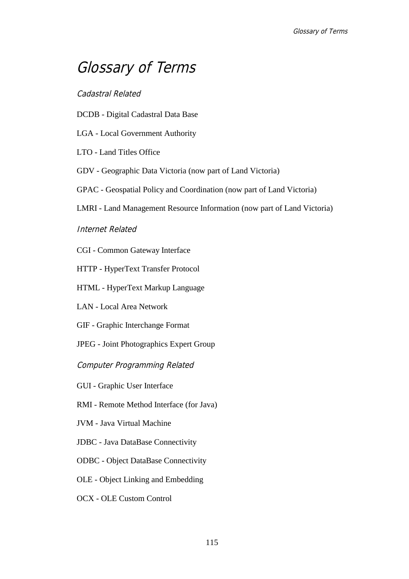## Glossary of Terms

#### Cadastral Related

- DCDB Digital Cadastral Data Base
- LGA Local Government Authority
- LTO Land Titles Office
- GDV Geographic Data Victoria (now part of Land Victoria)
- GPAC Geospatial Policy and Coordination (now part of Land Victoria)
- LMRI Land Management Resource Information (now part of Land Victoria)

#### Internet Related

- CGI Common Gateway Interface
- HTTP HyperText Transfer Protocol
- HTML HyperText Markup Language
- LAN Local Area Network
- GIF Graphic Interchange Format
- JPEG Joint Photographics Expert Group

Computer Programming Related

- GUI Graphic User Interface
- RMI Remote Method Interface (for Java)
- JVM Java Virtual Machine
- JDBC Java DataBase Connectivity
- ODBC Object DataBase Connectivity
- OLE Object Linking and Embedding
- OCX OLE Custom Control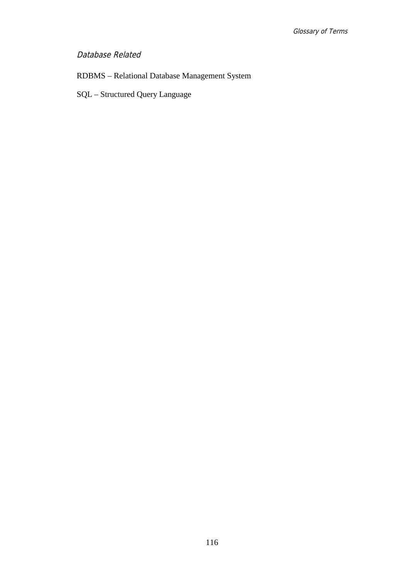#### Database Related

## RDBMS – Relational Database Management System

SQL – Structured Query Language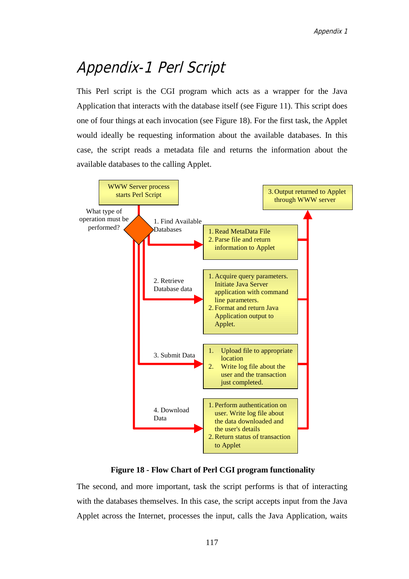# Appendix-1 Perl Script

This Perl script is the CGI program which acts as a wrapper for the Java Application that interacts with the database itself (see Figure 11). This script does one of four things at each invocation (see Figure 18). For the first task, the Applet would ideally be requesting information about the available databases. In this case, the script reads a metadata file and returns the information about the available databases to the calling Applet.



**Figure 18 - Flow Chart of Perl CGI program functionality**

The second, and more important, task the script performs is that of interacting with the databases themselves. In this case, the script accepts input from the Java Applet across the Internet, processes the input, calls the Java Application, waits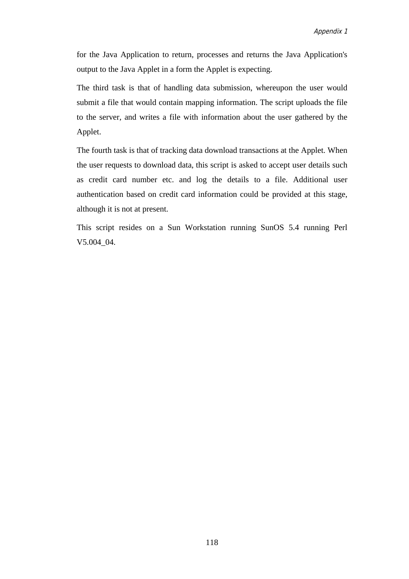for the Java Application to return, processes and returns the Java Application's output to the Java Applet in a form the Applet is expecting.

The third task is that of handling data submission, whereupon the user would submit a file that would contain mapping information. The script uploads the file to the server, and writes a file with information about the user gathered by the Applet.

The fourth task is that of tracking data download transactions at the Applet. When the user requests to download data, this script is asked to accept user details such as credit card number etc. and log the details to a file. Additional user authentication based on credit card information could be provided at this stage, although it is not at present.

This script resides on a Sun Workstation running SunOS 5.4 running Perl V5.004\_04.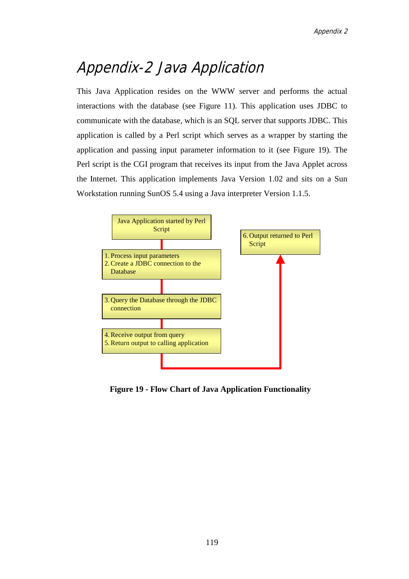# Appendix-2 Java Application

This Java Application resides on the WWW server and performs the actual interactions with the database (see Figure 11). This application uses JDBC to communicate with the database, which is an SQL server that supports JDBC. This application is called by a Perl script which serves as a wrapper by starting the application and passing input parameter information to it (see Figure 19). The Perl script is the CGI program that receives its input from the Java Applet across the Internet. This application implements Java Version 1.02 and sits on a Sun Workstation running SunOS 5.4 using a Java interpreter Version 1.1.5.



**Figure 19 - Flow Chart of Java Application Functionality**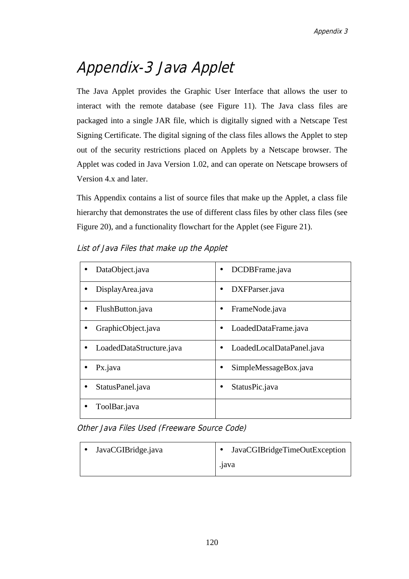# Appendix-3 Java Applet

The Java Applet provides the Graphic User Interface that allows the user to interact with the remote database (see Figure 11). The Java class files are packaged into a single JAR file, which is digitally signed with a Netscape Test Signing Certificate. The digital signing of the class files allows the Applet to step out of the security restrictions placed on Applets by a Netscape browser. The Applet was coded in Java Version 1.02, and can operate on Netscape browsers of Version 4.x and later.

This Appendix contains a list of source files that make up the Applet, a class file hierarchy that demonstrates the use of different class files by other class files (see Figure 20), and a functionality flowchart for the Applet (see Figure 21).

| DataObject.java<br>$\bullet$  | DCDBFrame.java            |
|-------------------------------|---------------------------|
| DisplayArea.java              | DXFParser.java            |
| FlushButton.java<br>$\bullet$ | FrameNode.java            |
| GraphicObject.java            | LoadedDataFrame.java      |
| LoadedDataStructure.java      | LoadedLocalDataPanel.java |
| Px.java<br>$\bullet$          | SimpleMessageBox.java     |
| StatusPanel.java              | StatusPic.java            |
| ToolBar.java                  |                           |

List of Java Files that make up the Applet

Other Java Files Used (Freeware Source Code)

| <b>∴ ●</b> | JavaCGIBridge.java |       | JavaCGIBridgeTimeOutException |
|------------|--------------------|-------|-------------------------------|
|            |                    | .1ava |                               |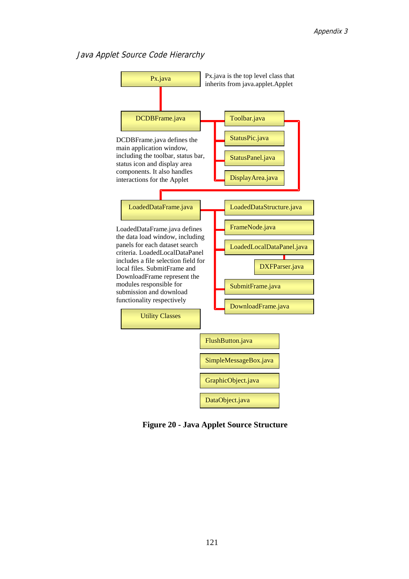#### Java Applet Source Code Hierarchy



**Figure 20 - Java Applet Source Structure**